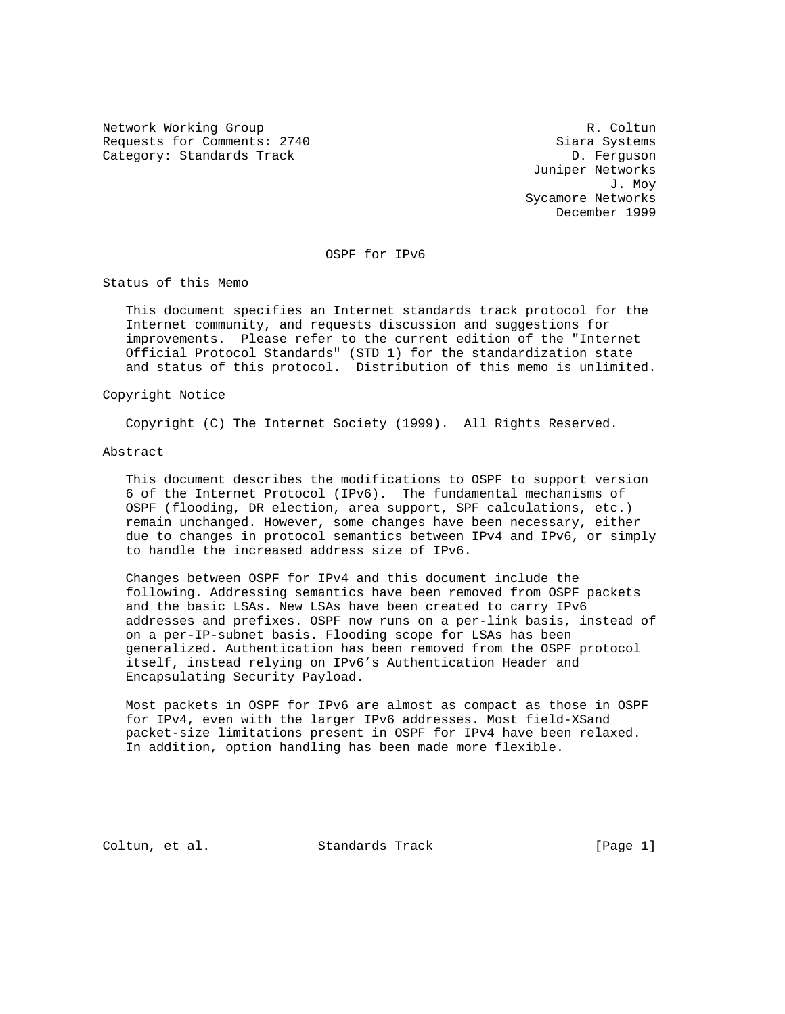Network Working Group and the coltunate of the R. Coltunate R. Coltunate R. Coltunate R. Coltunate R. Coltunate R. Coltunate R. Coltunate R. Coltunate R. Coltunate R. Coltunate R. Coltunate R. Coltunate R. Coltunate R. Col Requests for Comments: 2740 Siara Systems Category: Standards Track D. Ferguson

 Juniper Networks J. Moy Sycamore Networks December 1999

OSPF for IPv6

Status of this Memo

 This document specifies an Internet standards track protocol for the Internet community, and requests discussion and suggestions for improvements. Please refer to the current edition of the "Internet Official Protocol Standards" (STD 1) for the standardization state and status of this protocol. Distribution of this memo is unlimited.

### Copyright Notice

Copyright (C) The Internet Society (1999). All Rights Reserved.

#### Abstract

 This document describes the modifications to OSPF to support version 6 of the Internet Protocol (IPv6). The fundamental mechanisms of OSPF (flooding, DR election, area support, SPF calculations, etc.) remain unchanged. However, some changes have been necessary, either due to changes in protocol semantics between IPv4 and IPv6, or simply to handle the increased address size of IPv6.

 Changes between OSPF for IPv4 and this document include the following. Addressing semantics have been removed from OSPF packets and the basic LSAs. New LSAs have been created to carry IPv6 addresses and prefixes. OSPF now runs on a per-link basis, instead of on a per-IP-subnet basis. Flooding scope for LSAs has been generalized. Authentication has been removed from the OSPF protocol itself, instead relying on IPv6's Authentication Header and Encapsulating Security Payload.

 Most packets in OSPF for IPv6 are almost as compact as those in OSPF for IPv4, even with the larger IPv6 addresses. Most field-XSand packet-size limitations present in OSPF for IPv4 have been relaxed. In addition, option handling has been made more flexible.

Coltun, et al. Standards Track [Page 1]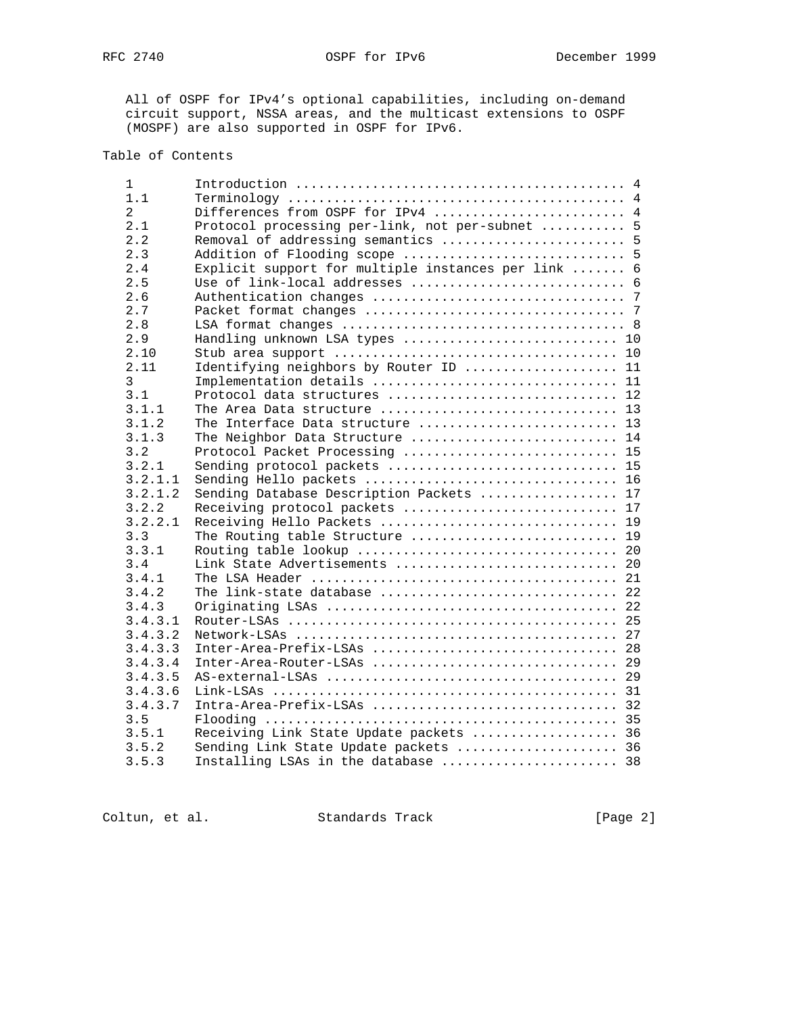All of OSPF for IPv4's optional capabilities, including on-demand circuit support, NSSA areas, and the multicast extensions to OSPF (MOSPF) are also supported in OSPF for IPv6.

# Table of Contents

| 1              |                                                       |
|----------------|-------------------------------------------------------|
| 1.1            |                                                       |
| $\overline{2}$ | Differences from OSPF for IPv4  4                     |
| 2.1            | Protocol processing per-link, not per-subnet  5       |
| 2.2            | Removal of addressing semantics  5                    |
| 2.3            | Addition of Flooding scope  5                         |
| 2.4            | 6<br>Explicit support for multiple instances per link |
| 2.5            |                                                       |
| 2.6            |                                                       |
| 2.7            |                                                       |
| 2.8            |                                                       |
| 2.9            | Handling unknown LSA types  10                        |
| 2.10           |                                                       |
| 2.11           | Identifying neighbors by Router ID  11                |
| 3              | Implementation details  11                            |
| 3.1            | Protocol data structures  12                          |
| 3.1.1          |                                                       |
| 3.1.2          | The Interface Data structure  13                      |
| 3.1.3          | The Neighbor Data Structure  14                       |
| 3.2            | Protocol Packet Processing  15                        |
| 3.2.1          | Sending protocol packets  15                          |
| 3.2.1.1        | Sending Hello packets  16                             |
| 3.2.1.2        | Sending Database Description Packets  17              |
| 3.2.2          | Receiving protocol packets  17                        |
| 3.2.2.1        | Receiving Hello Packets  19                           |
| 3.3            | The Routing table Structure  19                       |
| 3.3.1          |                                                       |
| 3.4            | Link State Advertisements  20                         |
| 3.4.1          |                                                       |
| 3.4.2          | The link-state database  22                           |
| 3.4.3          |                                                       |
| 3.4.3.1        |                                                       |
| 3.4.3.2        |                                                       |
| 3.4.3.3        |                                                       |
| 3.4.3.4        |                                                       |
| 3.4.3.5        |                                                       |
| 3.4.3.6        |                                                       |
| 3.4.3.7        |                                                       |
| 3.5            |                                                       |
| 3.5.1          | Receiving Link State Update packets  36               |
| 3.5.2          | Sending Link State Update packets  36                 |
| 3.5.3          | Installing LSAs in the database  38                   |
|                |                                                       |

Coltun, et al. Standards Track [Page 2]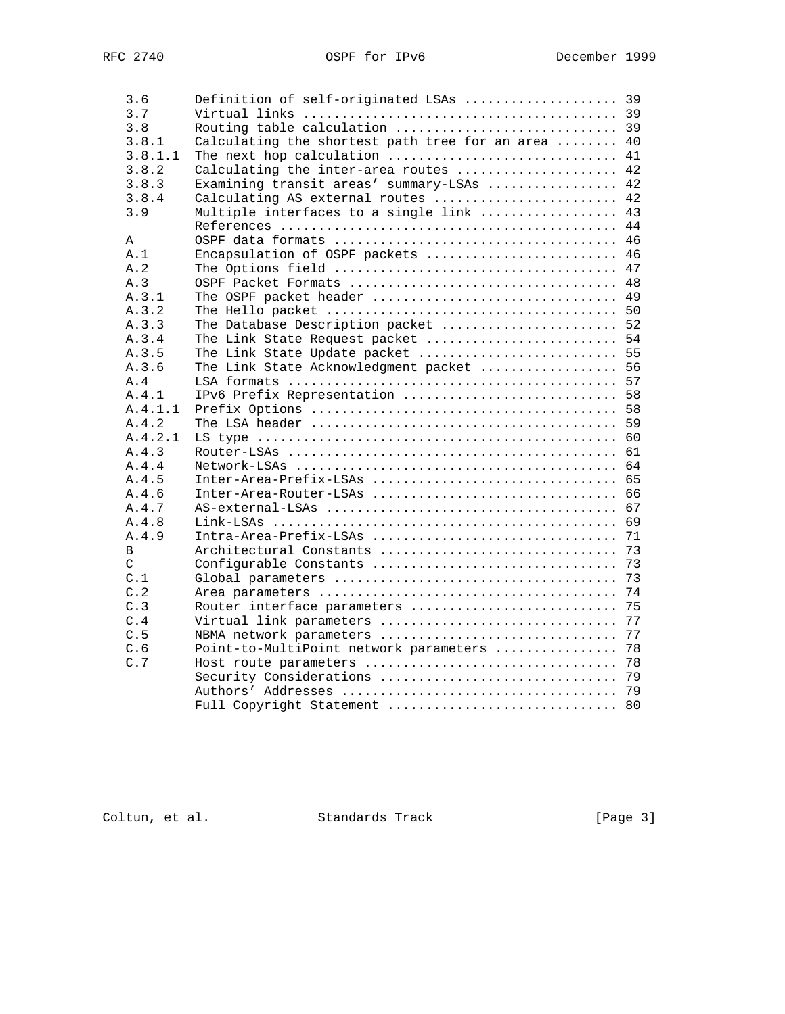| 3.6           | Definition of self-originated LSAs  39             |    |
|---------------|----------------------------------------------------|----|
| 3.7           |                                                    |    |
| 3.8           | Routing table calculation  39                      |    |
| 3.8.1         | Calculating the shortest path tree for an area  40 |    |
| 3.8.1.1       | The next hop calculation  41                       |    |
| 3.8.2         | Calculating the inter-area routes  42              |    |
| 3.8.3         | Examining transit areas' summary-LSAs  42          |    |
| 3.8.4         | Calculating AS external routes  42                 |    |
| 3.9           | Multiple interfaces to a single link  43           |    |
|               |                                                    |    |
| A             |                                                    |    |
| A.1           | Encapsulation of OSPF packets  46                  |    |
| A.2           |                                                    |    |
| A.3           | OSPF Packet Formats  48                            |    |
| A.3.1         | The OSPF packet header  49                         |    |
| A.3.2         |                                                    |    |
| A.3.3         | The Database Description packet  52                |    |
| A.3.4         | The Link State Request packet  54                  |    |
| A.3.5         | The Link State Update packet  55                   |    |
| A.3.6         | The Link State Acknowledgment packet  56           |    |
| A.4           |                                                    |    |
| A.4.1         | IPv6 Prefix Representation  58                     |    |
| A.4.1.1       |                                                    |    |
| A.4.2         |                                                    |    |
| A.4.2.1       |                                                    |    |
| A.4.3         |                                                    |    |
| A.4.4         |                                                    |    |
| A.4.5         | Inter-Area-Prefix-LSAs  65                         |    |
| A.4.6         | Inter-Area-Router-LSAs  66                         |    |
| A.4.7         |                                                    |    |
| A.4.8         |                                                    |    |
| A.4.9         |                                                    |    |
| B             |                                                    |    |
| $\mathcal{C}$ |                                                    |    |
| C.1           |                                                    |    |
| C.2           |                                                    |    |
| C.3           | Router interface parameters  75                    |    |
| C.4           | Virtual link parameters                            | 77 |
| C.5           | NBMA network parameters                            | 77 |
| C.6           | Point-to-MultiPoint network parameters  78         |    |
| C.7           |                                                    |    |
|               |                                                    |    |
|               |                                                    |    |
|               | Full Copyright Statement  80                       |    |
|               |                                                    |    |

Coltun, et al. Standards Track [Page 3]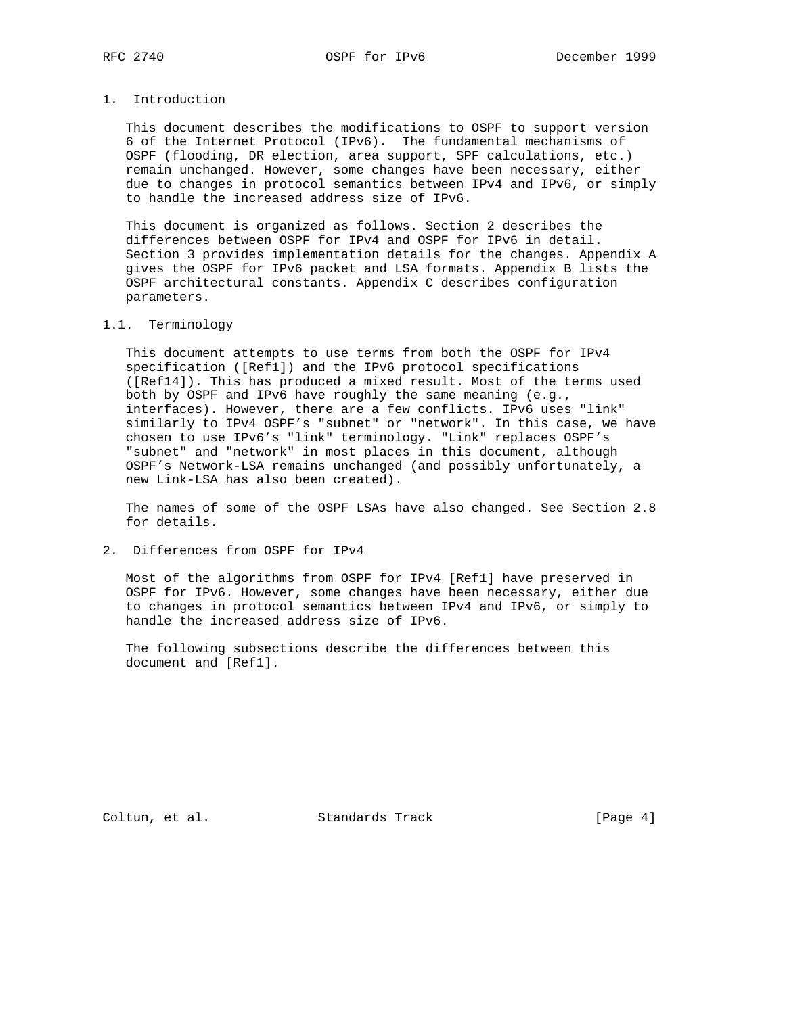# 1. Introduction

 This document describes the modifications to OSPF to support version 6 of the Internet Protocol (IPv6). The fundamental mechanisms of OSPF (flooding, DR election, area support, SPF calculations, etc.) remain unchanged. However, some changes have been necessary, either due to changes in protocol semantics between IPv4 and IPv6, or simply to handle the increased address size of IPv6.

 This document is organized as follows. Section 2 describes the differences between OSPF for IPv4 and OSPF for IPv6 in detail. Section 3 provides implementation details for the changes. Appendix A gives the OSPF for IPv6 packet and LSA formats. Appendix B lists the OSPF architectural constants. Appendix C describes configuration parameters.

## 1.1. Terminology

 This document attempts to use terms from both the OSPF for IPv4 specification ([Ref1]) and the IPv6 protocol specifications ([Ref14]). This has produced a mixed result. Most of the terms used both by OSPF and IPv6 have roughly the same meaning (e.g., interfaces). However, there are a few conflicts. IPv6 uses "link" similarly to IPv4 OSPF's "subnet" or "network". In this case, we have chosen to use IPv6's "link" terminology. "Link" replaces OSPF's "subnet" and "network" in most places in this document, although OSPF's Network-LSA remains unchanged (and possibly unfortunately, a new Link-LSA has also been created).

 The names of some of the OSPF LSAs have also changed. See Section 2.8 for details.

## 2. Differences from OSPF for IPv4

 Most of the algorithms from OSPF for IPv4 [Ref1] have preserved in OSPF for IPv6. However, some changes have been necessary, either due to changes in protocol semantics between IPv4 and IPv6, or simply to handle the increased address size of IPv6.

 The following subsections describe the differences between this document and [Ref1].

Coltun, et al. Standards Track [Page 4]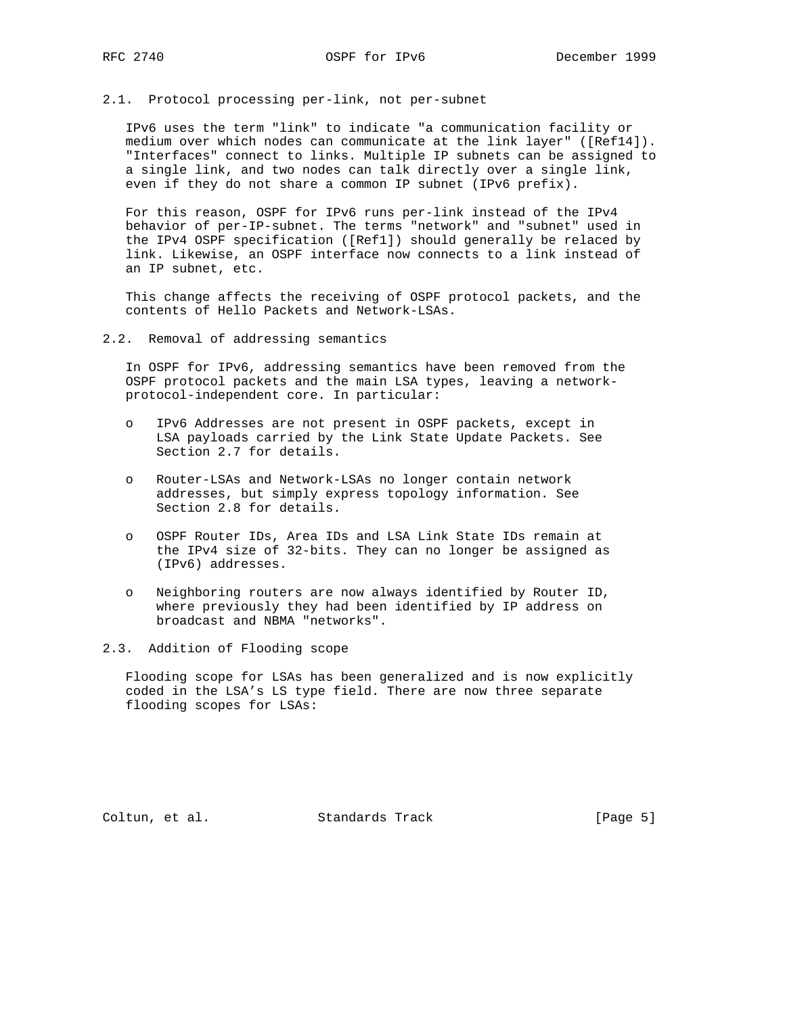2.1. Protocol processing per-link, not per-subnet

 IPv6 uses the term "link" to indicate "a communication facility or medium over which nodes can communicate at the link layer" ([Ref14]). "Interfaces" connect to links. Multiple IP subnets can be assigned to a single link, and two nodes can talk directly over a single link, even if they do not share a common IP subnet (IPv6 prefix).

 For this reason, OSPF for IPv6 runs per-link instead of the IPv4 behavior of per-IP-subnet. The terms "network" and "subnet" used in the IPv4 OSPF specification ([Ref1]) should generally be relaced by link. Likewise, an OSPF interface now connects to a link instead of an IP subnet, etc.

 This change affects the receiving of OSPF protocol packets, and the contents of Hello Packets and Network-LSAs.

2.2. Removal of addressing semantics

 In OSPF for IPv6, addressing semantics have been removed from the OSPF protocol packets and the main LSA types, leaving a network protocol-independent core. In particular:

- o IPv6 Addresses are not present in OSPF packets, except in LSA payloads carried by the Link State Update Packets. See Section 2.7 for details.
- o Router-LSAs and Network-LSAs no longer contain network addresses, but simply express topology information. See Section 2.8 for details.
- o OSPF Router IDs, Area IDs and LSA Link State IDs remain at the IPv4 size of 32-bits. They can no longer be assigned as (IPv6) addresses.
- o Neighboring routers are now always identified by Router ID, where previously they had been identified by IP address on broadcast and NBMA "networks".

2.3. Addition of Flooding scope

 Flooding scope for LSAs has been generalized and is now explicitly coded in the LSA's LS type field. There are now three separate flooding scopes for LSAs:

Coltun, et al. Standards Track [Page 5]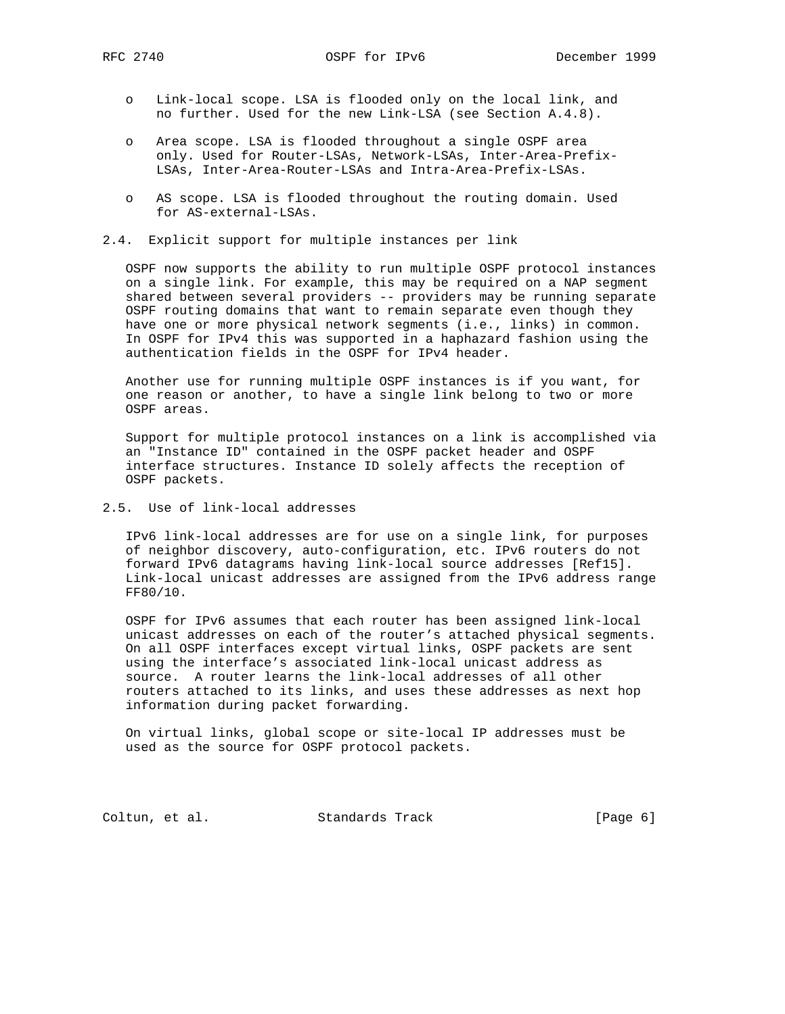- o Link-local scope. LSA is flooded only on the local link, and no further. Used for the new Link-LSA (see Section A.4.8).
- o Area scope. LSA is flooded throughout a single OSPF area only. Used for Router-LSAs, Network-LSAs, Inter-Area-Prefix- LSAs, Inter-Area-Router-LSAs and Intra-Area-Prefix-LSAs.
- o AS scope. LSA is flooded throughout the routing domain. Used for AS-external-LSAs.
- 2.4. Explicit support for multiple instances per link

 OSPF now supports the ability to run multiple OSPF protocol instances on a single link. For example, this may be required on a NAP segment shared between several providers -- providers may be running separate OSPF routing domains that want to remain separate even though they have one or more physical network segments (i.e., links) in common. In OSPF for IPv4 this was supported in a haphazard fashion using the authentication fields in the OSPF for IPv4 header.

 Another use for running multiple OSPF instances is if you want, for one reason or another, to have a single link belong to two or more OSPF areas.

 Support for multiple protocol instances on a link is accomplished via an "Instance ID" contained in the OSPF packet header and OSPF interface structures. Instance ID solely affects the reception of OSPF packets.

2.5. Use of link-local addresses

 IPv6 link-local addresses are for use on a single link, for purposes of neighbor discovery, auto-configuration, etc. IPv6 routers do not forward IPv6 datagrams having link-local source addresses [Ref15]. Link-local unicast addresses are assigned from the IPv6 address range FF80/10.

 OSPF for IPv6 assumes that each router has been assigned link-local unicast addresses on each of the router's attached physical segments. On all OSPF interfaces except virtual links, OSPF packets are sent using the interface's associated link-local unicast address as source. A router learns the link-local addresses of all other routers attached to its links, and uses these addresses as next hop information during packet forwarding.

 On virtual links, global scope or site-local IP addresses must be used as the source for OSPF protocol packets.

Coltun, et al. Standards Track [Page 6]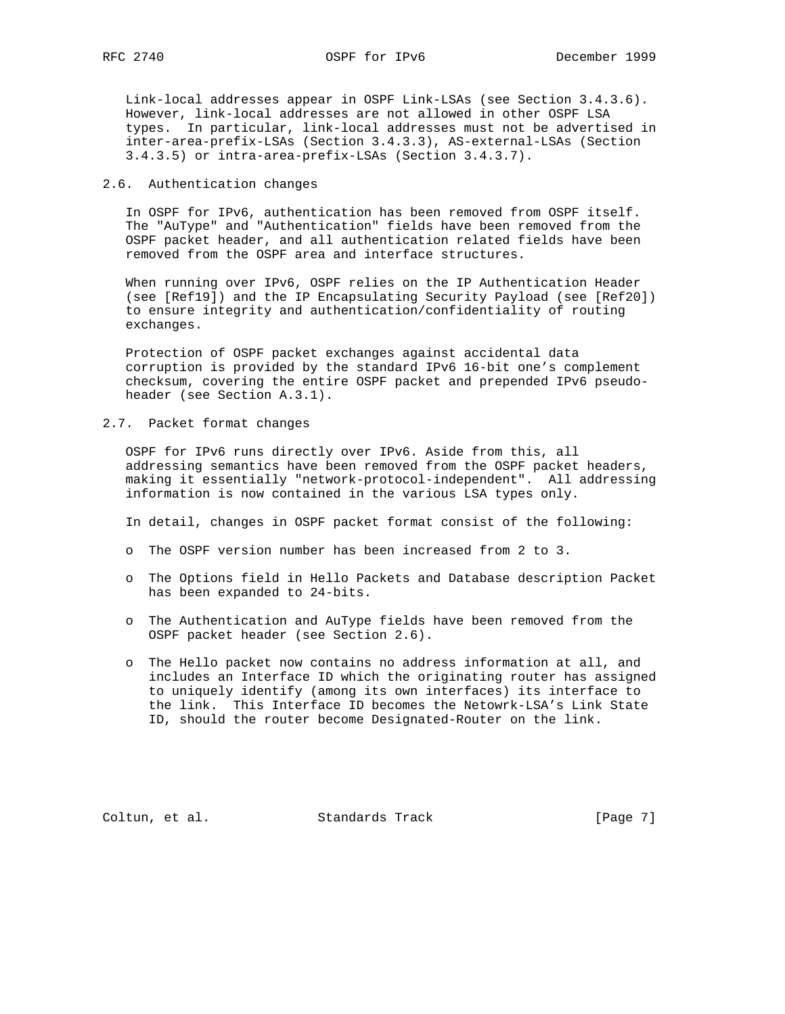Link-local addresses appear in OSPF Link-LSAs (see Section 3.4.3.6). However, link-local addresses are not allowed in other OSPF LSA types. In particular, link-local addresses must not be advertised in inter-area-prefix-LSAs (Section 3.4.3.3), AS-external-LSAs (Section 3.4.3.5) or intra-area-prefix-LSAs (Section 3.4.3.7).

#### 2.6. Authentication changes

 In OSPF for IPv6, authentication has been removed from OSPF itself. The "AuType" and "Authentication" fields have been removed from the OSPF packet header, and all authentication related fields have been removed from the OSPF area and interface structures.

 When running over IPv6, OSPF relies on the IP Authentication Header (see [Ref19]) and the IP Encapsulating Security Payload (see [Ref20]) to ensure integrity and authentication/confidentiality of routing exchanges.

 Protection of OSPF packet exchanges against accidental data corruption is provided by the standard IPv6 16-bit one's complement checksum, covering the entire OSPF packet and prepended IPv6 pseudo header (see Section A.3.1).

## 2.7. Packet format changes

 OSPF for IPv6 runs directly over IPv6. Aside from this, all addressing semantics have been removed from the OSPF packet headers, making it essentially "network-protocol-independent". All addressing information is now contained in the various LSA types only.

In detail, changes in OSPF packet format consist of the following:

- o The OSPF version number has been increased from 2 to 3.
- o The Options field in Hello Packets and Database description Packet has been expanded to 24-bits.
- o The Authentication and AuType fields have been removed from the OSPF packet header (see Section 2.6).
- o The Hello packet now contains no address information at all, and includes an Interface ID which the originating router has assigned to uniquely identify (among its own interfaces) its interface to the link. This Interface ID becomes the Netowrk-LSA's Link State ID, should the router become Designated-Router on the link.

Coltun, et al. Standards Track [Page 7]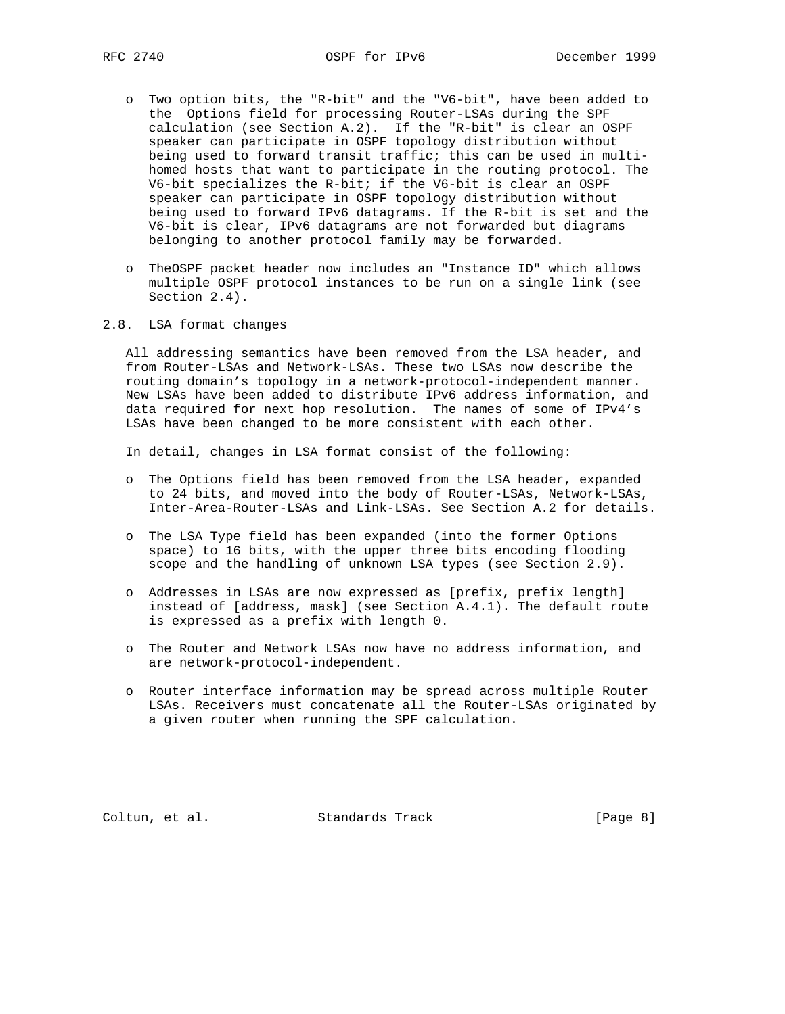- o Two option bits, the "R-bit" and the "V6-bit", have been added to the Options field for processing Router-LSAs during the SPF calculation (see Section A.2). If the "R-bit" is clear an OSPF speaker can participate in OSPF topology distribution without being used to forward transit traffic; this can be used in multi homed hosts that want to participate in the routing protocol. The V6-bit specializes the R-bit; if the V6-bit is clear an OSPF speaker can participate in OSPF topology distribution without being used to forward IPv6 datagrams. If the R-bit is set and the V6-bit is clear, IPv6 datagrams are not forwarded but diagrams belonging to another protocol family may be forwarded.
- o TheOSPF packet header now includes an "Instance ID" which allows multiple OSPF protocol instances to be run on a single link (see Section 2.4).
- 2.8. LSA format changes

 All addressing semantics have been removed from the LSA header, and from Router-LSAs and Network-LSAs. These two LSAs now describe the routing domain's topology in a network-protocol-independent manner. New LSAs have been added to distribute IPv6 address information, and data required for next hop resolution. The names of some of IPv4's LSAs have been changed to be more consistent with each other.

In detail, changes in LSA format consist of the following:

- o The Options field has been removed from the LSA header, expanded to 24 bits, and moved into the body of Router-LSAs, Network-LSAs, Inter-Area-Router-LSAs and Link-LSAs. See Section A.2 for details.
- o The LSA Type field has been expanded (into the former Options space) to 16 bits, with the upper three bits encoding flooding scope and the handling of unknown LSA types (see Section 2.9).
- o Addresses in LSAs are now expressed as [prefix, prefix length] instead of [address, mask] (see Section A.4.1). The default route is expressed as a prefix with length 0.
- o The Router and Network LSAs now have no address information, and are network-protocol-independent.
- o Router interface information may be spread across multiple Router LSAs. Receivers must concatenate all the Router-LSAs originated by a given router when running the SPF calculation.

Coltun, et al. Standards Track [Page 8]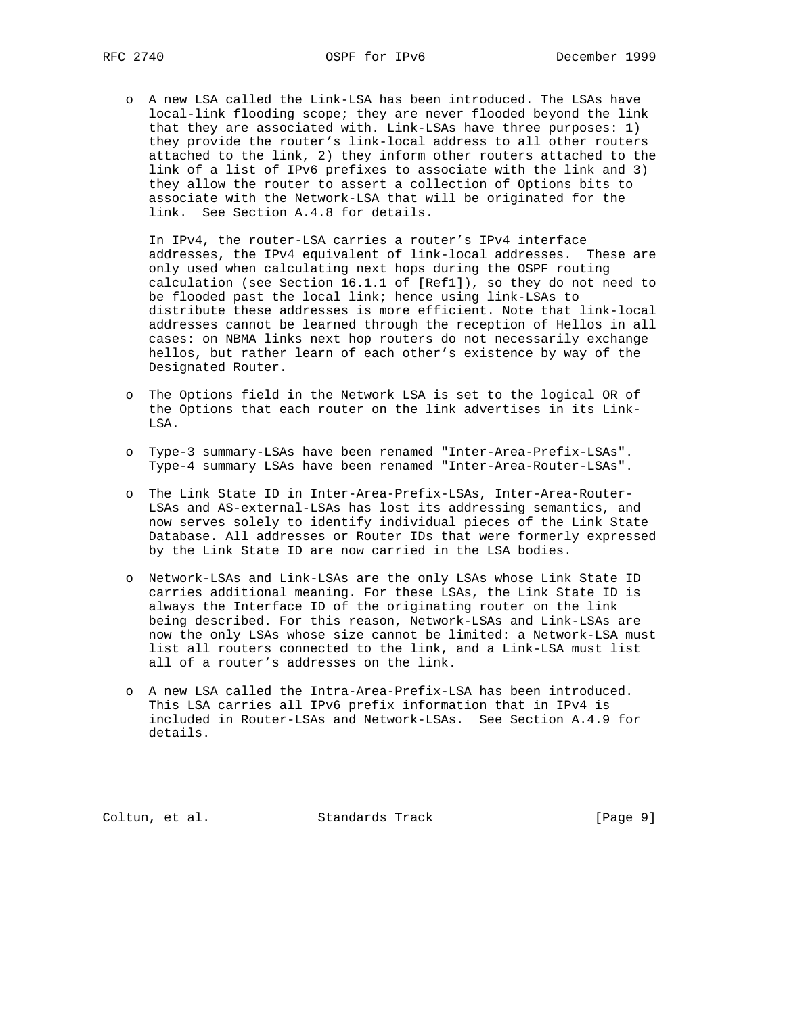o A new LSA called the Link-LSA has been introduced. The LSAs have local-link flooding scope; they are never flooded beyond the link that they are associated with. Link-LSAs have three purposes: 1) they provide the router's link-local address to all other routers attached to the link, 2) they inform other routers attached to the link of a list of IPv6 prefixes to associate with the link and 3) they allow the router to assert a collection of Options bits to associate with the Network-LSA that will be originated for the link. See Section A.4.8 for details.

 In IPv4, the router-LSA carries a router's IPv4 interface addresses, the IPv4 equivalent of link-local addresses. These are only used when calculating next hops during the OSPF routing calculation (see Section 16.1.1 of [Ref1]), so they do not need to be flooded past the local link; hence using link-LSAs to distribute these addresses is more efficient. Note that link-local addresses cannot be learned through the reception of Hellos in all cases: on NBMA links next hop routers do not necessarily exchange hellos, but rather learn of each other's existence by way of the Designated Router.

- o The Options field in the Network LSA is set to the logical OR of the Options that each router on the link advertises in its Link- LSA.
- o Type-3 summary-LSAs have been renamed "Inter-Area-Prefix-LSAs". Type-4 summary LSAs have been renamed "Inter-Area-Router-LSAs".
- o The Link State ID in Inter-Area-Prefix-LSAs, Inter-Area-Router- LSAs and AS-external-LSAs has lost its addressing semantics, and now serves solely to identify individual pieces of the Link State Database. All addresses or Router IDs that were formerly expressed by the Link State ID are now carried in the LSA bodies.
- o Network-LSAs and Link-LSAs are the only LSAs whose Link State ID carries additional meaning. For these LSAs, the Link State ID is always the Interface ID of the originating router on the link being described. For this reason, Network-LSAs and Link-LSAs are now the only LSAs whose size cannot be limited: a Network-LSA must list all routers connected to the link, and a Link-LSA must list all of a router's addresses on the link.
- o A new LSA called the Intra-Area-Prefix-LSA has been introduced. This LSA carries all IPv6 prefix information that in IPv4 is included in Router-LSAs and Network-LSAs. See Section A.4.9 for details.

Coltun, et al. Standards Track [Page 9]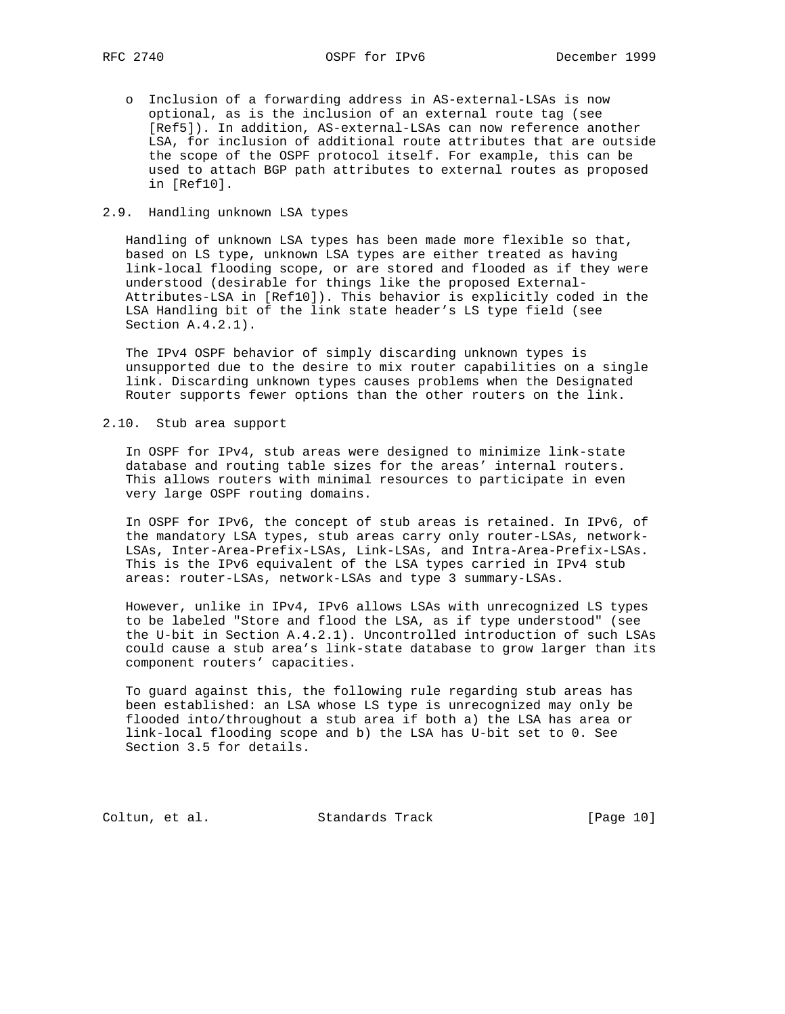o Inclusion of a forwarding address in AS-external-LSAs is now optional, as is the inclusion of an external route tag (see [Ref5]). In addition, AS-external-LSAs can now reference another LSA, for inclusion of additional route attributes that are outside the scope of the OSPF protocol itself. For example, this can be used to attach BGP path attributes to external routes as proposed in [Ref10].

## 2.9. Handling unknown LSA types

 Handling of unknown LSA types has been made more flexible so that, based on LS type, unknown LSA types are either treated as having link-local flooding scope, or are stored and flooded as if they were understood (desirable for things like the proposed External- Attributes-LSA in [Ref10]). This behavior is explicitly coded in the LSA Handling bit of the link state header's LS type field (see Section A.4.2.1).

 The IPv4 OSPF behavior of simply discarding unknown types is unsupported due to the desire to mix router capabilities on a single link. Discarding unknown types causes problems when the Designated Router supports fewer options than the other routers on the link.

## 2.10. Stub area support

 In OSPF for IPv4, stub areas were designed to minimize link-state database and routing table sizes for the areas' internal routers. This allows routers with minimal resources to participate in even very large OSPF routing domains.

 In OSPF for IPv6, the concept of stub areas is retained. In IPv6, of the mandatory LSA types, stub areas carry only router-LSAs, network- LSAs, Inter-Area-Prefix-LSAs, Link-LSAs, and Intra-Area-Prefix-LSAs. This is the IPv6 equivalent of the LSA types carried in IPv4 stub areas: router-LSAs, network-LSAs and type 3 summary-LSAs.

 However, unlike in IPv4, IPv6 allows LSAs with unrecognized LS types to be labeled "Store and flood the LSA, as if type understood" (see the U-bit in Section A.4.2.1). Uncontrolled introduction of such LSAs could cause a stub area's link-state database to grow larger than its component routers' capacities.

 To guard against this, the following rule regarding stub areas has been established: an LSA whose LS type is unrecognized may only be flooded into/throughout a stub area if both a) the LSA has area or link-local flooding scope and b) the LSA has U-bit set to 0. See Section 3.5 for details.

Coltun, et al. Standards Track [Page 10]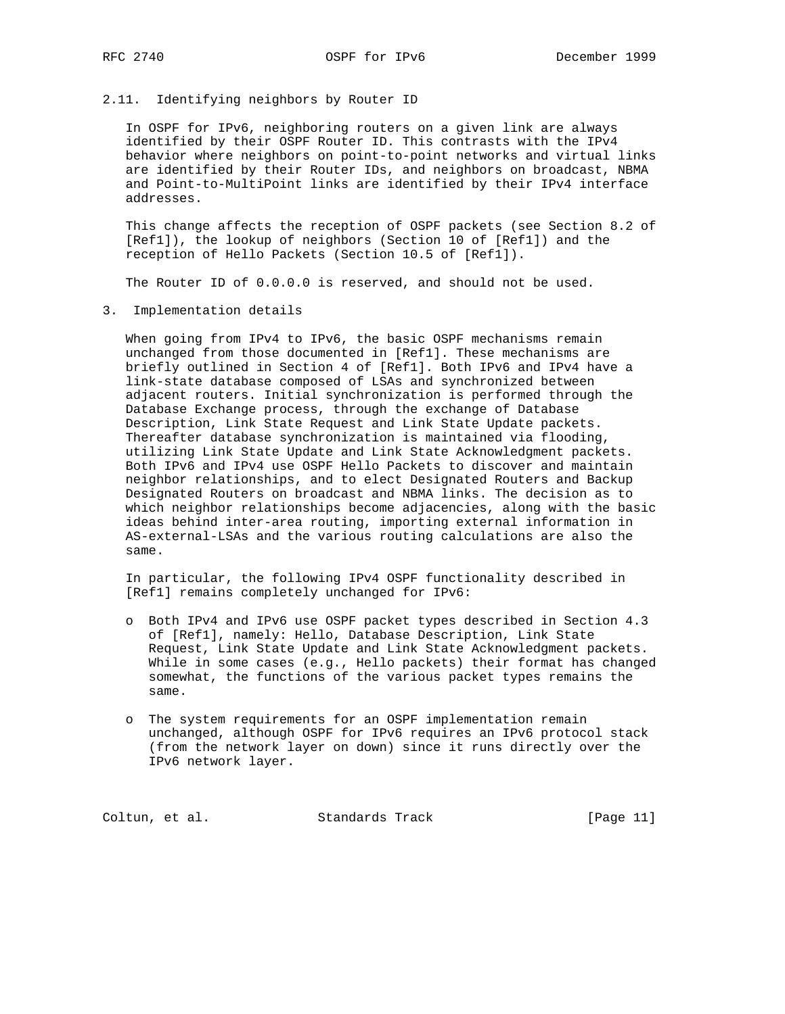## 2.11. Identifying neighbors by Router ID

 In OSPF for IPv6, neighboring routers on a given link are always identified by their OSPF Router ID. This contrasts with the IPv4 behavior where neighbors on point-to-point networks and virtual links are identified by their Router IDs, and neighbors on broadcast, NBMA and Point-to-MultiPoint links are identified by their IPv4 interface addresses.

 This change affects the reception of OSPF packets (see Section 8.2 of [Ref1]), the lookup of neighbors (Section 10 of [Ref1]) and the reception of Hello Packets (Section 10.5 of [Ref1]).

The Router ID of 0.0.0.0 is reserved, and should not be used.

3. Implementation details

 When going from IPv4 to IPv6, the basic OSPF mechanisms remain unchanged from those documented in [Ref1]. These mechanisms are briefly outlined in Section 4 of [Ref1]. Both IPv6 and IPv4 have a link-state database composed of LSAs and synchronized between adjacent routers. Initial synchronization is performed through the Database Exchange process, through the exchange of Database Description, Link State Request and Link State Update packets. Thereafter database synchronization is maintained via flooding, utilizing Link State Update and Link State Acknowledgment packets. Both IPv6 and IPv4 use OSPF Hello Packets to discover and maintain neighbor relationships, and to elect Designated Routers and Backup Designated Routers on broadcast and NBMA links. The decision as to which neighbor relationships become adjacencies, along with the basic ideas behind inter-area routing, importing external information in AS-external-LSAs and the various routing calculations are also the same.

 In particular, the following IPv4 OSPF functionality described in [Ref1] remains completely unchanged for IPv6:

- o Both IPv4 and IPv6 use OSPF packet types described in Section 4.3 of [Ref1], namely: Hello, Database Description, Link State Request, Link State Update and Link State Acknowledgment packets. While in some cases (e.g., Hello packets) their format has changed somewhat, the functions of the various packet types remains the same.
- o The system requirements for an OSPF implementation remain unchanged, although OSPF for IPv6 requires an IPv6 protocol stack (from the network layer on down) since it runs directly over the IPv6 network layer.

Coltun, et al. Standards Track [Page 11]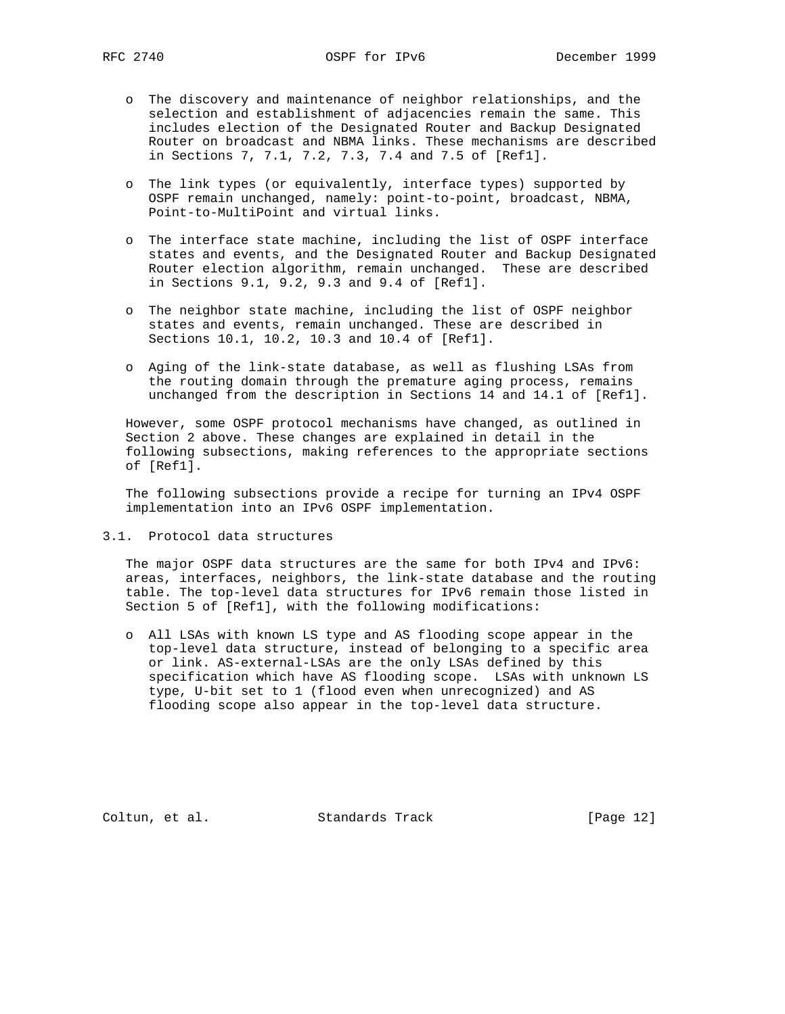- o The discovery and maintenance of neighbor relationships, and the selection and establishment of adjacencies remain the same. This includes election of the Designated Router and Backup Designated Router on broadcast and NBMA links. These mechanisms are described in Sections 7, 7.1, 7.2, 7.3, 7.4 and 7.5 of [Ref1].
- o The link types (or equivalently, interface types) supported by OSPF remain unchanged, namely: point-to-point, broadcast, NBMA, Point-to-MultiPoint and virtual links.
- o The interface state machine, including the list of OSPF interface states and events, and the Designated Router and Backup Designated Router election algorithm, remain unchanged. These are described in Sections 9.1, 9.2, 9.3 and 9.4 of [Ref1].
- o The neighbor state machine, including the list of OSPF neighbor states and events, remain unchanged. These are described in Sections 10.1, 10.2, 10.3 and 10.4 of [Ref1].
- o Aging of the link-state database, as well as flushing LSAs from the routing domain through the premature aging process, remains unchanged from the description in Sections 14 and 14.1 of [Ref1].

 However, some OSPF protocol mechanisms have changed, as outlined in Section 2 above. These changes are explained in detail in the following subsections, making references to the appropriate sections of [Ref1].

 The following subsections provide a recipe for turning an IPv4 OSPF implementation into an IPv6 OSPF implementation.

3.1. Protocol data structures

 The major OSPF data structures are the same for both IPv4 and IPv6: areas, interfaces, neighbors, the link-state database and the routing table. The top-level data structures for IPv6 remain those listed in Section 5 of [Ref1], with the following modifications:

 o All LSAs with known LS type and AS flooding scope appear in the top-level data structure, instead of belonging to a specific area or link. AS-external-LSAs are the only LSAs defined by this specification which have AS flooding scope. LSAs with unknown LS type, U-bit set to 1 (flood even when unrecognized) and AS flooding scope also appear in the top-level data structure.

Coltun, et al. Standards Track [Page 12]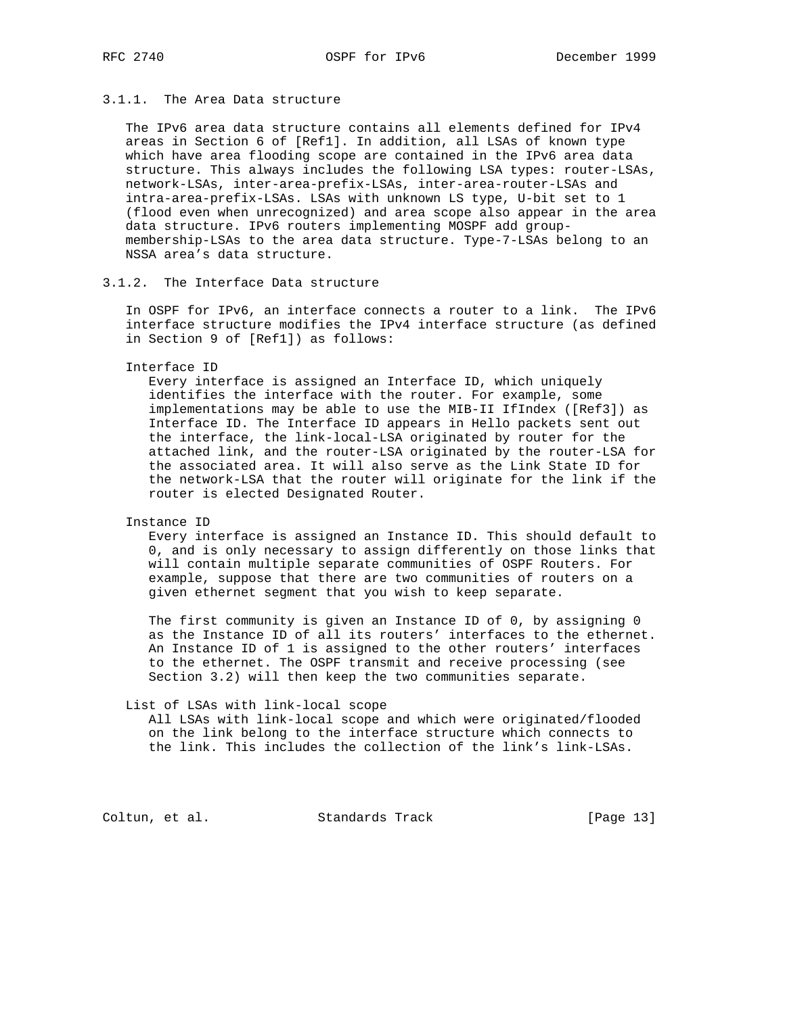# 3.1.1. The Area Data structure

 The IPv6 area data structure contains all elements defined for IPv4 areas in Section 6 of [Ref1]. In addition, all LSAs of known type which have area flooding scope are contained in the IPv6 area data structure. This always includes the following LSA types: router-LSAs, network-LSAs, inter-area-prefix-LSAs, inter-area-router-LSAs and intra-area-prefix-LSAs. LSAs with unknown LS type, U-bit set to 1 (flood even when unrecognized) and area scope also appear in the area data structure. IPv6 routers implementing MOSPF add group membership-LSAs to the area data structure. Type-7-LSAs belong to an NSSA area's data structure.

# 3.1.2. The Interface Data structure

 In OSPF for IPv6, an interface connects a router to a link. The IPv6 interface structure modifies the IPv4 interface structure (as defined in Section 9 of [Ref1]) as follows:

#### Interface ID

 Every interface is assigned an Interface ID, which uniquely identifies the interface with the router. For example, some implementations may be able to use the MIB-II IfIndex ([Ref3]) as Interface ID. The Interface ID appears in Hello packets sent out the interface, the link-local-LSA originated by router for the attached link, and the router-LSA originated by the router-LSA for the associated area. It will also serve as the Link State ID for the network-LSA that the router will originate for the link if the router is elected Designated Router.

## Instance ID

 Every interface is assigned an Instance ID. This should default to 0, and is only necessary to assign differently on those links that will contain multiple separate communities of OSPF Routers. For example, suppose that there are two communities of routers on a given ethernet segment that you wish to keep separate.

 The first community is given an Instance ID of 0, by assigning 0 as the Instance ID of all its routers' interfaces to the ethernet. An Instance ID of 1 is assigned to the other routers' interfaces to the ethernet. The OSPF transmit and receive processing (see Section 3.2) will then keep the two communities separate.

#### List of LSAs with link-local scope

 All LSAs with link-local scope and which were originated/flooded on the link belong to the interface structure which connects to the link. This includes the collection of the link's link-LSAs.

Coltun, et al. Standards Track [Page 13]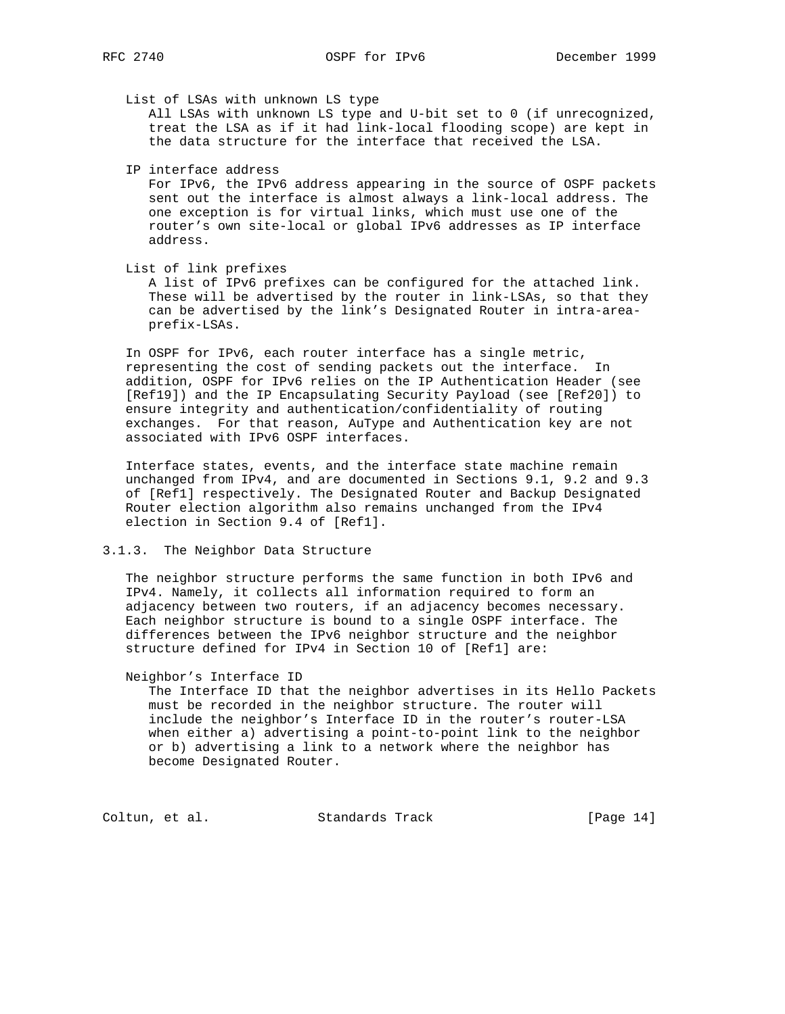List of LSAs with unknown LS type

 All LSAs with unknown LS type and U-bit set to 0 (if unrecognized, treat the LSA as if it had link-local flooding scope) are kept in the data structure for the interface that received the LSA.

IP interface address

 For IPv6, the IPv6 address appearing in the source of OSPF packets sent out the interface is almost always a link-local address. The one exception is for virtual links, which must use one of the router's own site-local or global IPv6 addresses as IP interface address.

List of link prefixes

 A list of IPv6 prefixes can be configured for the attached link. These will be advertised by the router in link-LSAs, so that they can be advertised by the link's Designated Router in intra-area prefix-LSAs.

 In OSPF for IPv6, each router interface has a single metric, representing the cost of sending packets out the interface. In addition, OSPF for IPv6 relies on the IP Authentication Header (see [Ref19]) and the IP Encapsulating Security Payload (see [Ref20]) to ensure integrity and authentication/confidentiality of routing exchanges. For that reason, AuType and Authentication key are not associated with IPv6 OSPF interfaces.

 Interface states, events, and the interface state machine remain unchanged from IPv4, and are documented in Sections 9.1, 9.2 and 9.3 of [Ref1] respectively. The Designated Router and Backup Designated Router election algorithm also remains unchanged from the IPv4 election in Section 9.4 of [Ref1].

#### 3.1.3. The Neighbor Data Structure

 The neighbor structure performs the same function in both IPv6 and IPv4. Namely, it collects all information required to form an adjacency between two routers, if an adjacency becomes necessary. Each neighbor structure is bound to a single OSPF interface. The differences between the IPv6 neighbor structure and the neighbor structure defined for IPv4 in Section 10 of [Ref1] are:

Neighbor's Interface ID

 The Interface ID that the neighbor advertises in its Hello Packets must be recorded in the neighbor structure. The router will include the neighbor's Interface ID in the router's router-LSA when either a) advertising a point-to-point link to the neighbor or b) advertising a link to a network where the neighbor has become Designated Router.

Coltun, et al. Standards Track [Page 14]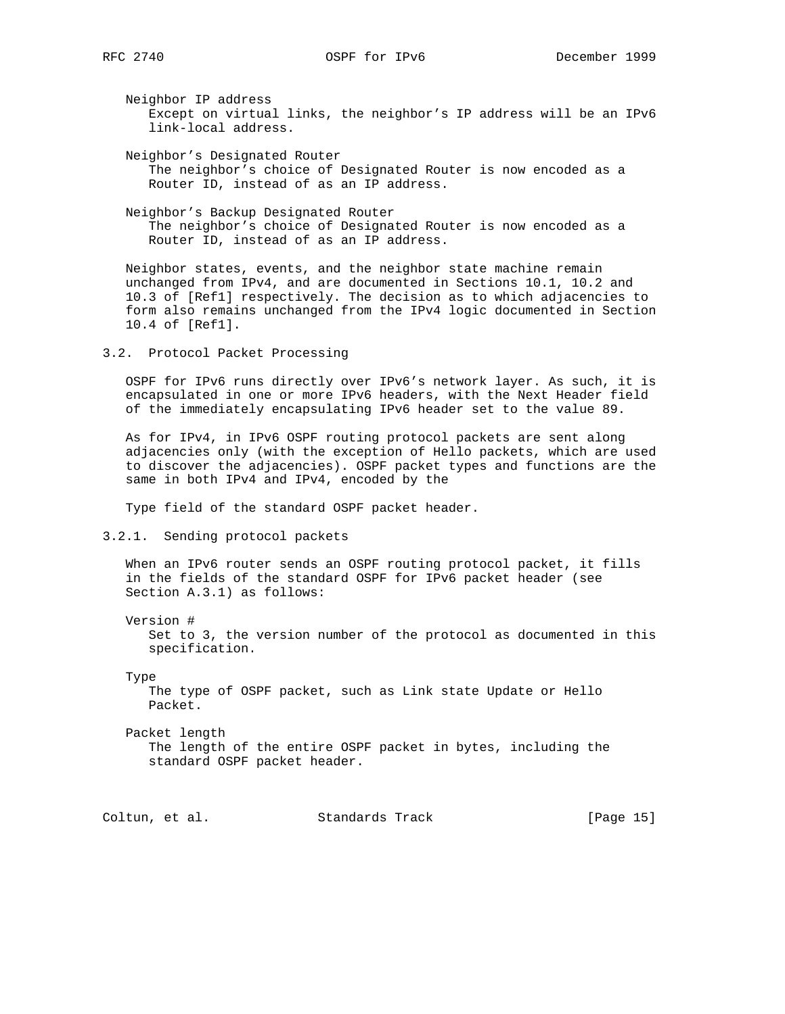Neighbor IP address Except on virtual links, the neighbor's IP address will be an IPv6 link-local address.

 Neighbor's Designated Router The neighbor's choice of Designated Router is now encoded as a Router ID, instead of as an IP address.

 Neighbor's Backup Designated Router The neighbor's choice of Designated Router is now encoded as a Router ID, instead of as an IP address.

 Neighbor states, events, and the neighbor state machine remain unchanged from IPv4, and are documented in Sections 10.1, 10.2 and 10.3 of [Ref1] respectively. The decision as to which adjacencies to form also remains unchanged from the IPv4 logic documented in Section 10.4 of [Ref1].

3.2. Protocol Packet Processing

 OSPF for IPv6 runs directly over IPv6's network layer. As such, it is encapsulated in one or more IPv6 headers, with the Next Header field of the immediately encapsulating IPv6 header set to the value 89.

 As for IPv4, in IPv6 OSPF routing protocol packets are sent along adjacencies only (with the exception of Hello packets, which are used to discover the adjacencies). OSPF packet types and functions are the same in both IPv4 and IPv4, encoded by the

Type field of the standard OSPF packet header.

3.2.1. Sending protocol packets

 When an IPv6 router sends an OSPF routing protocol packet, it fills in the fields of the standard OSPF for IPv6 packet header (see Section A.3.1) as follows:

Version #

 Set to 3, the version number of the protocol as documented in this specification.

Type

 The type of OSPF packet, such as Link state Update or Hello Packet.

 Packet length The length of the entire OSPF packet in bytes, including the standard OSPF packet header.

Coltun, et al. Standards Track [Page 15]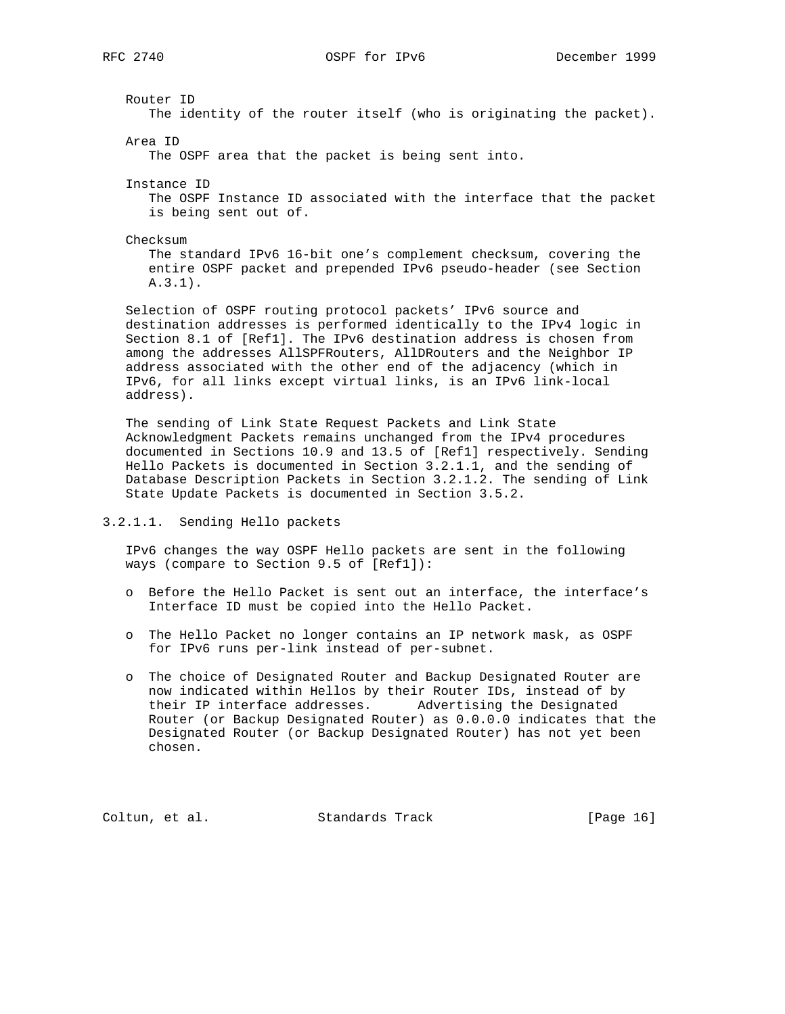Router ID The identity of the router itself (who is originating the packet). Area ID The OSPF area that the packet is being sent into. Instance ID The OSPF Instance ID associated with the interface that the packet is being sent out of. Checksum The standard IPv6 16-bit one's complement checksum, covering the entire OSPF packet and prepended IPv6 pseudo-header (see Section A.3.1). Selection of OSPF routing protocol packets' IPv6 source and destination addresses is performed identically to the IPv4 logic in Section 8.1 of [Ref1]. The IPv6 destination address is chosen from among the addresses AllSPFRouters, AllDRouters and the Neighbor IP address associated with the other end of the adjacency (which in IPv6, for all links except virtual links, is an IPv6 link-local address). The sending of Link State Request Packets and Link State

 Acknowledgment Packets remains unchanged from the IPv4 procedures documented in Sections 10.9 and 13.5 of [Ref1] respectively. Sending Hello Packets is documented in Section 3.2.1.1, and the sending of Database Description Packets in Section 3.2.1.2. The sending of Link State Update Packets is documented in Section 3.5.2.

## 3.2.1.1. Sending Hello packets

 IPv6 changes the way OSPF Hello packets are sent in the following ways (compare to Section 9.5 of [Ref1]):

- o Before the Hello Packet is sent out an interface, the interface's Interface ID must be copied into the Hello Packet.
- o The Hello Packet no longer contains an IP network mask, as OSPF for IPv6 runs per-link instead of per-subnet.
- o The choice of Designated Router and Backup Designated Router are now indicated within Hellos by their Router IDs, instead of by their IP interface addresses. Advertising the Designated Router (or Backup Designated Router) as 0.0.0.0 indicates that the Designated Router (or Backup Designated Router) has not yet been chosen.

Coltun, et al. Standards Track [Page 16]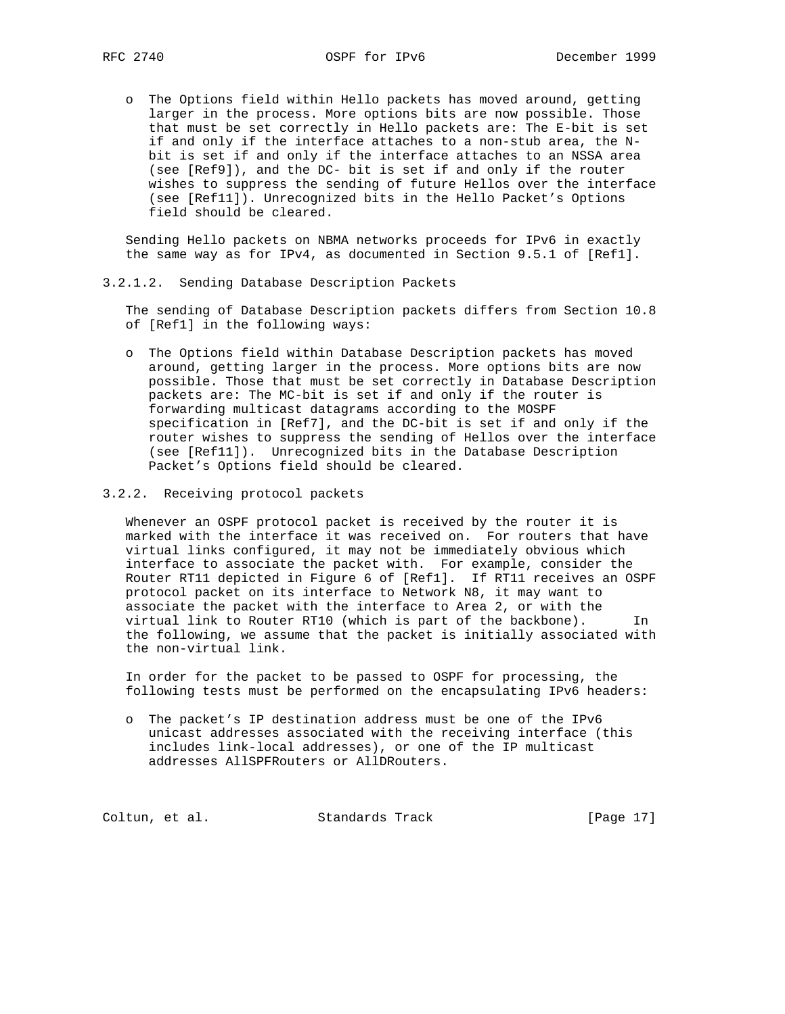o The Options field within Hello packets has moved around, getting larger in the process. More options bits are now possible. Those that must be set correctly in Hello packets are: The E-bit is set if and only if the interface attaches to a non-stub area, the N bit is set if and only if the interface attaches to an NSSA area (see [Ref9]), and the DC- bit is set if and only if the router wishes to suppress the sending of future Hellos over the interface (see [Ref11]). Unrecognized bits in the Hello Packet's Options field should be cleared.

 Sending Hello packets on NBMA networks proceeds for IPv6 in exactly the same way as for IPv4, as documented in Section 9.5.1 of [Ref1].

3.2.1.2. Sending Database Description Packets

 The sending of Database Description packets differs from Section 10.8 of [Ref1] in the following ways:

- o The Options field within Database Description packets has moved around, getting larger in the process. More options bits are now possible. Those that must be set correctly in Database Description packets are: The MC-bit is set if and only if the router is forwarding multicast datagrams according to the MOSPF specification in [Ref7], and the DC-bit is set if and only if the router wishes to suppress the sending of Hellos over the interface (see [Ref11]). Unrecognized bits in the Database Description Packet's Options field should be cleared.
- 3.2.2. Receiving protocol packets

 Whenever an OSPF protocol packet is received by the router it is marked with the interface it was received on. For routers that have virtual links configured, it may not be immediately obvious which interface to associate the packet with. For example, consider the Router RT11 depicted in Figure 6 of [Ref1]. If RT11 receives an OSPF protocol packet on its interface to Network N8, it may want to associate the packet with the interface to Area 2, or with the virtual link to Router RT10 (which is part of the backbone). In the following, we assume that the packet is initially associated with the non-virtual link.

 In order for the packet to be passed to OSPF for processing, the following tests must be performed on the encapsulating IPv6 headers:

 o The packet's IP destination address must be one of the IPv6 unicast addresses associated with the receiving interface (this includes link-local addresses), or one of the IP multicast addresses AllSPFRouters or AllDRouters.

Coltun, et al. Standards Track [Page 17]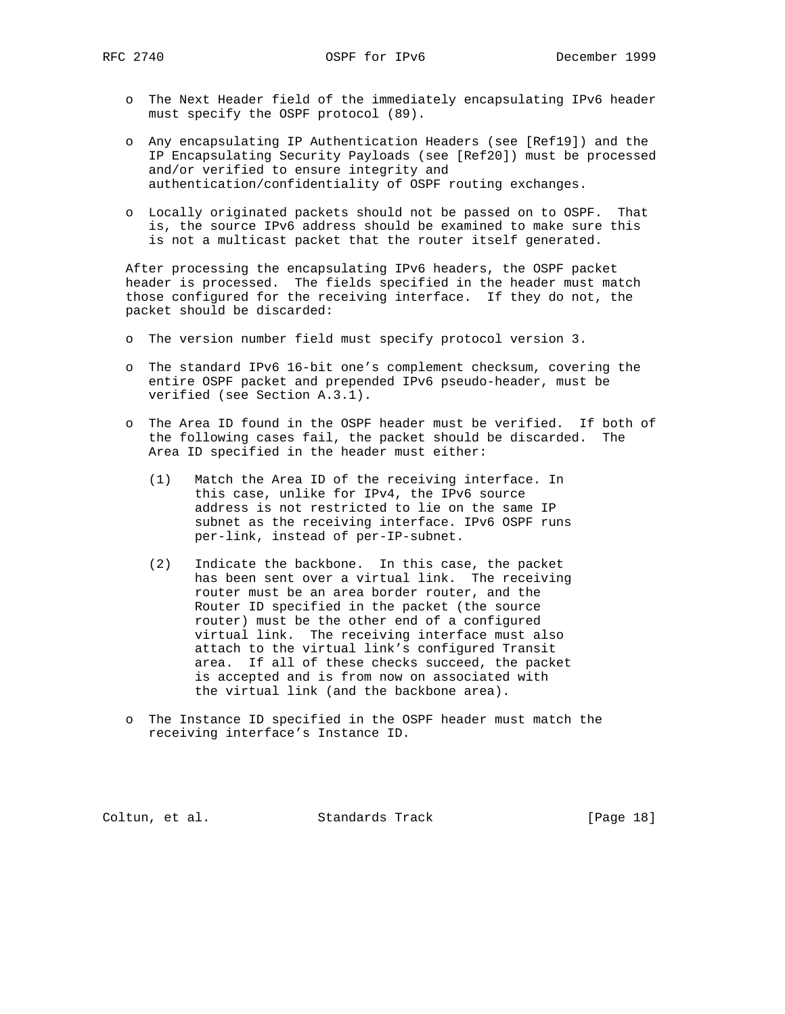- o The Next Header field of the immediately encapsulating IPv6 header must specify the OSPF protocol (89).
- o Any encapsulating IP Authentication Headers (see [Ref19]) and the IP Encapsulating Security Payloads (see [Ref20]) must be processed and/or verified to ensure integrity and authentication/confidentiality of OSPF routing exchanges.
- o Locally originated packets should not be passed on to OSPF. That is, the source IPv6 address should be examined to make sure this is not a multicast packet that the router itself generated.

 After processing the encapsulating IPv6 headers, the OSPF packet header is processed. The fields specified in the header must match those configured for the receiving interface. If they do not, the packet should be discarded:

- o The version number field must specify protocol version 3.
- o The standard IPv6 16-bit one's complement checksum, covering the entire OSPF packet and prepended IPv6 pseudo-header, must be verified (see Section A.3.1).
- o The Area ID found in the OSPF header must be verified. If both of the following cases fail, the packet should be discarded. The Area ID specified in the header must either:
	- (1) Match the Area ID of the receiving interface. In this case, unlike for IPv4, the IPv6 source address is not restricted to lie on the same IP subnet as the receiving interface. IPv6 OSPF runs per-link, instead of per-IP-subnet.
	- (2) Indicate the backbone. In this case, the packet has been sent over a virtual link. The receiving router must be an area border router, and the Router ID specified in the packet (the source router) must be the other end of a configured virtual link. The receiving interface must also attach to the virtual link's configured Transit area. If all of these checks succeed, the packet is accepted and is from now on associated with the virtual link (and the backbone area).
- o The Instance ID specified in the OSPF header must match the receiving interface's Instance ID.

Coltun, et al. Standards Track [Page 18]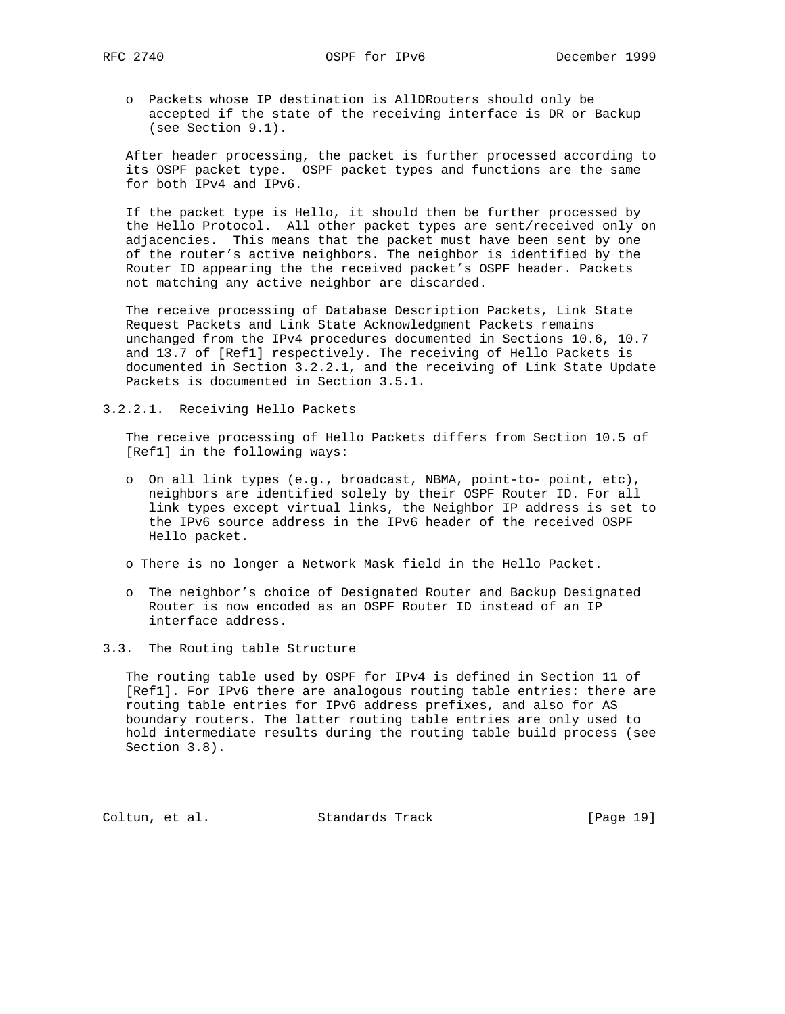- 
- o Packets whose IP destination is AllDRouters should only be accepted if the state of the receiving interface is DR or Backup (see Section 9.1).

 After header processing, the packet is further processed according to its OSPF packet type. OSPF packet types and functions are the same for both IPv4 and IPv6.

 If the packet type is Hello, it should then be further processed by the Hello Protocol. All other packet types are sent/received only on adjacencies. This means that the packet must have been sent by one of the router's active neighbors. The neighbor is identified by the Router ID appearing the the received packet's OSPF header. Packets not matching any active neighbor are discarded.

 The receive processing of Database Description Packets, Link State Request Packets and Link State Acknowledgment Packets remains unchanged from the IPv4 procedures documented in Sections 10.6, 10.7 and 13.7 of [Ref1] respectively. The receiving of Hello Packets is documented in Section 3.2.2.1, and the receiving of Link State Update Packets is documented in Section 3.5.1.

3.2.2.1. Receiving Hello Packets

 The receive processing of Hello Packets differs from Section 10.5 of [Ref1] in the following ways:

- o On all link types (e.g., broadcast, NBMA, point-to- point, etc), neighbors are identified solely by their OSPF Router ID. For all link types except virtual links, the Neighbor IP address is set to the IPv6 source address in the IPv6 header of the received OSPF Hello packet.
- o There is no longer a Network Mask field in the Hello Packet.
- o The neighbor's choice of Designated Router and Backup Designated Router is now encoded as an OSPF Router ID instead of an IP interface address.
- 3.3. The Routing table Structure

 The routing table used by OSPF for IPv4 is defined in Section 11 of [Ref1]. For IPv6 there are analogous routing table entries: there are routing table entries for IPv6 address prefixes, and also for AS boundary routers. The latter routing table entries are only used to hold intermediate results during the routing table build process (see Section 3.8).

Coltun, et al. Standards Track [Page 19]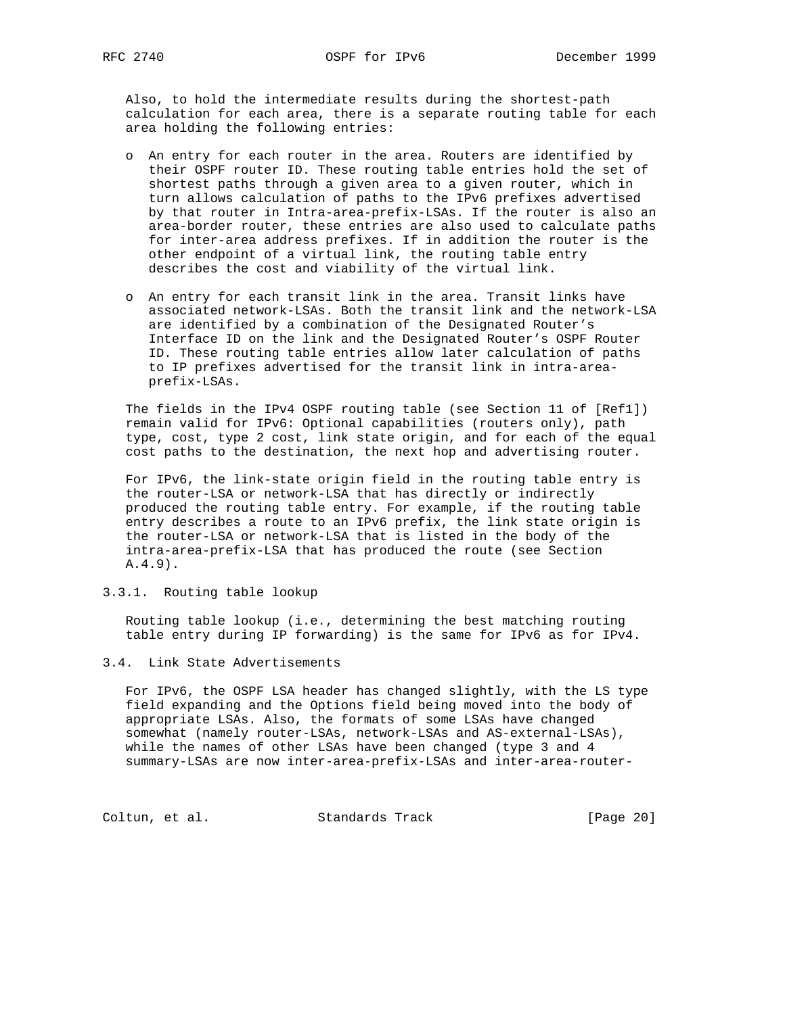Also, to hold the intermediate results during the shortest-path calculation for each area, there is a separate routing table for each area holding the following entries:

- o An entry for each router in the area. Routers are identified by their OSPF router ID. These routing table entries hold the set of shortest paths through a given area to a given router, which in turn allows calculation of paths to the IPv6 prefixes advertised by that router in Intra-area-prefix-LSAs. If the router is also an area-border router, these entries are also used to calculate paths for inter-area address prefixes. If in addition the router is the other endpoint of a virtual link, the routing table entry describes the cost and viability of the virtual link.
- o An entry for each transit link in the area. Transit links have associated network-LSAs. Both the transit link and the network-LSA are identified by a combination of the Designated Router's Interface ID on the link and the Designated Router's OSPF Router ID. These routing table entries allow later calculation of paths to IP prefixes advertised for the transit link in intra-area prefix-LSAs.

 The fields in the IPv4 OSPF routing table (see Section 11 of [Ref1]) remain valid for IPv6: Optional capabilities (routers only), path type, cost, type 2 cost, link state origin, and for each of the equal cost paths to the destination, the next hop and advertising router.

 For IPv6, the link-state origin field in the routing table entry is the router-LSA or network-LSA that has directly or indirectly produced the routing table entry. For example, if the routing table entry describes a route to an IPv6 prefix, the link state origin is the router-LSA or network-LSA that is listed in the body of the intra-area-prefix-LSA that has produced the route (see Section A.4.9).

3.3.1. Routing table lookup

 Routing table lookup (i.e., determining the best matching routing table entry during IP forwarding) is the same for IPv6 as for IPv4.

## 3.4. Link State Advertisements

 For IPv6, the OSPF LSA header has changed slightly, with the LS type field expanding and the Options field being moved into the body of appropriate LSAs. Also, the formats of some LSAs have changed somewhat (namely router-LSAs, network-LSAs and AS-external-LSAs), while the names of other LSAs have been changed (type 3 and 4 summary-LSAs are now inter-area-prefix-LSAs and inter-area-router-

Coltun, et al. Standards Track [Page 20]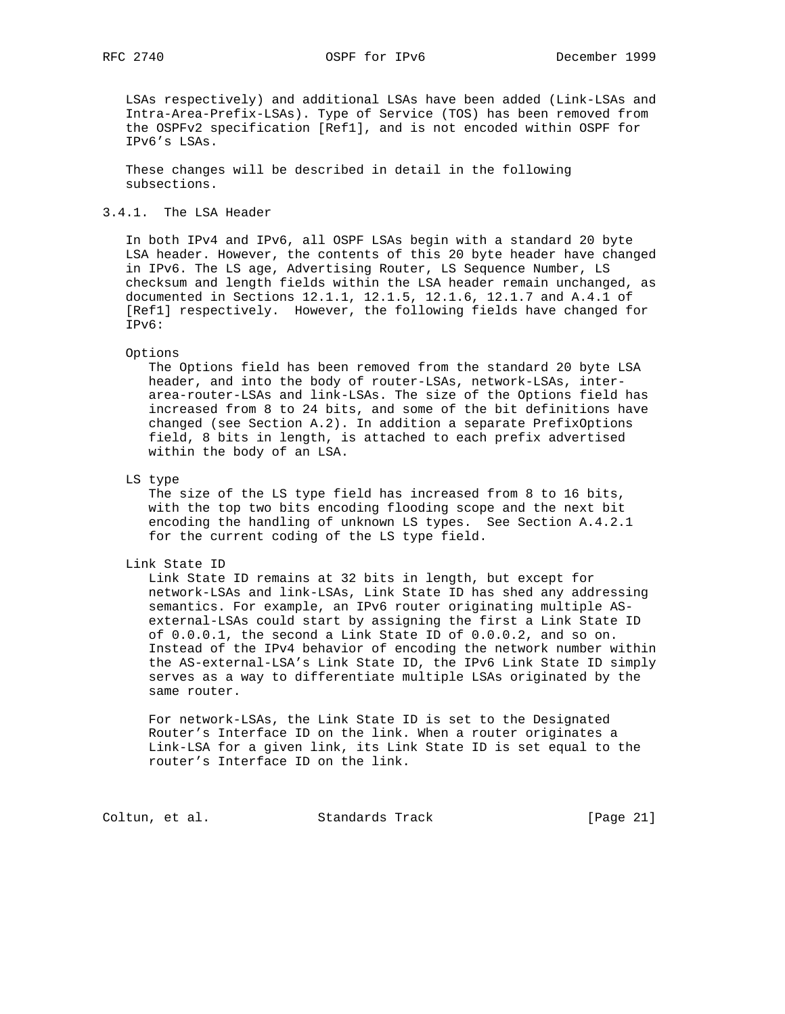LSAs respectively) and additional LSAs have been added (Link-LSAs and Intra-Area-Prefix-LSAs). Type of Service (TOS) has been removed from the OSPFv2 specification [Ref1], and is not encoded within OSPF for IPv6's LSAs.

 These changes will be described in detail in the following subsections.

## 3.4.1. The LSA Header

 In both IPv4 and IPv6, all OSPF LSAs begin with a standard 20 byte LSA header. However, the contents of this 20 byte header have changed in IPv6. The LS age, Advertising Router, LS Sequence Number, LS checksum and length fields within the LSA header remain unchanged, as documented in Sections 12.1.1, 12.1.5, 12.1.6, 12.1.7 and A.4.1 of [Ref1] respectively. However, the following fields have changed for IPv6:

#### Options

 The Options field has been removed from the standard 20 byte LSA header, and into the body of router-LSAs, network-LSAs, inter area-router-LSAs and link-LSAs. The size of the Options field has increased from 8 to 24 bits, and some of the bit definitions have changed (see Section A.2). In addition a separate PrefixOptions field, 8 bits in length, is attached to each prefix advertised within the body of an LSA.

LS type

 The size of the LS type field has increased from 8 to 16 bits, with the top two bits encoding flooding scope and the next bit encoding the handling of unknown LS types. See Section A.4.2.1 for the current coding of the LS type field.

## Link State ID

 Link State ID remains at 32 bits in length, but except for network-LSAs and link-LSAs, Link State ID has shed any addressing semantics. For example, an IPv6 router originating multiple AS external-LSAs could start by assigning the first a Link State ID of 0.0.0.1, the second a Link State ID of 0.0.0.2, and so on. Instead of the IPv4 behavior of encoding the network number within the AS-external-LSA's Link State ID, the IPv6 Link State ID simply serves as a way to differentiate multiple LSAs originated by the same router.

 For network-LSAs, the Link State ID is set to the Designated Router's Interface ID on the link. When a router originates a Link-LSA for a given link, its Link State ID is set equal to the router's Interface ID on the link.

Coltun, et al. Standards Track [Page 21]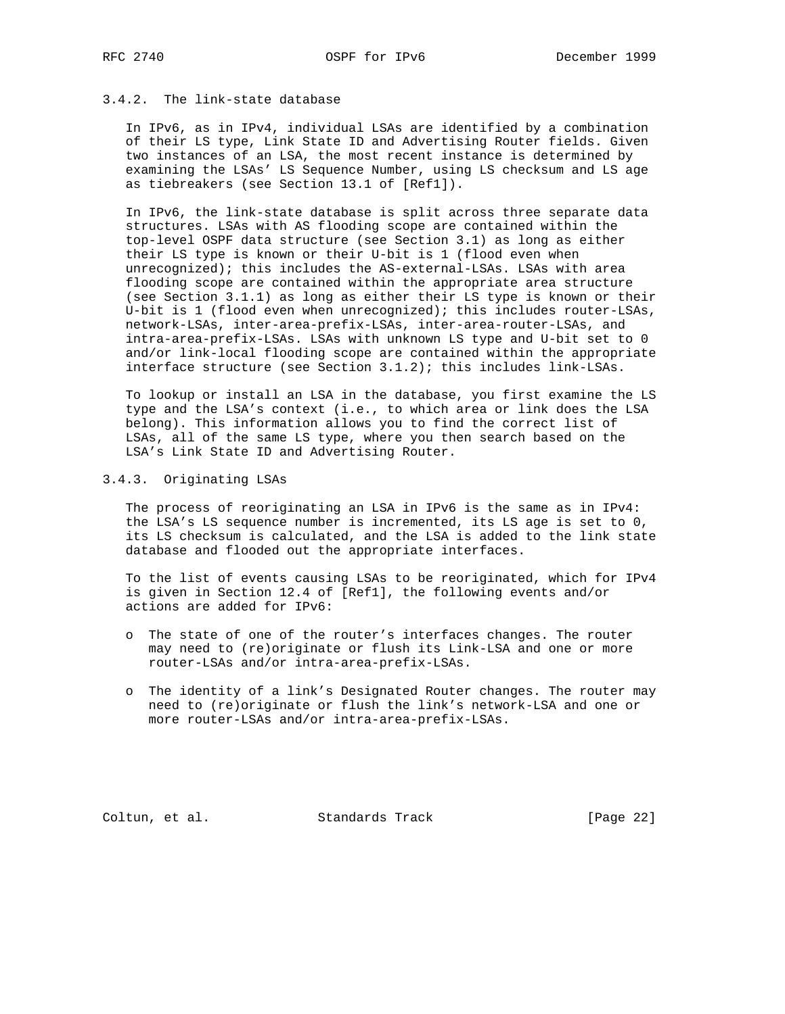# 3.4.2. The link-state database

 In IPv6, as in IPv4, individual LSAs are identified by a combination of their LS type, Link State ID and Advertising Router fields. Given two instances of an LSA, the most recent instance is determined by examining the LSAs' LS Sequence Number, using LS checksum and LS age as tiebreakers (see Section 13.1 of [Ref1]).

 In IPv6, the link-state database is split across three separate data structures. LSAs with AS flooding scope are contained within the top-level OSPF data structure (see Section 3.1) as long as either their LS type is known or their U-bit is 1 (flood even when unrecognized); this includes the AS-external-LSAs. LSAs with area flooding scope are contained within the appropriate area structure (see Section 3.1.1) as long as either their LS type is known or their U-bit is 1 (flood even when unrecognized); this includes router-LSAs, network-LSAs, inter-area-prefix-LSAs, inter-area-router-LSAs, and intra-area-prefix-LSAs. LSAs with unknown LS type and U-bit set to 0 and/or link-local flooding scope are contained within the appropriate interface structure (see Section 3.1.2); this includes link-LSAs.

 To lookup or install an LSA in the database, you first examine the LS type and the LSA's context (i.e., to which area or link does the LSA belong). This information allows you to find the correct list of LSAs, all of the same LS type, where you then search based on the LSA's Link State ID and Advertising Router.

## 3.4.3. Originating LSAs

 The process of reoriginating an LSA in IPv6 is the same as in IPv4: the LSA's LS sequence number is incremented, its LS age is set to 0, its LS checksum is calculated, and the LSA is added to the link state database and flooded out the appropriate interfaces.

 To the list of events causing LSAs to be reoriginated, which for IPv4 is given in Section 12.4 of [Ref1], the following events and/or actions are added for IPv6:

- o The state of one of the router's interfaces changes. The router may need to (re)originate or flush its Link-LSA and one or more router-LSAs and/or intra-area-prefix-LSAs.
- o The identity of a link's Designated Router changes. The router may need to (re)originate or flush the link's network-LSA and one or more router-LSAs and/or intra-area-prefix-LSAs.

Coltun, et al. Standards Track [Page 22]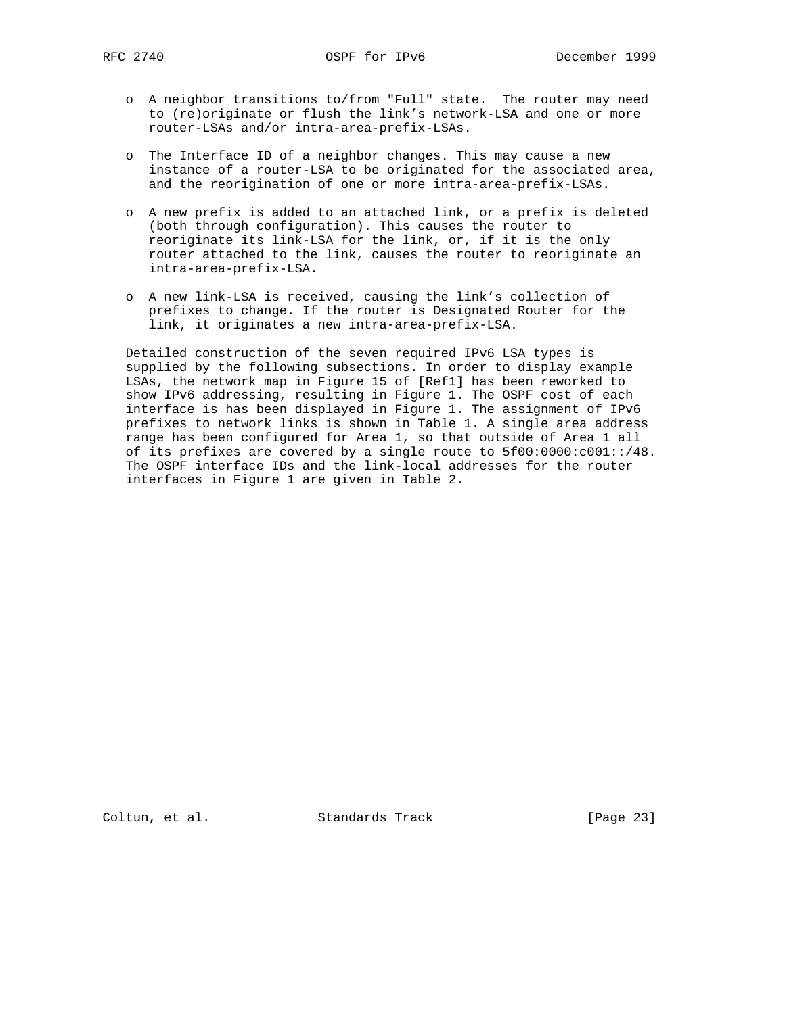- o A neighbor transitions to/from "Full" state. The router may need to (re)originate or flush the link's network-LSA and one or more router-LSAs and/or intra-area-prefix-LSAs.
- o The Interface ID of a neighbor changes. This may cause a new instance of a router-LSA to be originated for the associated area, and the reorigination of one or more intra-area-prefix-LSAs.
- o A new prefix is added to an attached link, or a prefix is deleted (both through configuration). This causes the router to reoriginate its link-LSA for the link, or, if it is the only router attached to the link, causes the router to reoriginate an intra-area-prefix-LSA.
- o A new link-LSA is received, causing the link's collection of prefixes to change. If the router is Designated Router for the link, it originates a new intra-area-prefix-LSA.

 Detailed construction of the seven required IPv6 LSA types is supplied by the following subsections. In order to display example LSAs, the network map in Figure 15 of [Ref1] has been reworked to show IPv6 addressing, resulting in Figure 1. The OSPF cost of each interface is has been displayed in Figure 1. The assignment of IPv6 prefixes to network links is shown in Table 1. A single area address range has been configured for Area 1, so that outside of Area 1 all of its prefixes are covered by a single route to 5f00:0000:c001::/48. The OSPF interface IDs and the link-local addresses for the router interfaces in Figure 1 are given in Table 2.

Coltun, et al. Standards Track [Page 23]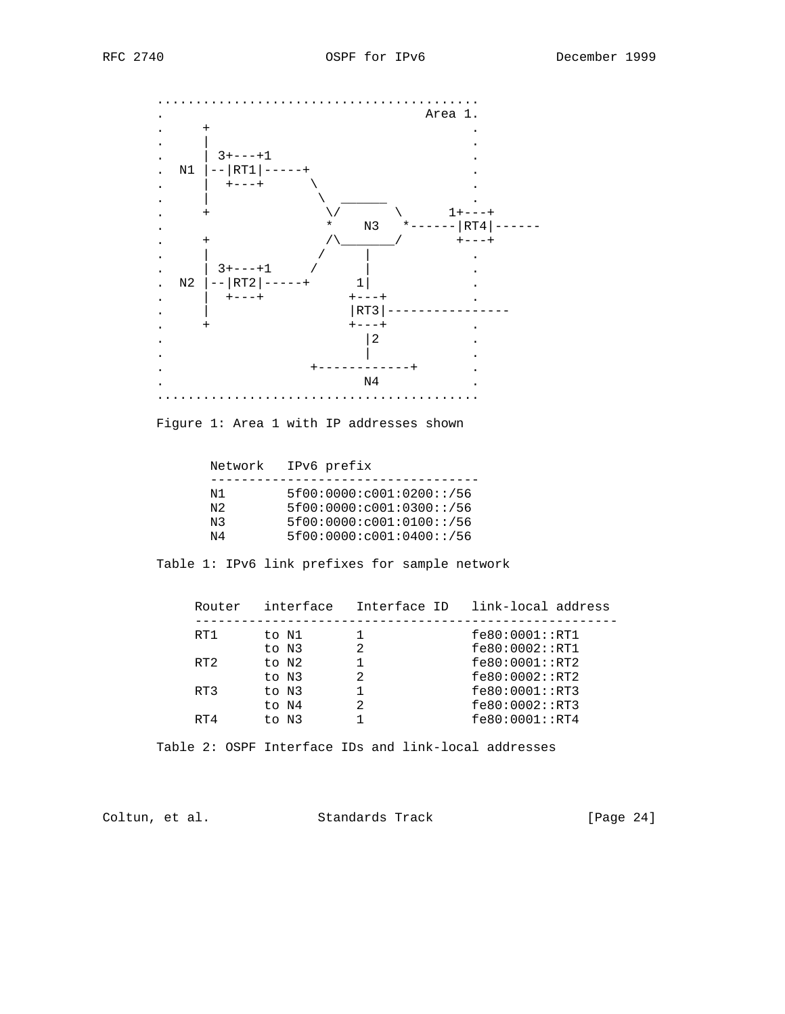

Figure 1: Area 1 with IP addresses shown

Network IPv6 prefix

| N 1            | 5f00:0000:c001:0200::/56 |
|----------------|--------------------------|
| N <sub>2</sub> | 5f00:0000:c001:0300::/56 |
| N3             | 5f00:0000:c001:0100::/56 |
| N4             | 5f00:0000:c001:0400::/56 |

Table 1: IPv6 link prefixes for sample network

| Router | interface | Interface ID | link-local address |
|--------|-----------|--------------|--------------------|
| RT1    | to N1     |              | fe80:0001::RT1     |
|        | to N3     |              | fe80:0002::RT1     |
| RT2    | to N2     |              | fe80:0001::RT2     |
|        | to N3     |              | fe80:0002:FRT2     |
| RT3    | to N3     |              | fe80:0001::RT3     |
|        | to N4     |              | fe80:0002::RT3     |
| RT4    | to N3     |              | fe80:0001::RT4     |
|        |           |              |                    |

Table 2: OSPF Interface IDs and link-local addresses

Coltun, et al. Standards Track [Page 24]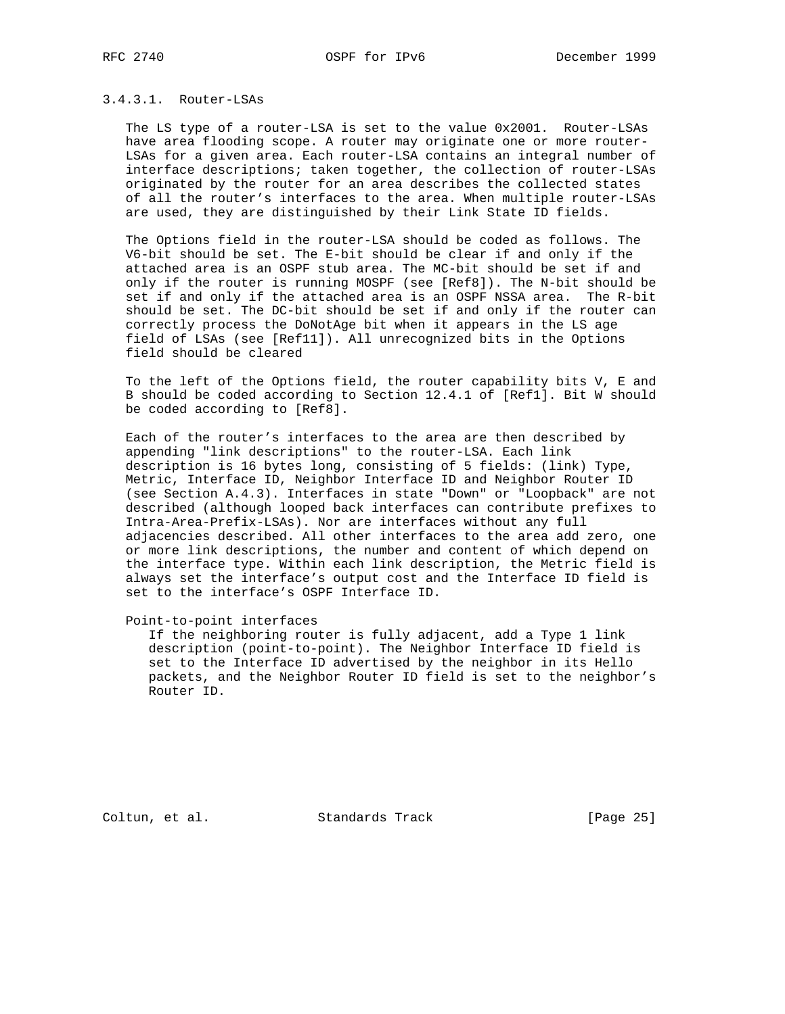## 3.4.3.1. Router-LSAs

 The LS type of a router-LSA is set to the value 0x2001. Router-LSAs have area flooding scope. A router may originate one or more router- LSAs for a given area. Each router-LSA contains an integral number of interface descriptions; taken together, the collection of router-LSAs originated by the router for an area describes the collected states of all the router's interfaces to the area. When multiple router-LSAs are used, they are distinguished by their Link State ID fields.

 The Options field in the router-LSA should be coded as follows. The V6-bit should be set. The E-bit should be clear if and only if the attached area is an OSPF stub area. The MC-bit should be set if and only if the router is running MOSPF (see [Ref8]). The N-bit should be set if and only if the attached area is an OSPF NSSA area. The R-bit should be set. The DC-bit should be set if and only if the router can correctly process the DoNotAge bit when it appears in the LS age field of LSAs (see [Ref11]). All unrecognized bits in the Options field should be cleared

 To the left of the Options field, the router capability bits V, E and B should be coded according to Section 12.4.1 of [Ref1]. Bit W should be coded according to [Ref8].

 Each of the router's interfaces to the area are then described by appending "link descriptions" to the router-LSA. Each link description is 16 bytes long, consisting of 5 fields: (link) Type, Metric, Interface ID, Neighbor Interface ID and Neighbor Router ID (see Section A.4.3). Interfaces in state "Down" or "Loopback" are not described (although looped back interfaces can contribute prefixes to Intra-Area-Prefix-LSAs). Nor are interfaces without any full adjacencies described. All other interfaces to the area add zero, one or more link descriptions, the number and content of which depend on the interface type. Within each link description, the Metric field is always set the interface's output cost and the Interface ID field is set to the interface's OSPF Interface ID.

Point-to-point interfaces

 If the neighboring router is fully adjacent, add a Type 1 link description (point-to-point). The Neighbor Interface ID field is set to the Interface ID advertised by the neighbor in its Hello packets, and the Neighbor Router ID field is set to the neighbor's Router ID.

Coltun, et al. Standards Track [Page 25]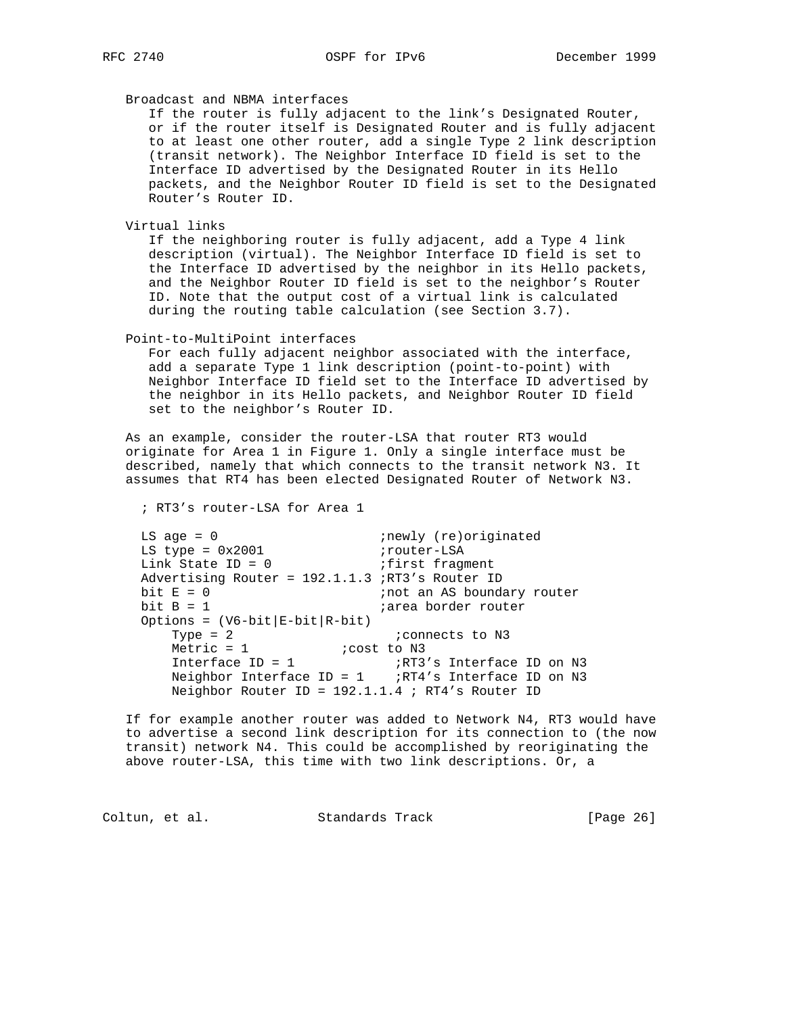Broadcast and NBMA interfaces

 If the router is fully adjacent to the link's Designated Router, or if the router itself is Designated Router and is fully adjacent to at least one other router, add a single Type 2 link description (transit network). The Neighbor Interface ID field is set to the Interface ID advertised by the Designated Router in its Hello packets, and the Neighbor Router ID field is set to the Designated Router's Router ID.

Virtual links

 If the neighboring router is fully adjacent, add a Type 4 link description (virtual). The Neighbor Interface ID field is set to the Interface ID advertised by the neighbor in its Hello packets, and the Neighbor Router ID field is set to the neighbor's Router ID. Note that the output cost of a virtual link is calculated during the routing table calculation (see Section 3.7).

Point-to-MultiPoint interfaces

 For each fully adjacent neighbor associated with the interface, add a separate Type 1 link description (point-to-point) with Neighbor Interface ID field set to the Interface ID advertised by the neighbor in its Hello packets, and Neighbor Router ID field set to the neighbor's Router ID.

 As an example, consider the router-LSA that router RT3 would originate for Area 1 in Figure 1. Only a single interface must be described, namely that which connects to the transit network N3. It assumes that RT4 has been elected Designated Router of Network N3.

; RT3's router-LSA for Area 1

 LS age = 0 ;newly (re)originated LS type = 0x2001 irouter-LSA Link State ID = 0 (ifirst fragment Advertising Router =  $192.1.1.3$  ;RT3's Router ID<br>bit  $E = 0$ <br>inter harder rout bit  $E = 0$ <br>bit  $B = 1$ <br>bit  $B = 1$ <br>iarea border router *i*area border router Options =  $(V6-bit|E-bit|R-bit)$ Type = 2 *i* connects to N3 Metric = 1  $i$  cost to N3 Interface ID = 1  $\overline{R}$  ;RT3's Interface ID on N3 Neighbor Interface ID = 1 ;RT4's Interface ID on N3 Neighbor Router ID = 192.1.1.4 ; RT4's Router ID

 If for example another router was added to Network N4, RT3 would have to advertise a second link description for its connection to (the now transit) network N4. This could be accomplished by reoriginating the above router-LSA, this time with two link descriptions. Or, a

Coltun, et al. Standards Track [Page 26]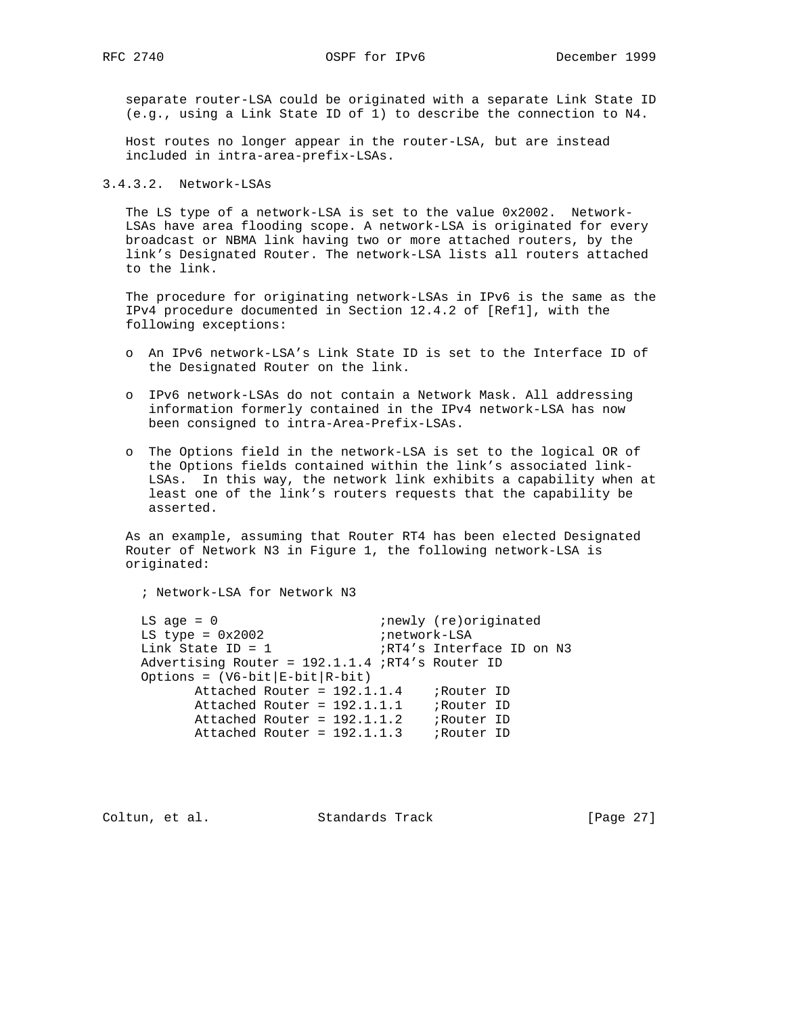RFC 2740 OSPF for IPv6 December 1999

 separate router-LSA could be originated with a separate Link State ID (e.g., using a Link State ID of 1) to describe the connection to N4.

 Host routes no longer appear in the router-LSA, but are instead included in intra-area-prefix-LSAs.

3.4.3.2. Network-LSAs

 The LS type of a network-LSA is set to the value 0x2002. Network- LSAs have area flooding scope. A network-LSA is originated for every broadcast or NBMA link having two or more attached routers, by the link's Designated Router. The network-LSA lists all routers attached to the link.

 The procedure for originating network-LSAs in IPv6 is the same as the IPv4 procedure documented in Section 12.4.2 of [Ref1], with the following exceptions:

- o An IPv6 network-LSA's Link State ID is set to the Interface ID of the Designated Router on the link.
- o IPv6 network-LSAs do not contain a Network Mask. All addressing information formerly contained in the IPv4 network-LSA has now been consigned to intra-Area-Prefix-LSAs.
- o The Options field in the network-LSA is set to the logical OR of the Options fields contained within the link's associated link- LSAs. In this way, the network link exhibits a capability when at least one of the link's routers requests that the capability be asserted.

 As an example, assuming that Router RT4 has been elected Designated Router of Network N3 in Figure 1, the following network-LSA is originated:

; Network-LSA for Network N3

 LS age = 0 ;newly (re)originated LS type = 0x2002 inetwork-LSA Link State ID = 1  $\overline{R}$  ;  $R$ T4's Interface ID on N3 Advertising Router = 192.1.1.4 ;RT4's Router ID Options =  $(V6-bit|E-bit|R-bit)$  Attached Router = 192.1.1.4 ;Router ID Attached Router = 192.1.1.1 ;Router ID Attached Router = 192.1.1.2 ;Router ID Attached Router = 192.1.1.3 ;Router ID

Coltun, et al. Standards Track [Page 27]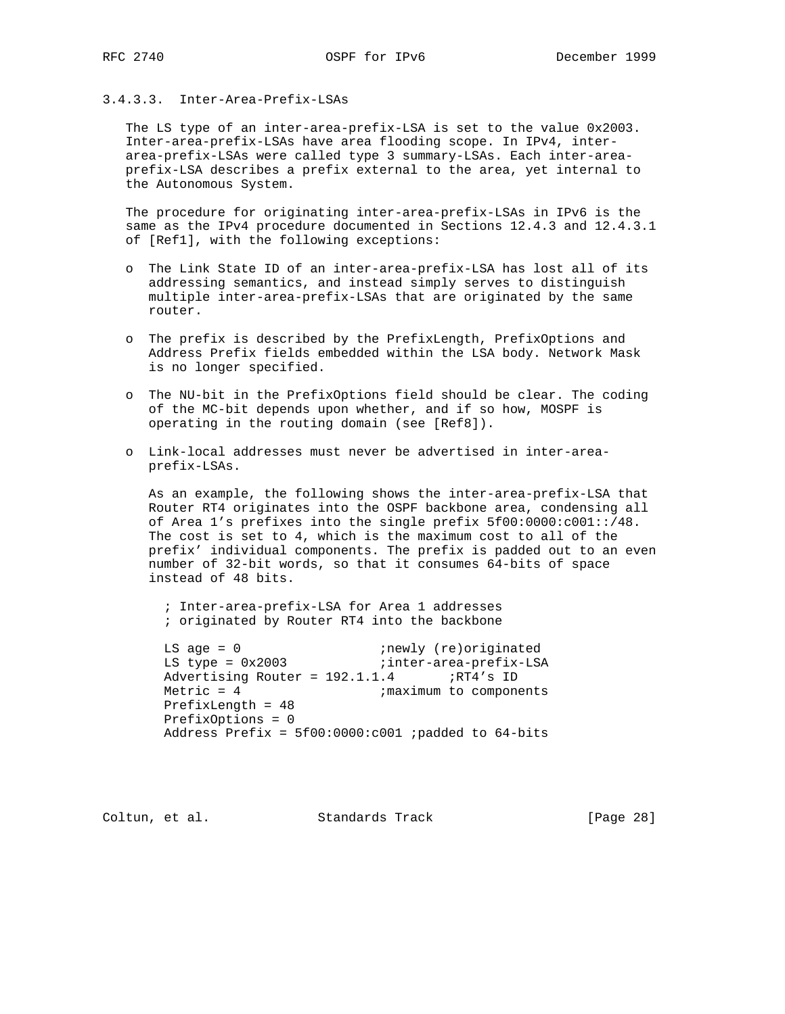# 3.4.3.3. Inter-Area-Prefix-LSAs

 The LS type of an inter-area-prefix-LSA is set to the value 0x2003. Inter-area-prefix-LSAs have area flooding scope. In IPv4, inter area-prefix-LSAs were called type 3 summary-LSAs. Each inter-area prefix-LSA describes a prefix external to the area, yet internal to the Autonomous System.

 The procedure for originating inter-area-prefix-LSAs in IPv6 is the same as the IPv4 procedure documented in Sections 12.4.3 and 12.4.3.1 of [Ref1], with the following exceptions:

- o The Link State ID of an inter-area-prefix-LSA has lost all of its addressing semantics, and instead simply serves to distinguish multiple inter-area-prefix-LSAs that are originated by the same router.
- o The prefix is described by the PrefixLength, PrefixOptions and Address Prefix fields embedded within the LSA body. Network Mask is no longer specified.
- o The NU-bit in the PrefixOptions field should be clear. The coding of the MC-bit depends upon whether, and if so how, MOSPF is operating in the routing domain (see [Ref8]).
- o Link-local addresses must never be advertised in inter-area prefix-LSAs.

 As an example, the following shows the inter-area-prefix-LSA that Router RT4 originates into the OSPF backbone area, condensing all of Area 1's prefixes into the single prefix 5f00:0000:c001::/48. The cost is set to 4, which is the maximum cost to all of the prefix' individual components. The prefix is padded out to an even number of 32-bit words, so that it consumes 64-bits of space instead of 48 bits.

 ; Inter-area-prefix-LSA for Area 1 addresses ; originated by Router RT4 into the backbone

LS age = 0  $\qquad \qquad$  ;newly (re)originated LS type = 0x2003 inter-area-prefix-LSA Advertising Router =  $192.1.1.4$  ;RT4's ID Metric = 4  $;$  maximum to components PrefixLength = 48 PrefixOptions = 0 Address Prefix =  $5f00:0000:0001$  ; padded to  $64$ -bits

Coltun, et al. Standards Track [Page 28]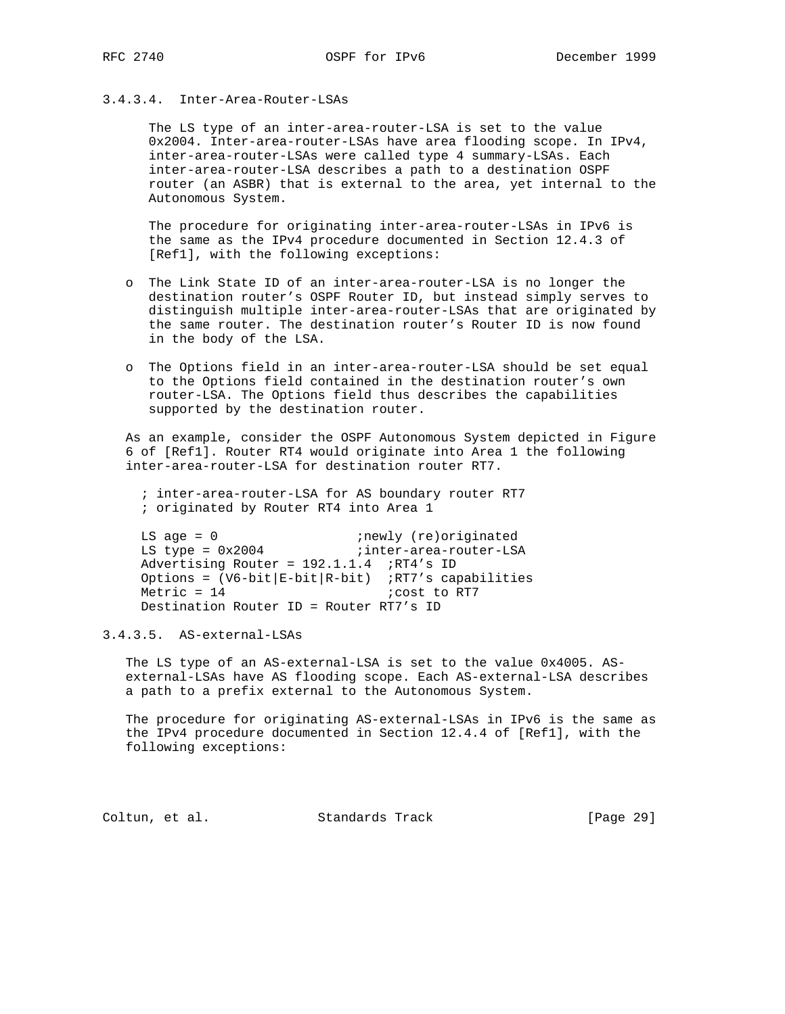# 3.4.3.4. Inter-Area-Router-LSAs

 The LS type of an inter-area-router-LSA is set to the value 0x2004. Inter-area-router-LSAs have area flooding scope. In IPv4, inter-area-router-LSAs were called type 4 summary-LSAs. Each inter-area-router-LSA describes a path to a destination OSPF router (an ASBR) that is external to the area, yet internal to the Autonomous System.

 The procedure for originating inter-area-router-LSAs in IPv6 is the same as the IPv4 procedure documented in Section 12.4.3 of [Ref1], with the following exceptions:

- o The Link State ID of an inter-area-router-LSA is no longer the destination router's OSPF Router ID, but instead simply serves to distinguish multiple inter-area-router-LSAs that are originated by the same router. The destination router's Router ID is now found in the body of the LSA.
- o The Options field in an inter-area-router-LSA should be set equal to the Options field contained in the destination router's own router-LSA. The Options field thus describes the capabilities supported by the destination router.

 As an example, consider the OSPF Autonomous System depicted in Figure 6 of [Ref1]. Router RT4 would originate into Area 1 the following inter-area-router-LSA for destination router RT7.

 ; inter-area-router-LSA for AS boundary router RT7 ; originated by Router RT4 into Area 1

LS age = 0  $i$ newly (re)originated LS type = 0x2004 inter-area-router-LSA Advertising Router = 192.1.1.4 ;RT4's ID Options =  $(V6-bit|E-bit|R-bit)$  ;RT7's capabilities  $Metric = 14$  ;  $cost$  to RT7 Destination Router ID = Router RT7's ID

# 3.4.3.5. AS-external-LSAs

 The LS type of an AS-external-LSA is set to the value 0x4005. AS external-LSAs have AS flooding scope. Each AS-external-LSA describes a path to a prefix external to the Autonomous System.

 The procedure for originating AS-external-LSAs in IPv6 is the same as the IPv4 procedure documented in Section 12.4.4 of [Ref1], with the following exceptions:

Coltun, et al. Standards Track [Page 29]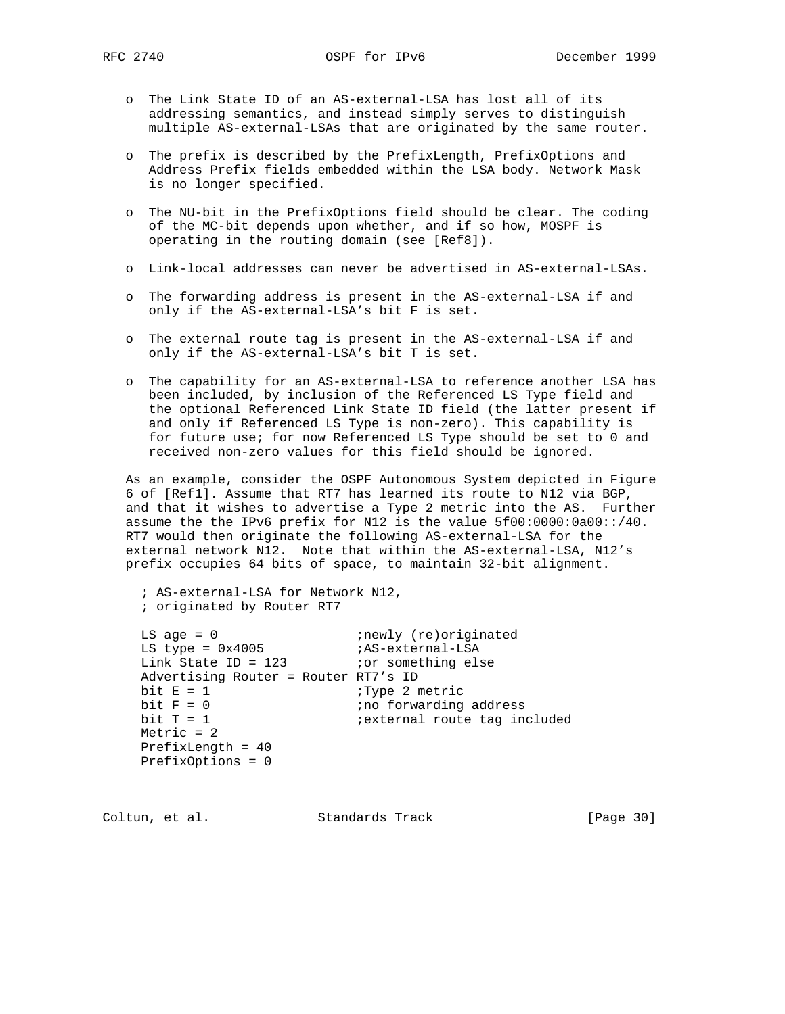- o The Link State ID of an AS-external-LSA has lost all of its addressing semantics, and instead simply serves to distinguish multiple AS-external-LSAs that are originated by the same router.
- o The prefix is described by the PrefixLength, PrefixOptions and Address Prefix fields embedded within the LSA body. Network Mask is no longer specified.
- o The NU-bit in the PrefixOptions field should be clear. The coding of the MC-bit depends upon whether, and if so how, MOSPF is operating in the routing domain (see [Ref8]).
- o Link-local addresses can never be advertised in AS-external-LSAs.
- o The forwarding address is present in the AS-external-LSA if and only if the AS-external-LSA's bit F is set.
- o The external route tag is present in the AS-external-LSA if and only if the AS-external-LSA's bit T is set.
- o The capability for an AS-external-LSA to reference another LSA has been included, by inclusion of the Referenced LS Type field and the optional Referenced Link State ID field (the latter present if and only if Referenced LS Type is non-zero). This capability is for future use; for now Referenced LS Type should be set to 0 and received non-zero values for this field should be ignored.

 As an example, consider the OSPF Autonomous System depicted in Figure 6 of [Ref1]. Assume that RT7 has learned its route to N12 via BGP, and that it wishes to advertise a Type 2 metric into the AS. Further assume the the IPv6 prefix for N12 is the value 5f00:0000:0a00::/40. RT7 would then originate the following AS-external-LSA for the external network N12. Note that within the AS-external-LSA, N12's prefix occupies 64 bits of space, to maintain 32-bit alignment.

 ; AS-external-LSA for Network N12, ; originated by Router RT7

| $LS$ age = 0                         | ; newly (re) originated              |
|--------------------------------------|--------------------------------------|
| LS type = $0x4005$                   | ;AS-external-LSA                     |
| Link State ID = $123$                | <i>ior</i> something else            |
| Advertising Router = Router RT7's ID |                                      |
| bit $E = 1$                          | Type 2 metric                        |
| bit $F = 0$                          | ino forwarding address               |
| bit $T = 1$                          | <i>i</i> external route tag included |
| Metric $= 2$                         |                                      |
| PrefixLength = $40$                  |                                      |
| $PrefixOptions = 0$                  |                                      |
|                                      |                                      |

Coltun, et al. Standards Track [Page 30]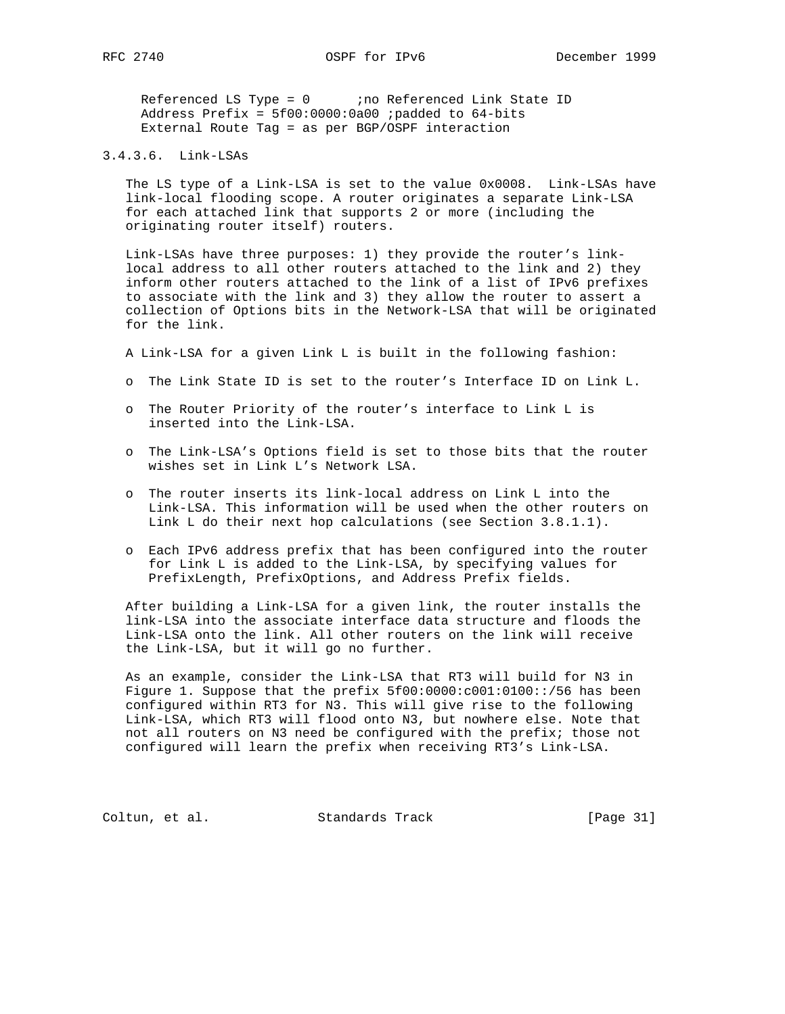Referenced LS Type =  $0$  ;no Referenced Link State ID Address Prefix =  $5f00:0000:0a00$  ; padded to  $64-bits$ External Route Tag = as per BGP/OSPF interaction

# 3.4.3.6. Link-LSAs

 The LS type of a Link-LSA is set to the value 0x0008. Link-LSAs have link-local flooding scope. A router originates a separate Link-LSA for each attached link that supports 2 or more (including the originating router itself) routers.

 Link-LSAs have three purposes: 1) they provide the router's link local address to all other routers attached to the link and 2) they inform other routers attached to the link of a list of IPv6 prefixes to associate with the link and 3) they allow the router to assert a collection of Options bits in the Network-LSA that will be originated for the link.

A Link-LSA for a given Link L is built in the following fashion:

- o The Link State ID is set to the router's Interface ID on Link L.
- o The Router Priority of the router's interface to Link L is inserted into the Link-LSA.
- o The Link-LSA's Options field is set to those bits that the router wishes set in Link L's Network LSA.
- o The router inserts its link-local address on Link L into the Link-LSA. This information will be used when the other routers on Link L do their next hop calculations (see Section 3.8.1.1).
- o Each IPv6 address prefix that has been configured into the router for Link L is added to the Link-LSA, by specifying values for PrefixLength, PrefixOptions, and Address Prefix fields.

 After building a Link-LSA for a given link, the router installs the link-LSA into the associate interface data structure and floods the Link-LSA onto the link. All other routers on the link will receive the Link-LSA, but it will go no further.

 As an example, consider the Link-LSA that RT3 will build for N3 in Figure 1. Suppose that the prefix 5f00:0000:c001:0100::/56 has been configured within RT3 for N3. This will give rise to the following Link-LSA, which RT3 will flood onto N3, but nowhere else. Note that not all routers on N3 need be configured with the prefix; those not configured will learn the prefix when receiving RT3's Link-LSA.

Coltun, et al. Standards Track [Page 31]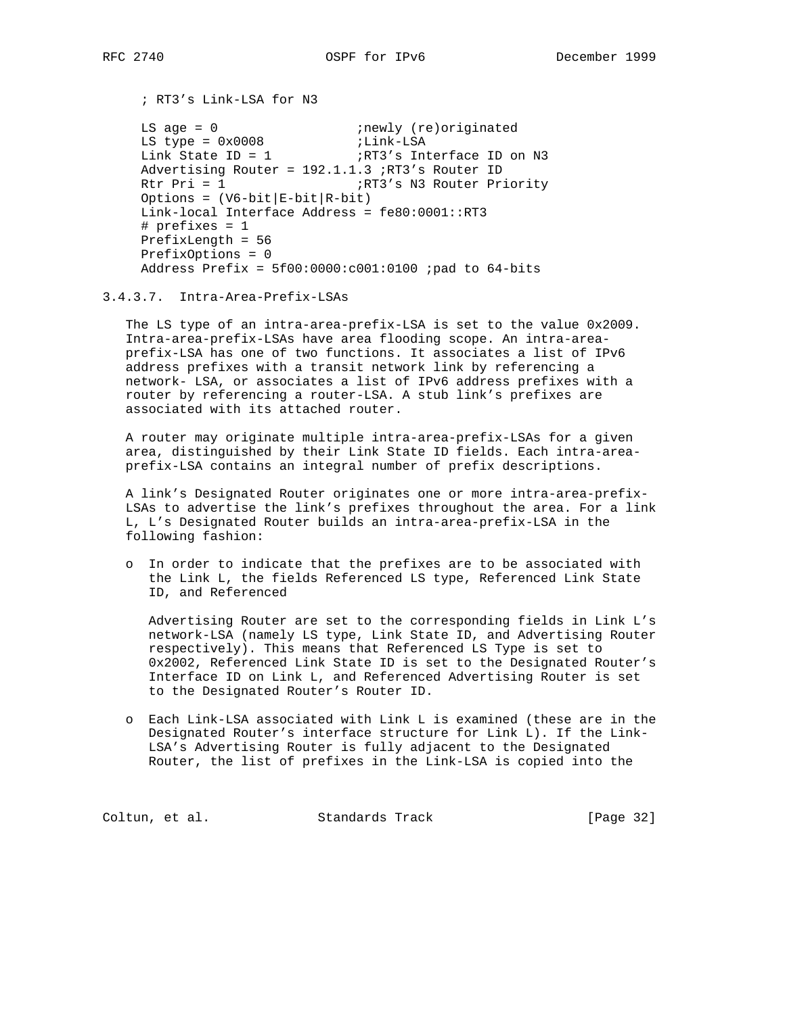; RT3's Link-LSA for N3

```
LS age = 0 inewly (re)originated
LS type = 0x0008 ;Link-LSA
Link State ID = 1 \frac{1}{R} ;RT3's Interface ID on N3
     Advertising Router = 192.1.1.3 ;RT3's Router ID
    Rtr Pri = 1 \frac{1}{R} ;RT3's N3 Router Priority
    Options = (V6-bit|E-bit|R-bit) Link-local Interface Address = fe80:0001::RT3
     # prefixes = 1
     PrefixLength = 56
     PrefixOptions = 0
    Address Prefix = 5f00:0000:0001:0100 ; pad to 64-bits
```

```
3.4.3.7. Intra-Area-Prefix-LSAs
```
 The LS type of an intra-area-prefix-LSA is set to the value 0x2009. Intra-area-prefix-LSAs have area flooding scope. An intra-area prefix-LSA has one of two functions. It associates a list of IPv6 address prefixes with a transit network link by referencing a network- LSA, or associates a list of IPv6 address prefixes with a router by referencing a router-LSA. A stub link's prefixes are associated with its attached router.

 A router may originate multiple intra-area-prefix-LSAs for a given area, distinguished by their Link State ID fields. Each intra-area prefix-LSA contains an integral number of prefix descriptions.

 A link's Designated Router originates one or more intra-area-prefix- LSAs to advertise the link's prefixes throughout the area. For a link L, L's Designated Router builds an intra-area-prefix-LSA in the following fashion:

 o In order to indicate that the prefixes are to be associated with the Link L, the fields Referenced LS type, Referenced Link State ID, and Referenced

 Advertising Router are set to the corresponding fields in Link L's network-LSA (namely LS type, Link State ID, and Advertising Router respectively). This means that Referenced LS Type is set to 0x2002, Referenced Link State ID is set to the Designated Router's Interface ID on Link L, and Referenced Advertising Router is set to the Designated Router's Router ID.

 o Each Link-LSA associated with Link L is examined (these are in the Designated Router's interface structure for Link L). If the Link- LSA's Advertising Router is fully adjacent to the Designated Router, the list of prefixes in the Link-LSA is copied into the

Coltun, et al. Standards Track [Page 32]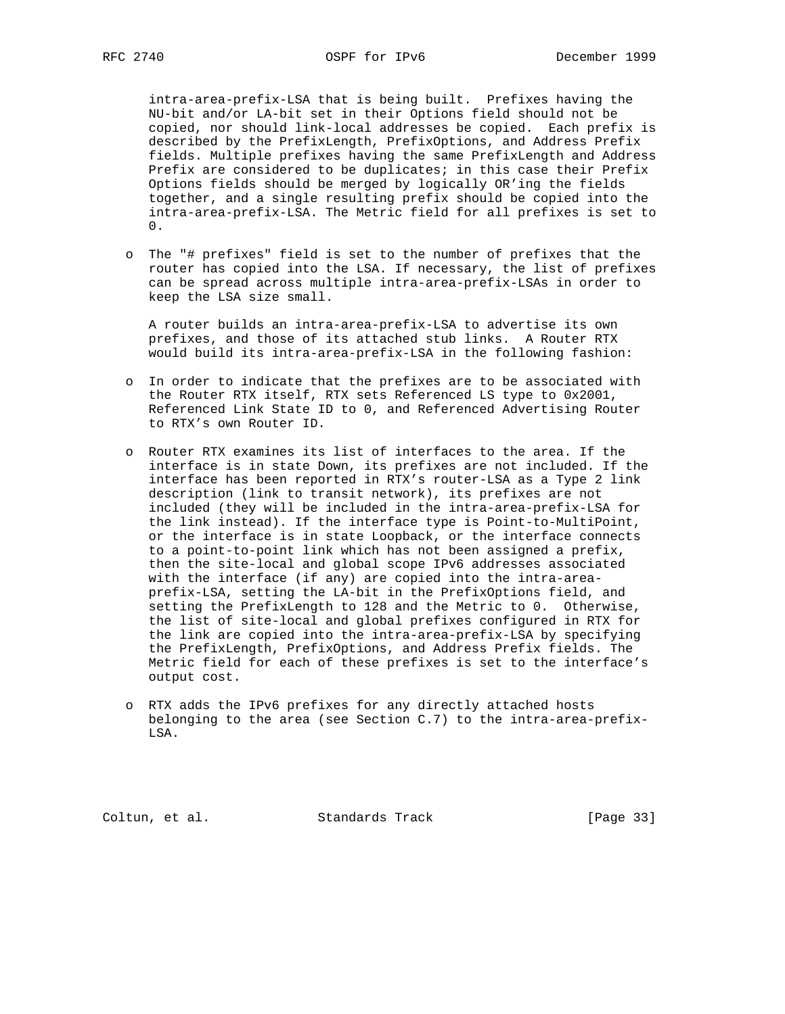intra-area-prefix-LSA that is being built. Prefixes having the NU-bit and/or LA-bit set in their Options field should not be copied, nor should link-local addresses be copied. Each prefix is described by the PrefixLength, PrefixOptions, and Address Prefix fields. Multiple prefixes having the same PrefixLength and Address Prefix are considered to be duplicates; in this case their Prefix Options fields should be merged by logically OR'ing the fields together, and a single resulting prefix should be copied into the intra-area-prefix-LSA. The Metric field for all prefixes is set to 0.

 o The "# prefixes" field is set to the number of prefixes that the router has copied into the LSA. If necessary, the list of prefixes can be spread across multiple intra-area-prefix-LSAs in order to keep the LSA size small.

 A router builds an intra-area-prefix-LSA to advertise its own prefixes, and those of its attached stub links. A Router RTX would build its intra-area-prefix-LSA in the following fashion:

- o In order to indicate that the prefixes are to be associated with the Router RTX itself, RTX sets Referenced LS type to 0x2001, Referenced Link State ID to 0, and Referenced Advertising Router to RTX's own Router ID.
- o Router RTX examines its list of interfaces to the area. If the interface is in state Down, its prefixes are not included. If the interface has been reported in RTX's router-LSA as a Type 2 link description (link to transit network), its prefixes are not included (they will be included in the intra-area-prefix-LSA for the link instead). If the interface type is Point-to-MultiPoint, or the interface is in state Loopback, or the interface connects to a point-to-point link which has not been assigned a prefix, then the site-local and global scope IPv6 addresses associated with the interface (if any) are copied into the intra-area prefix-LSA, setting the LA-bit in the PrefixOptions field, and setting the PrefixLength to 128 and the Metric to 0. Otherwise, the list of site-local and global prefixes configured in RTX for the link are copied into the intra-area-prefix-LSA by specifying the PrefixLength, PrefixOptions, and Address Prefix fields. The Metric field for each of these prefixes is set to the interface's output cost.
- o RTX adds the IPv6 prefixes for any directly attached hosts belonging to the area (see Section C.7) to the intra-area-prefix- LSA.

Coltun, et al. Standards Track [Page 33]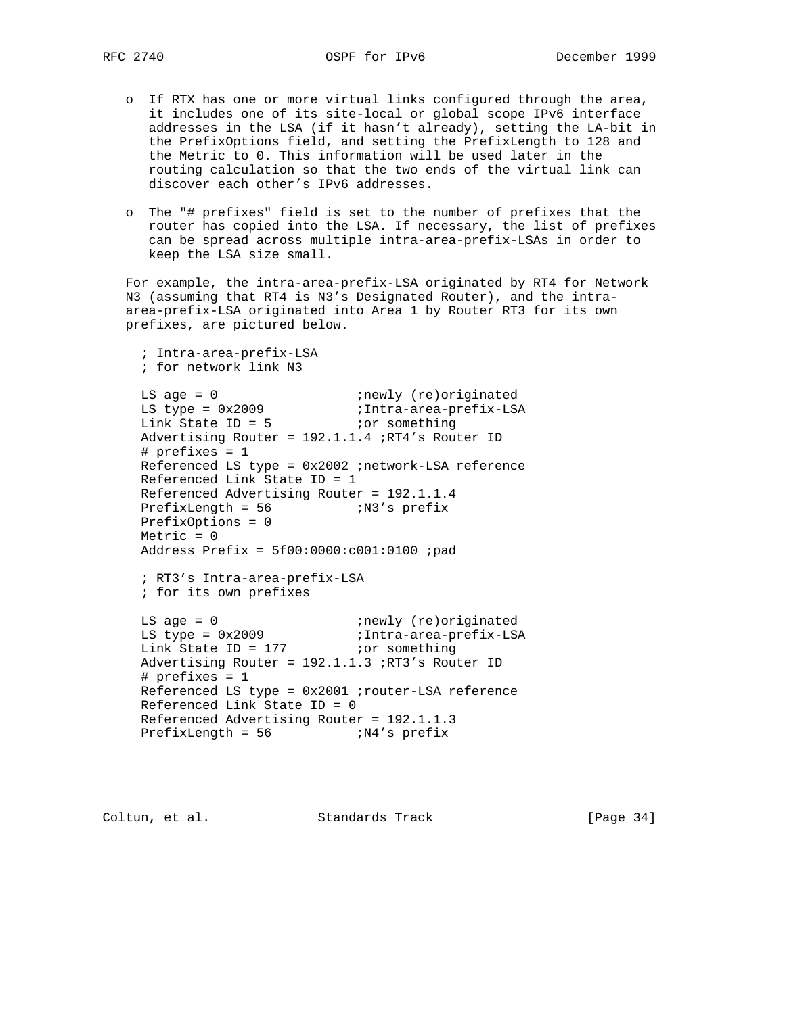- o If RTX has one or more virtual links configured through the area, it includes one of its site-local or global scope IPv6 interface addresses in the LSA (if it hasn't already), setting the LA-bit in the PrefixOptions field, and setting the PrefixLength to 128 and the Metric to 0. This information will be used later in the routing calculation so that the two ends of the virtual link can discover each other's IPv6 addresses.
- o The "# prefixes" field is set to the number of prefixes that the router has copied into the LSA. If necessary, the list of prefixes can be spread across multiple intra-area-prefix-LSAs in order to keep the LSA size small.

 For example, the intra-area-prefix-LSA originated by RT4 for Network N3 (assuming that RT4 is N3's Designated Router), and the intra area-prefix-LSA originated into Area 1 by Router RT3 for its own prefixes, are pictured below.

```
 ; Intra-area-prefix-LSA
     ; for network link N3
LS age = 0 inewly (re)originated
 LS type = 0x2009 ;Intra-area-prefix-LSA
Link State ID = 5 ior something
     Advertising Router = 192.1.1.4 ;RT4's Router ID
     # prefixes = 1
     Referenced LS type = 0x2002 ;network-LSA reference
     Referenced Link State ID = 1
     Referenced Advertising Router = 192.1.1.4
   PrefixLength = 56 ;N3's prefix
    PrefixOptions = 0
     Metric = 0
     Address Prefix = 5f00:0000:c001:0100 ;pad
     ; RT3's Intra-area-prefix-LSA
     ; for its own prefixes
LS age = 0 inewly (re)originated
 LS type = 0x2009 ;Intra-area-prefix-LSA
Link State ID = 177 ior something
     Advertising Router = 192.1.1.3 ;RT3's Router ID
     # prefixes = 1
     Referenced LS type = 0x2001 ;router-LSA reference
     Referenced Link State ID = 0
     Referenced Advertising Router = 192.1.1.3
    PrefixLength = 56 ;N4's prefix
```
Coltun, et al. Standards Track [Page 34]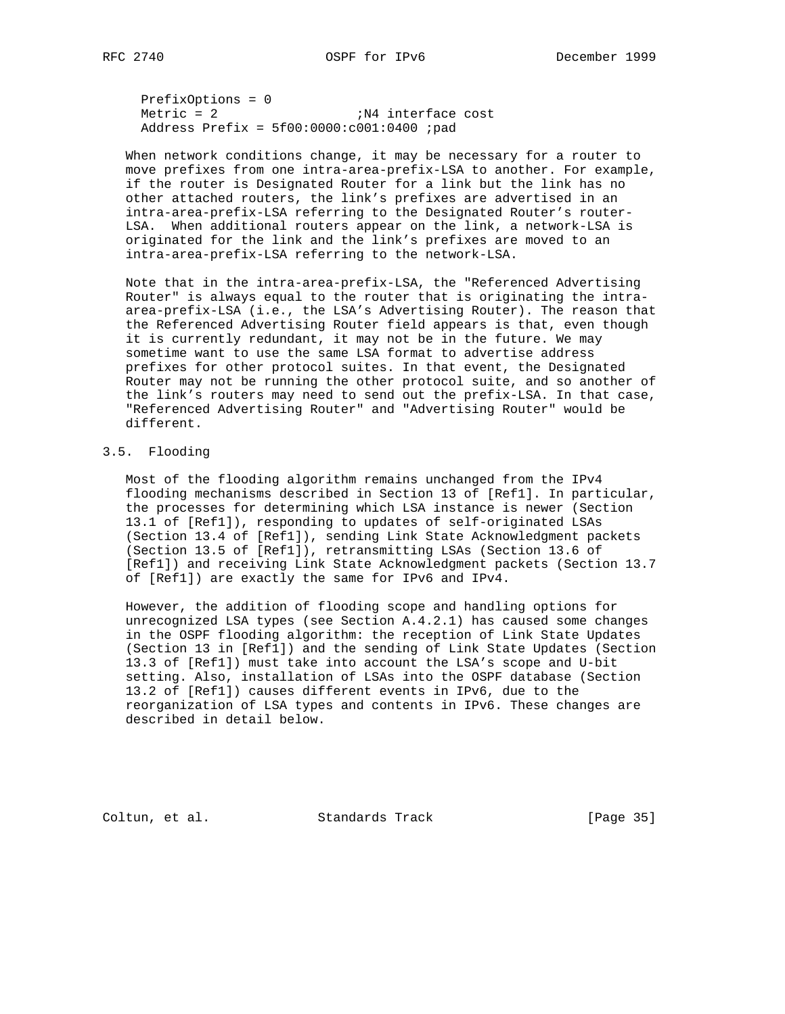PrefixOptions = 0  $Metric = 2$  ;  $N4$  interface cost Address Prefix = 5f00:0000:c001:0400 ;pad

 When network conditions change, it may be necessary for a router to move prefixes from one intra-area-prefix-LSA to another. For example, if the router is Designated Router for a link but the link has no other attached routers, the link's prefixes are advertised in an intra-area-prefix-LSA referring to the Designated Router's router- LSA. When additional routers appear on the link, a network-LSA is originated for the link and the link's prefixes are moved to an intra-area-prefix-LSA referring to the network-LSA.

 Note that in the intra-area-prefix-LSA, the "Referenced Advertising Router" is always equal to the router that is originating the intra area-prefix-LSA (i.e., the LSA's Advertising Router). The reason that the Referenced Advertising Router field appears is that, even though it is currently redundant, it may not be in the future. We may sometime want to use the same LSA format to advertise address prefixes for other protocol suites. In that event, the Designated Router may not be running the other protocol suite, and so another of the link's routers may need to send out the prefix-LSA. In that case, "Referenced Advertising Router" and "Advertising Router" would be different.

# 3.5. Flooding

 Most of the flooding algorithm remains unchanged from the IPv4 flooding mechanisms described in Section 13 of [Ref1]. In particular, the processes for determining which LSA instance is newer (Section 13.1 of [Ref1]), responding to updates of self-originated LSAs (Section 13.4 of [Ref1]), sending Link State Acknowledgment packets (Section 13.5 of [Ref1]), retransmitting LSAs (Section 13.6 of [Ref1]) and receiving Link State Acknowledgment packets (Section 13.7 of [Ref1]) are exactly the same for IPv6 and IPv4.

 However, the addition of flooding scope and handling options for unrecognized LSA types (see Section A.4.2.1) has caused some changes in the OSPF flooding algorithm: the reception of Link State Updates (Section 13 in [Ref1]) and the sending of Link State Updates (Section 13.3 of [Ref1]) must take into account the LSA's scope and U-bit setting. Also, installation of LSAs into the OSPF database (Section 13.2 of [Ref1]) causes different events in IPv6, due to the reorganization of LSA types and contents in IPv6. These changes are described in detail below.

Coltun, et al. Standards Track [Page 35]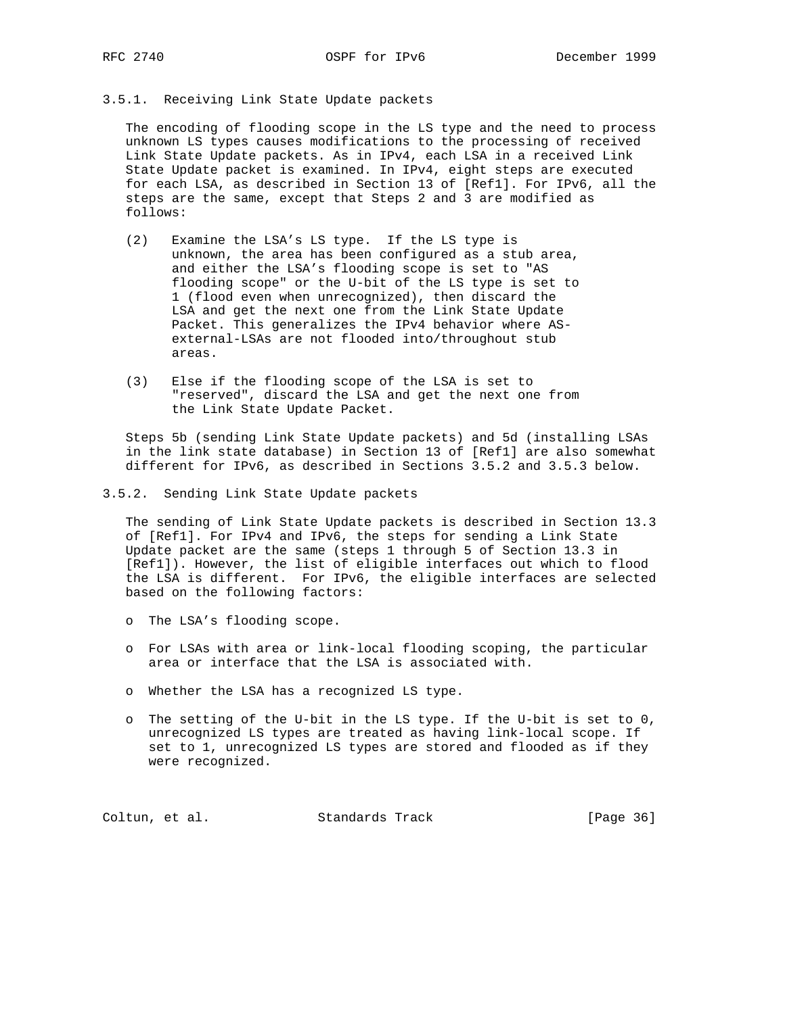## 3.5.1. Receiving Link State Update packets

 The encoding of flooding scope in the LS type and the need to process unknown LS types causes modifications to the processing of received Link State Update packets. As in IPv4, each LSA in a received Link State Update packet is examined. In IPv4, eight steps are executed for each LSA, as described in Section 13 of [Ref1]. For IPv6, all the steps are the same, except that Steps 2 and 3 are modified as follows:

- (2) Examine the LSA's LS type. If the LS type is unknown, the area has been configured as a stub area, and either the LSA's flooding scope is set to "AS flooding scope" or the U-bit of the LS type is set to 1 (flood even when unrecognized), then discard the LSA and get the next one from the Link State Update Packet. This generalizes the IPv4 behavior where AS external-LSAs are not flooded into/throughout stub areas.
- (3) Else if the flooding scope of the LSA is set to "reserved", discard the LSA and get the next one from the Link State Update Packet.

 Steps 5b (sending Link State Update packets) and 5d (installing LSAs in the link state database) in Section 13 of [Ref1] are also somewhat different for IPv6, as described in Sections 3.5.2 and 3.5.3 below.

3.5.2. Sending Link State Update packets

 The sending of Link State Update packets is described in Section 13.3 of [Ref1]. For IPv4 and IPv6, the steps for sending a Link State Update packet are the same (steps 1 through 5 of Section 13.3 in [Ref1]). However, the list of eligible interfaces out which to flood the LSA is different. For IPv6, the eligible interfaces are selected based on the following factors:

- o The LSA's flooding scope.
- o For LSAs with area or link-local flooding scoping, the particular area or interface that the LSA is associated with.
- o Whether the LSA has a recognized LS type.
- o The setting of the U-bit in the LS type. If the U-bit is set to 0, unrecognized LS types are treated as having link-local scope. If set to 1, unrecognized LS types are stored and flooded as if they were recognized.

Coltun, et al. Standards Track [Page 36]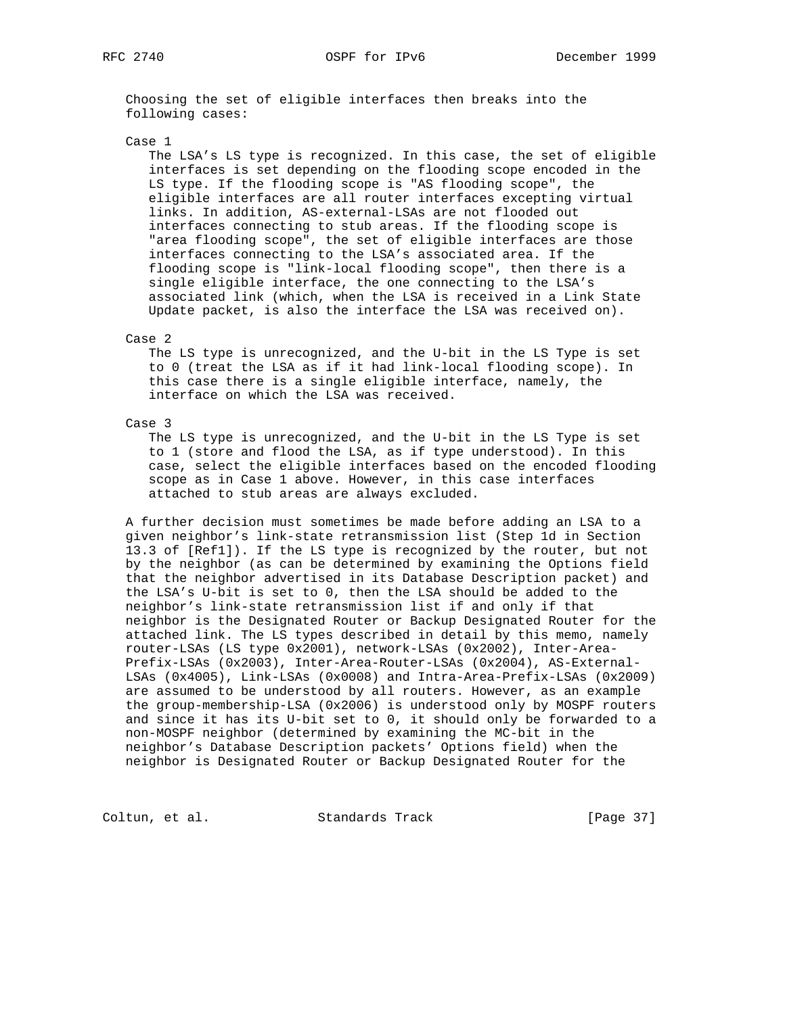Choosing the set of eligible interfaces then breaks into the following cases:

#### Case 1

 The LSA's LS type is recognized. In this case, the set of eligible interfaces is set depending on the flooding scope encoded in the LS type. If the flooding scope is "AS flooding scope", the eligible interfaces are all router interfaces excepting virtual links. In addition, AS-external-LSAs are not flooded out interfaces connecting to stub areas. If the flooding scope is "area flooding scope", the set of eligible interfaces are those interfaces connecting to the LSA's associated area. If the flooding scope is "link-local flooding scope", then there is a single eligible interface, the one connecting to the LSA's associated link (which, when the LSA is received in a Link State Update packet, is also the interface the LSA was received on).

## Case 2

 The LS type is unrecognized, and the U-bit in the LS Type is set to 0 (treat the LSA as if it had link-local flooding scope). In this case there is a single eligible interface, namely, the interface on which the LSA was received.

## Case 3

 The LS type is unrecognized, and the U-bit in the LS Type is set to 1 (store and flood the LSA, as if type understood). In this case, select the eligible interfaces based on the encoded flooding scope as in Case 1 above. However, in this case interfaces attached to stub areas are always excluded.

 A further decision must sometimes be made before adding an LSA to a given neighbor's link-state retransmission list (Step 1d in Section 13.3 of [Ref1]). If the LS type is recognized by the router, but not by the neighbor (as can be determined by examining the Options field that the neighbor advertised in its Database Description packet) and the LSA's U-bit is set to 0, then the LSA should be added to the neighbor's link-state retransmission list if and only if that neighbor is the Designated Router or Backup Designated Router for the attached link. The LS types described in detail by this memo, namely router-LSAs (LS type 0x2001), network-LSAs (0x2002), Inter-Area- Prefix-LSAs (0x2003), Inter-Area-Router-LSAs (0x2004), AS-External- LSAs (0x4005), Link-LSAs (0x0008) and Intra-Area-Prefix-LSAs (0x2009) are assumed to be understood by all routers. However, as an example the group-membership-LSA (0x2006) is understood only by MOSPF routers and since it has its U-bit set to 0, it should only be forwarded to a non-MOSPF neighbor (determined by examining the MC-bit in the neighbor's Database Description packets' Options field) when the neighbor is Designated Router or Backup Designated Router for the

Coltun, et al. Standards Track [Page 37]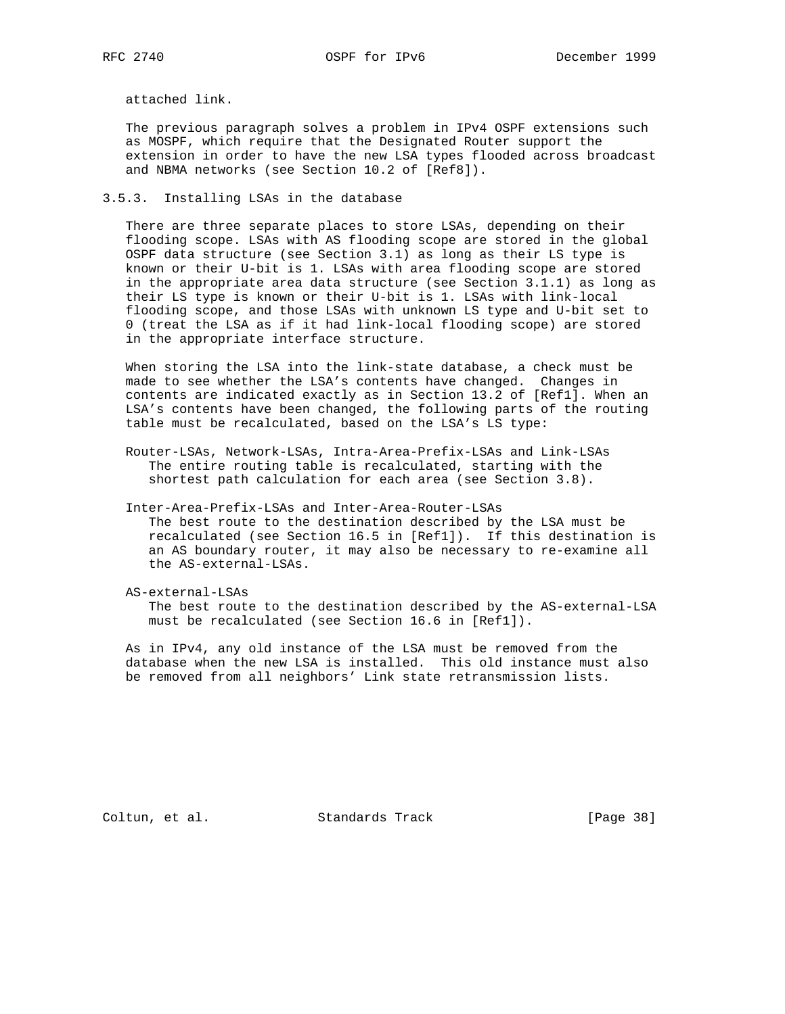attached link.

 The previous paragraph solves a problem in IPv4 OSPF extensions such as MOSPF, which require that the Designated Router support the extension in order to have the new LSA types flooded across broadcast and NBMA networks (see Section 10.2 of [Ref8]).

#### 3.5.3. Installing LSAs in the database

 There are three separate places to store LSAs, depending on their flooding scope. LSAs with AS flooding scope are stored in the global OSPF data structure (see Section 3.1) as long as their LS type is known or their U-bit is 1. LSAs with area flooding scope are stored in the appropriate area data structure (see Section 3.1.1) as long as their LS type is known or their U-bit is 1. LSAs with link-local flooding scope, and those LSAs with unknown LS type and U-bit set to 0 (treat the LSA as if it had link-local flooding scope) are stored in the appropriate interface structure.

 When storing the LSA into the link-state database, a check must be made to see whether the LSA's contents have changed. Changes in contents are indicated exactly as in Section 13.2 of [Ref1]. When an LSA's contents have been changed, the following parts of the routing table must be recalculated, based on the LSA's LS type:

- Router-LSAs, Network-LSAs, Intra-Area-Prefix-LSAs and Link-LSAs The entire routing table is recalculated, starting with the shortest path calculation for each area (see Section 3.8).
- Inter-Area-Prefix-LSAs and Inter-Area-Router-LSAs The best route to the destination described by the LSA must be recalculated (see Section 16.5 in [Ref1]). If this destination is an AS boundary router, it may also be necessary to re-examine all the AS-external-LSAs.
- AS-external-LSAs The best route to the destination described by the AS-external-LSA must be recalculated (see Section 16.6 in [Ref1]).

 As in IPv4, any old instance of the LSA must be removed from the database when the new LSA is installed. This old instance must also be removed from all neighbors' Link state retransmission lists.

Coltun, et al. Standards Track [Page 38]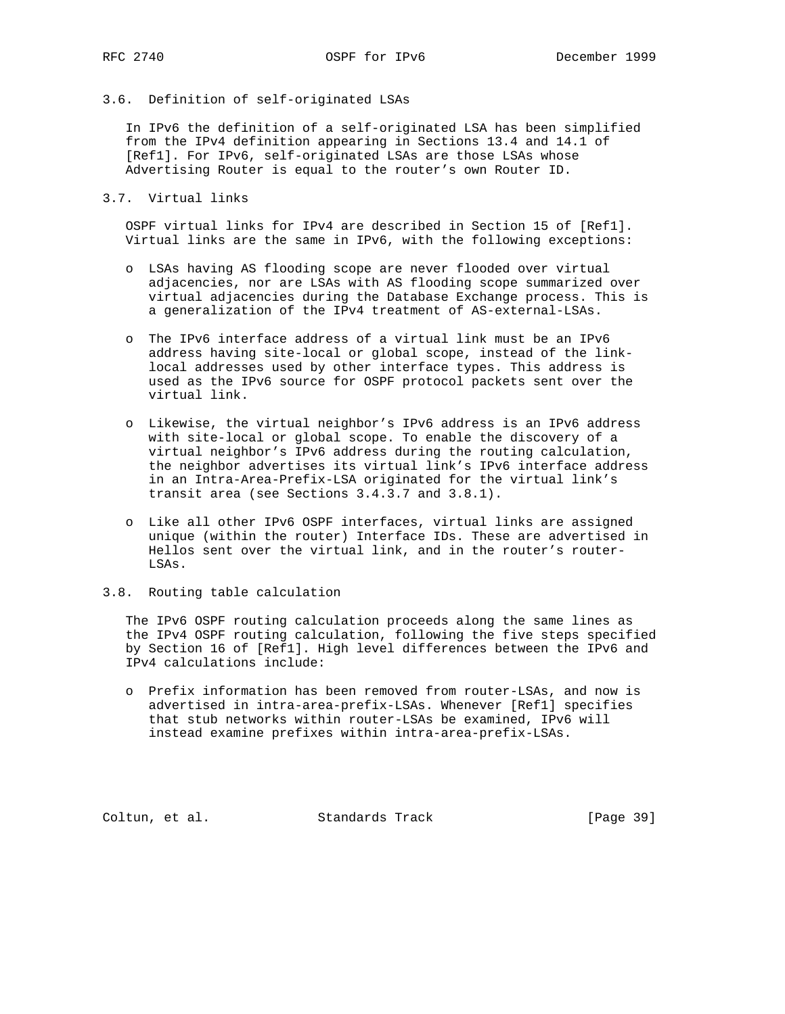# 3.6. Definition of self-originated LSAs

 In IPv6 the definition of a self-originated LSA has been simplified from the IPv4 definition appearing in Sections 13.4 and 14.1 of [Ref1]. For IPv6, self-originated LSAs are those LSAs whose Advertising Router is equal to the router's own Router ID.

3.7. Virtual links

 OSPF virtual links for IPv4 are described in Section 15 of [Ref1]. Virtual links are the same in IPv6, with the following exceptions:

- o LSAs having AS flooding scope are never flooded over virtual adjacencies, nor are LSAs with AS flooding scope summarized over virtual adjacencies during the Database Exchange process. This is a generalization of the IPv4 treatment of AS-external-LSAs.
- o The IPv6 interface address of a virtual link must be an IPv6 address having site-local or global scope, instead of the link local addresses used by other interface types. This address is used as the IPv6 source for OSPF protocol packets sent over the virtual link.
- o Likewise, the virtual neighbor's IPv6 address is an IPv6 address with site-local or global scope. To enable the discovery of a virtual neighbor's IPv6 address during the routing calculation, the neighbor advertises its virtual link's IPv6 interface address in an Intra-Area-Prefix-LSA originated for the virtual link's transit area (see Sections 3.4.3.7 and 3.8.1).
- o Like all other IPv6 OSPF interfaces, virtual links are assigned unique (within the router) Interface IDs. These are advertised in Hellos sent over the virtual link, and in the router's router- LSAs.
- 3.8. Routing table calculation

 The IPv6 OSPF routing calculation proceeds along the same lines as the IPv4 OSPF routing calculation, following the five steps specified by Section 16 of [Ref1]. High level differences between the IPv6 and IPv4 calculations include:

 o Prefix information has been removed from router-LSAs, and now is advertised in intra-area-prefix-LSAs. Whenever [Ref1] specifies that stub networks within router-LSAs be examined, IPv6 will instead examine prefixes within intra-area-prefix-LSAs.

Coltun, et al. Standards Track [Page 39]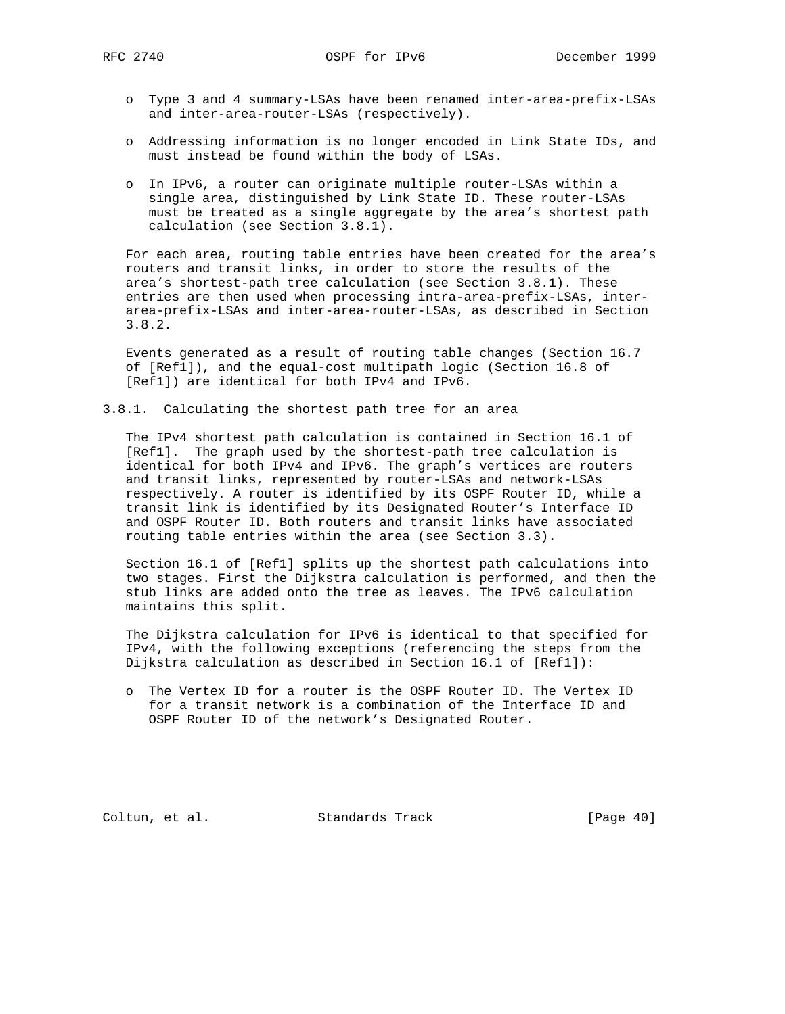- o Type 3 and 4 summary-LSAs have been renamed inter-area-prefix-LSAs and inter-area-router-LSAs (respectively).
- o Addressing information is no longer encoded in Link State IDs, and must instead be found within the body of LSAs.
- o In IPv6, a router can originate multiple router-LSAs within a single area, distinguished by Link State ID. These router-LSAs must be treated as a single aggregate by the area's shortest path calculation (see Section 3.8.1).

 For each area, routing table entries have been created for the area's routers and transit links, in order to store the results of the area's shortest-path tree calculation (see Section 3.8.1). These entries are then used when processing intra-area-prefix-LSAs, inter area-prefix-LSAs and inter-area-router-LSAs, as described in Section 3.8.2.

 Events generated as a result of routing table changes (Section 16.7 of [Ref1]), and the equal-cost multipath logic (Section 16.8 of [Ref1]) are identical for both IPv4 and IPv6.

3.8.1. Calculating the shortest path tree for an area

 The IPv4 shortest path calculation is contained in Section 16.1 of [Ref1]. The graph used by the shortest-path tree calculation is identical for both IPv4 and IPv6. The graph's vertices are routers and transit links, represented by router-LSAs and network-LSAs respectively. A router is identified by its OSPF Router ID, while a transit link is identified by its Designated Router's Interface ID and OSPF Router ID. Both routers and transit links have associated routing table entries within the area (see Section 3.3).

 Section 16.1 of [Ref1] splits up the shortest path calculations into two stages. First the Dijkstra calculation is performed, and then the stub links are added onto the tree as leaves. The IPv6 calculation maintains this split.

 The Dijkstra calculation for IPv6 is identical to that specified for IPv4, with the following exceptions (referencing the steps from the Dijkstra calculation as described in Section 16.1 of [Ref1]):

 o The Vertex ID for a router is the OSPF Router ID. The Vertex ID for a transit network is a combination of the Interface ID and OSPF Router ID of the network's Designated Router.

Coltun, et al. Standards Track [Page 40]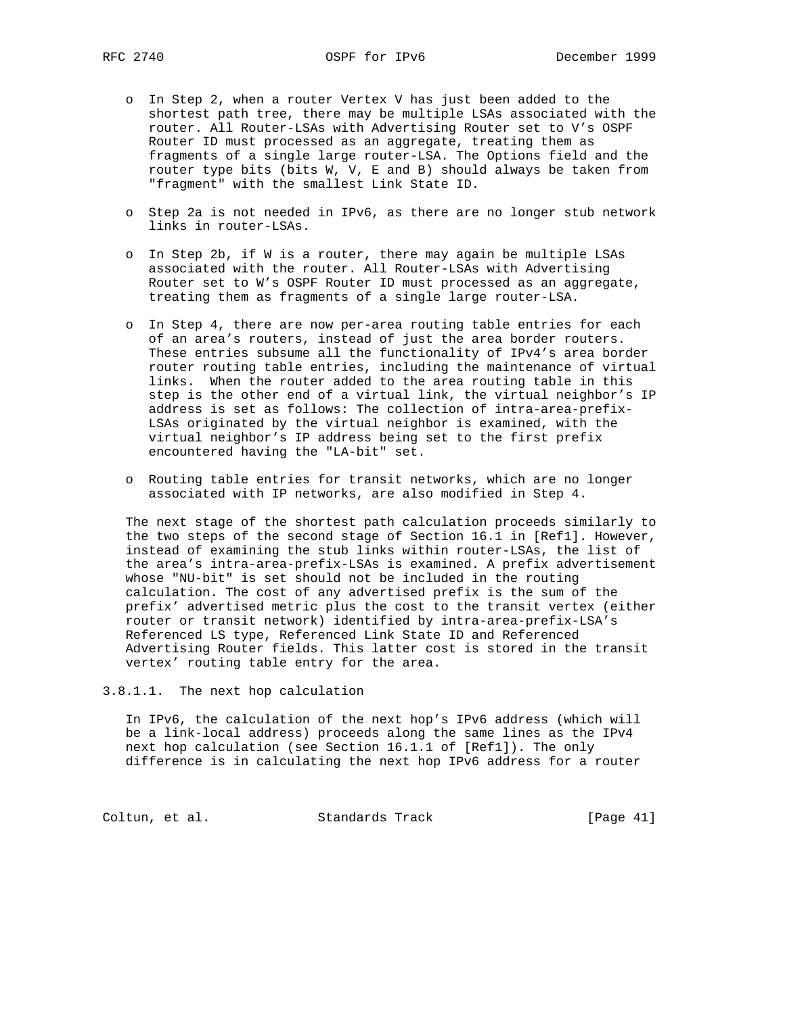- o In Step 2, when a router Vertex V has just been added to the shortest path tree, there may be multiple LSAs associated with the router. All Router-LSAs with Advertising Router set to V's OSPF Router ID must processed as an aggregate, treating them as fragments of a single large router-LSA. The Options field and the router type bits (bits W, V, E and B) should always be taken from "fragment" with the smallest Link State ID.
- o Step 2a is not needed in IPv6, as there are no longer stub network links in router-LSAs.
- o In Step 2b, if W is a router, there may again be multiple LSAs associated with the router. All Router-LSAs with Advertising Router set to W's OSPF Router ID must processed as an aggregate, treating them as fragments of a single large router-LSA.
- o In Step 4, there are now per-area routing table entries for each of an area's routers, instead of just the area border routers. These entries subsume all the functionality of IPv4's area border router routing table entries, including the maintenance of virtual links. When the router added to the area routing table in this step is the other end of a virtual link, the virtual neighbor's IP address is set as follows: The collection of intra-area-prefix- LSAs originated by the virtual neighbor is examined, with the virtual neighbor's IP address being set to the first prefix encountered having the "LA-bit" set.
- o Routing table entries for transit networks, which are no longer associated with IP networks, are also modified in Step 4.

 The next stage of the shortest path calculation proceeds similarly to the two steps of the second stage of Section 16.1 in [Ref1]. However, instead of examining the stub links within router-LSAs, the list of the area's intra-area-prefix-LSAs is examined. A prefix advertisement whose "NU-bit" is set should not be included in the routing calculation. The cost of any advertised prefix is the sum of the prefix' advertised metric plus the cost to the transit vertex (either router or transit network) identified by intra-area-prefix-LSA's Referenced LS type, Referenced Link State ID and Referenced Advertising Router fields. This latter cost is stored in the transit vertex' routing table entry for the area.

3.8.1.1. The next hop calculation

 In IPv6, the calculation of the next hop's IPv6 address (which will be a link-local address) proceeds along the same lines as the IPv4 next hop calculation (see Section 16.1.1 of [Ref1]). The only difference is in calculating the next hop IPv6 address for a router

Coltun, et al. Standards Track [Page 41]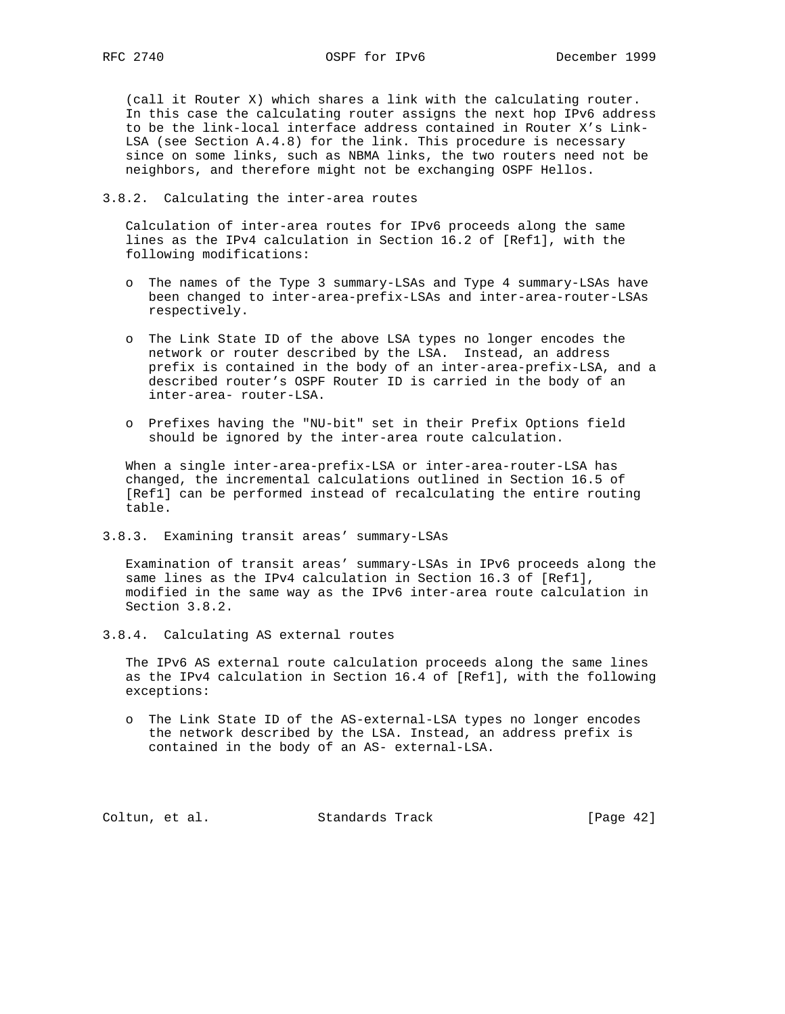(call it Router X) which shares a link with the calculating router. In this case the calculating router assigns the next hop IPv6 address to be the link-local interface address contained in Router X's Link- LSA (see Section A.4.8) for the link. This procedure is necessary since on some links, such as NBMA links, the two routers need not be neighbors, and therefore might not be exchanging OSPF Hellos.

#### 3.8.2. Calculating the inter-area routes

 Calculation of inter-area routes for IPv6 proceeds along the same lines as the IPv4 calculation in Section 16.2 of [Ref1], with the following modifications:

- o The names of the Type 3 summary-LSAs and Type 4 summary-LSAs have been changed to inter-area-prefix-LSAs and inter-area-router-LSAs respectively.
- o The Link State ID of the above LSA types no longer encodes the network or router described by the LSA. Instead, an address prefix is contained in the body of an inter-area-prefix-LSA, and a described router's OSPF Router ID is carried in the body of an inter-area- router-LSA.
- o Prefixes having the "NU-bit" set in their Prefix Options field should be ignored by the inter-area route calculation.

 When a single inter-area-prefix-LSA or inter-area-router-LSA has changed, the incremental calculations outlined in Section 16.5 of [Ref1] can be performed instead of recalculating the entire routing table.

3.8.3. Examining transit areas' summary-LSAs

 Examination of transit areas' summary-LSAs in IPv6 proceeds along the same lines as the IPv4 calculation in Section 16.3 of [Ref1], modified in the same way as the IPv6 inter-area route calculation in Section 3.8.2.

3.8.4. Calculating AS external routes

 The IPv6 AS external route calculation proceeds along the same lines as the IPv4 calculation in Section 16.4 of [Ref1], with the following exceptions:

 o The Link State ID of the AS-external-LSA types no longer encodes the network described by the LSA. Instead, an address prefix is contained in the body of an AS- external-LSA.

Coltun, et al. Standards Track [Page 42]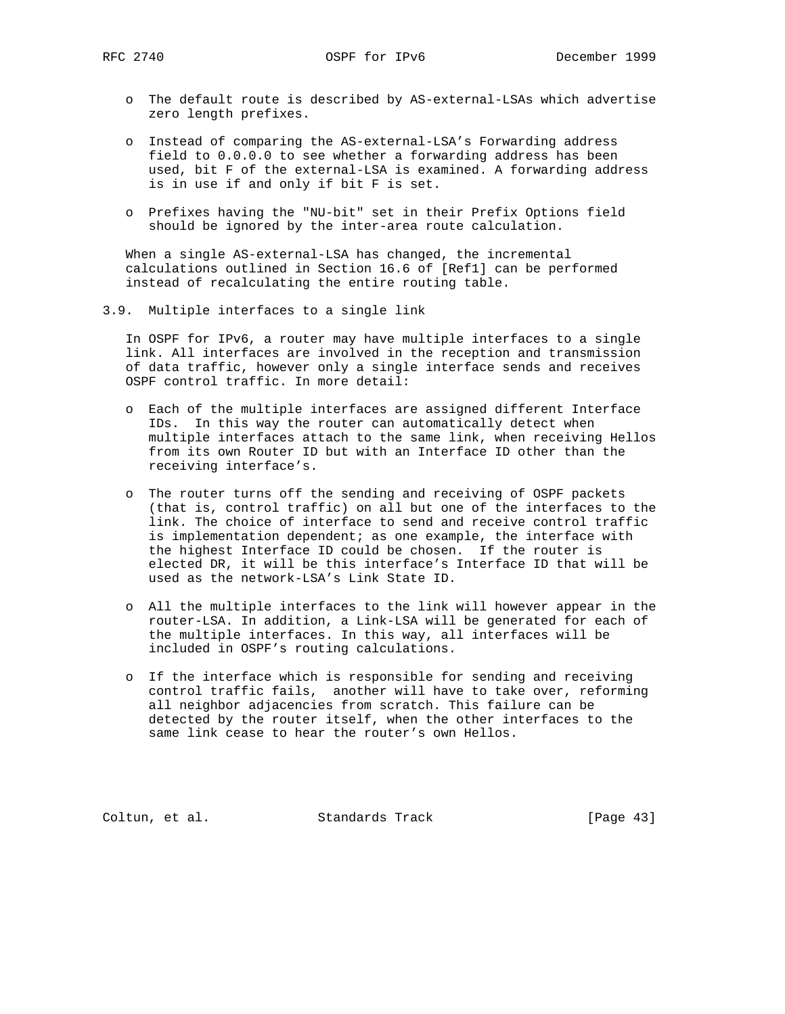- o The default route is described by AS-external-LSAs which advertise zero length prefixes.
- o Instead of comparing the AS-external-LSA's Forwarding address field to 0.0.0.0 to see whether a forwarding address has been used, bit F of the external-LSA is examined. A forwarding address is in use if and only if bit F is set.
- o Prefixes having the "NU-bit" set in their Prefix Options field should be ignored by the inter-area route calculation.

 When a single AS-external-LSA has changed, the incremental calculations outlined in Section 16.6 of [Ref1] can be performed instead of recalculating the entire routing table.

3.9. Multiple interfaces to a single link

 In OSPF for IPv6, a router may have multiple interfaces to a single link. All interfaces are involved in the reception and transmission of data traffic, however only a single interface sends and receives OSPF control traffic. In more detail:

- o Each of the multiple interfaces are assigned different Interface IDs. In this way the router can automatically detect when multiple interfaces attach to the same link, when receiving Hellos from its own Router ID but with an Interface ID other than the receiving interface's.
- o The router turns off the sending and receiving of OSPF packets (that is, control traffic) on all but one of the interfaces to the link. The choice of interface to send and receive control traffic is implementation dependent; as one example, the interface with the highest Interface ID could be chosen. If the router is elected DR, it will be this interface's Interface ID that will be used as the network-LSA's Link State ID.
- o All the multiple interfaces to the link will however appear in the router-LSA. In addition, a Link-LSA will be generated for each of the multiple interfaces. In this way, all interfaces will be included in OSPF's routing calculations.
- o If the interface which is responsible for sending and receiving control traffic fails, another will have to take over, reforming all neighbor adjacencies from scratch. This failure can be detected by the router itself, when the other interfaces to the same link cease to hear the router's own Hellos.

Coltun, et al. Standards Track [Page 43]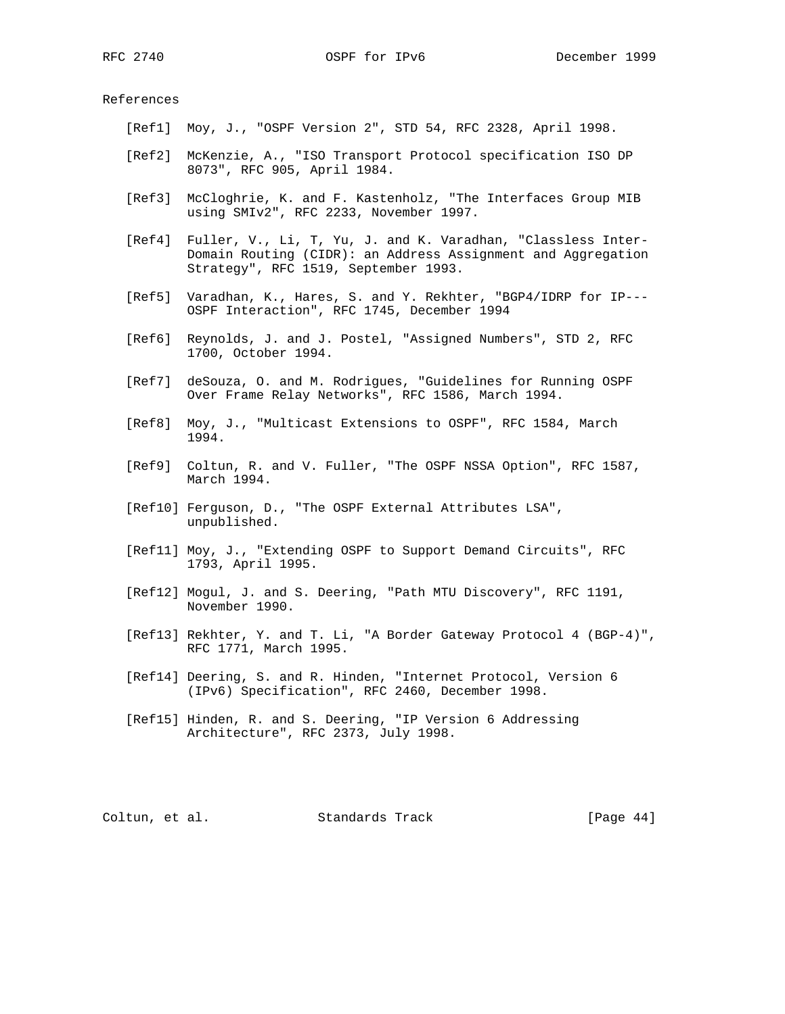#### References

- [Ref1] Moy, J., "OSPF Version 2", STD 54, RFC 2328, April 1998.
- [Ref2] McKenzie, A., "ISO Transport Protocol specification ISO DP 8073", RFC 905, April 1984.
- [Ref3] McCloghrie, K. and F. Kastenholz, "The Interfaces Group MIB using SMIv2", RFC 2233, November 1997.
- [Ref4] Fuller, V., Li, T, Yu, J. and K. Varadhan, "Classless Inter- Domain Routing (CIDR): an Address Assignment and Aggregation Strategy", RFC 1519, September 1993.
- [Ref5] Varadhan, K., Hares, S. and Y. Rekhter, "BGP4/IDRP for IP--- OSPF Interaction", RFC 1745, December 1994
- [Ref6] Reynolds, J. and J. Postel, "Assigned Numbers", STD 2, RFC 1700, October 1994.
- [Ref7] deSouza, O. and M. Rodrigues, "Guidelines for Running OSPF Over Frame Relay Networks", RFC 1586, March 1994.
- [Ref8] Moy, J., "Multicast Extensions to OSPF", RFC 1584, March 1994.
- [Ref9] Coltun, R. and V. Fuller, "The OSPF NSSA Option", RFC 1587, March 1994.
- [Ref10] Ferguson, D., "The OSPF External Attributes LSA", unpublished.
- [Ref11] Moy, J., "Extending OSPF to Support Demand Circuits", RFC 1793, April 1995.
- [Ref12] Mogul, J. and S. Deering, "Path MTU Discovery", RFC 1191, November 1990.
- [Ref13] Rekhter, Y. and T. Li, "A Border Gateway Protocol 4 (BGP-4)", RFC 1771, March 1995.
- [Ref14] Deering, S. and R. Hinden, "Internet Protocol, Version 6 (IPv6) Specification", RFC 2460, December 1998.
- [Ref15] Hinden, R. and S. Deering, "IP Version 6 Addressing Architecture", RFC 2373, July 1998.

Coltun, et al. Standards Track [Page 44]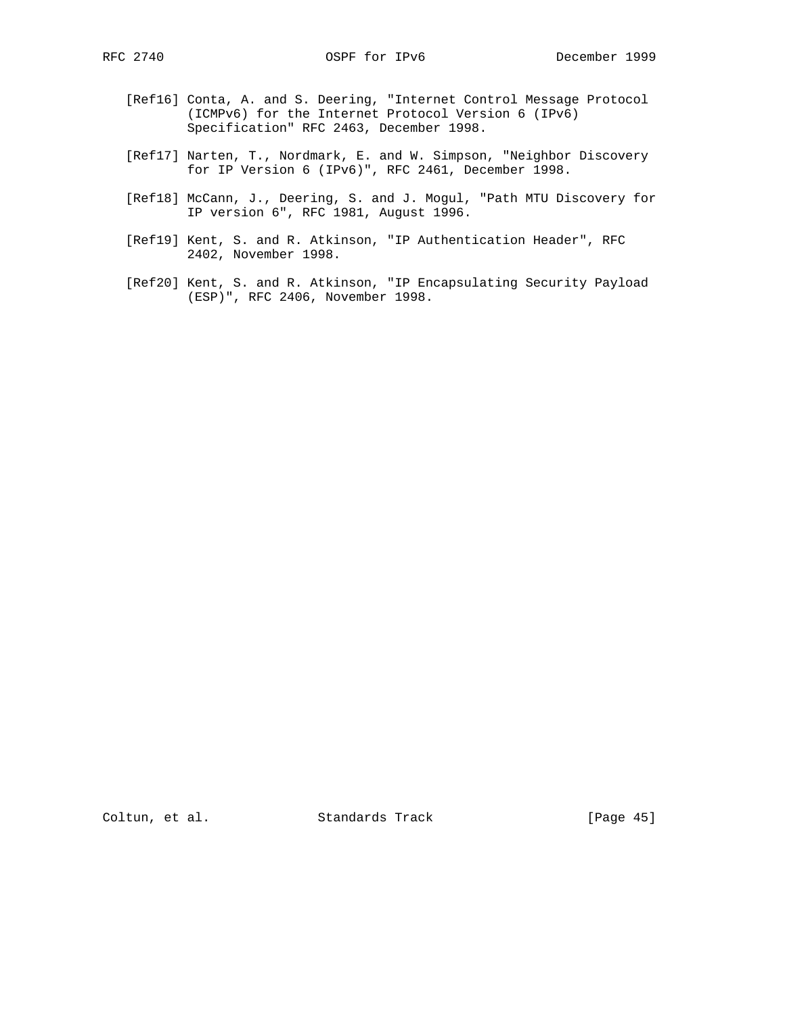- [Ref16] Conta, A. and S. Deering, "Internet Control Message Protocol (ICMPv6) for the Internet Protocol Version 6 (IPv6) Specification" RFC 2463, December 1998.
- [Ref17] Narten, T., Nordmark, E. and W. Simpson, "Neighbor Discovery for IP Version 6 (IPv6)", RFC 2461, December 1998.
- [Ref18] McCann, J., Deering, S. and J. Mogul, "Path MTU Discovery for IP version 6", RFC 1981, August 1996.
- [Ref19] Kent, S. and R. Atkinson, "IP Authentication Header", RFC 2402, November 1998.
- [Ref20] Kent, S. and R. Atkinson, "IP Encapsulating Security Payload (ESP)", RFC 2406, November 1998.

Coltun, et al. Standards Track [Page 45]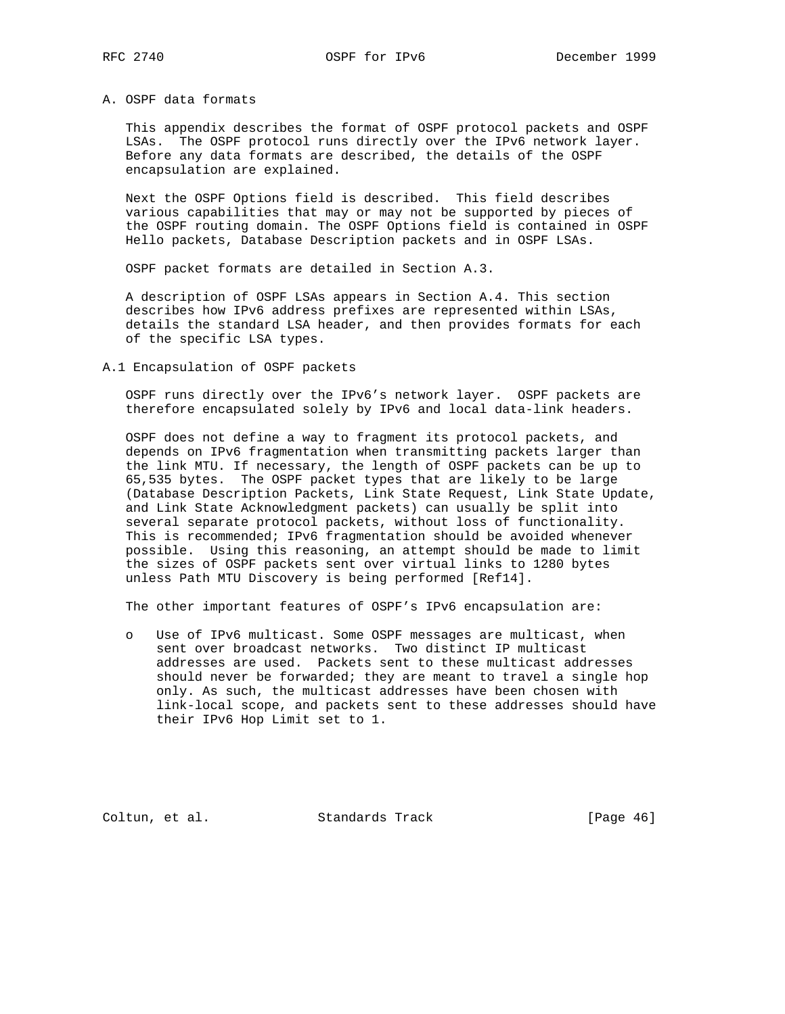## A. OSPF data formats

 This appendix describes the format of OSPF protocol packets and OSPF LSAs. The OSPF protocol runs directly over the IPv6 network layer. Before any data formats are described, the details of the OSPF encapsulation are explained.

 Next the OSPF Options field is described. This field describes various capabilities that may or may not be supported by pieces of the OSPF routing domain. The OSPF Options field is contained in OSPF Hello packets, Database Description packets and in OSPF LSAs.

OSPF packet formats are detailed in Section A.3.

 A description of OSPF LSAs appears in Section A.4. This section describes how IPv6 address prefixes are represented within LSAs, details the standard LSA header, and then provides formats for each of the specific LSA types.

A.1 Encapsulation of OSPF packets

 OSPF runs directly over the IPv6's network layer. OSPF packets are therefore encapsulated solely by IPv6 and local data-link headers.

 OSPF does not define a way to fragment its protocol packets, and depends on IPv6 fragmentation when transmitting packets larger than the link MTU. If necessary, the length of OSPF packets can be up to 65,535 bytes. The OSPF packet types that are likely to be large (Database Description Packets, Link State Request, Link State Update, and Link State Acknowledgment packets) can usually be split into several separate protocol packets, without loss of functionality. This is recommended; IPv6 fragmentation should be avoided whenever possible. Using this reasoning, an attempt should be made to limit the sizes of OSPF packets sent over virtual links to 1280 bytes unless Path MTU Discovery is being performed [Ref14].

The other important features of OSPF's IPv6 encapsulation are:

 o Use of IPv6 multicast. Some OSPF messages are multicast, when sent over broadcast networks. Two distinct IP multicast addresses are used. Packets sent to these multicast addresses should never be forwarded; they are meant to travel a single hop only. As such, the multicast addresses have been chosen with link-local scope, and packets sent to these addresses should have their IPv6 Hop Limit set to 1.

Coltun, et al. Standards Track [Page 46]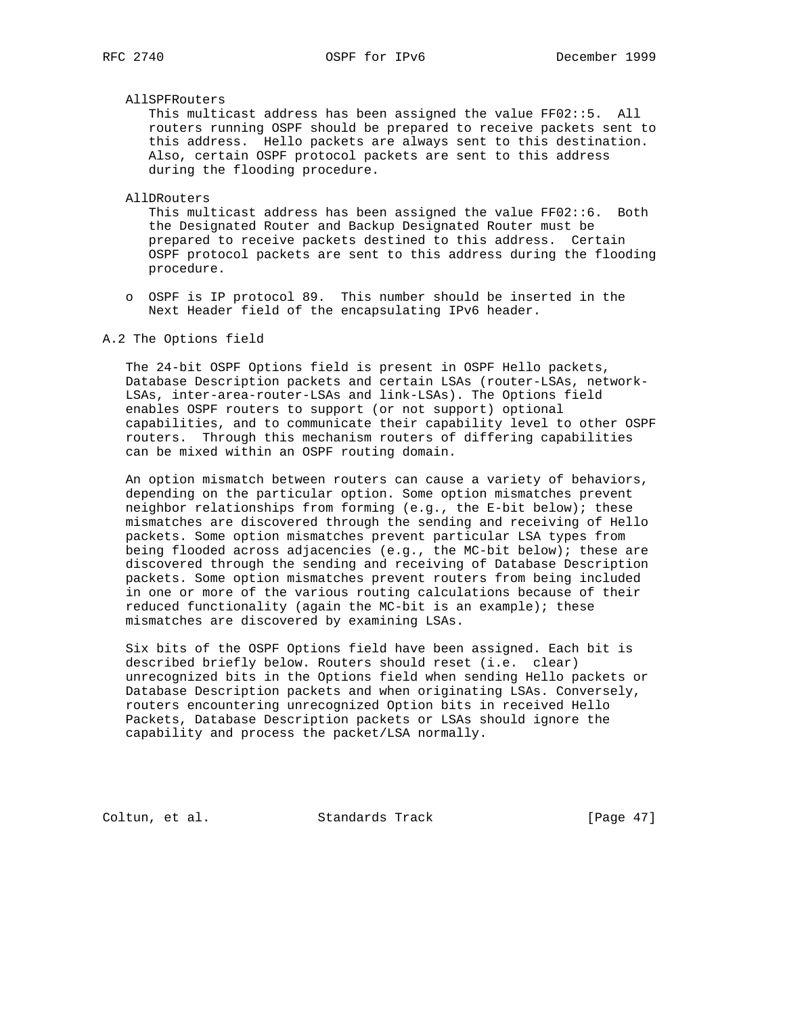## AllSPFRouters

 This multicast address has been assigned the value FF02::5. All routers running OSPF should be prepared to receive packets sent to this address. Hello packets are always sent to this destination. Also, certain OSPF protocol packets are sent to this address during the flooding procedure.

#### AllDRouters

 This multicast address has been assigned the value FF02::6. Both the Designated Router and Backup Designated Router must be prepared to receive packets destined to this address. Certain OSPF protocol packets are sent to this address during the flooding procedure.

 o OSPF is IP protocol 89. This number should be inserted in the Next Header field of the encapsulating IPv6 header.

## A.2 The Options field

 The 24-bit OSPF Options field is present in OSPF Hello packets, Database Description packets and certain LSAs (router-LSAs, network- LSAs, inter-area-router-LSAs and link-LSAs). The Options field enables OSPF routers to support (or not support) optional capabilities, and to communicate their capability level to other OSPF routers. Through this mechanism routers of differing capabilities can be mixed within an OSPF routing domain.

 An option mismatch between routers can cause a variety of behaviors, depending on the particular option. Some option mismatches prevent neighbor relationships from forming (e.g., the E-bit below); these mismatches are discovered through the sending and receiving of Hello packets. Some option mismatches prevent particular LSA types from being flooded across adjacencies (e.g., the MC-bit below); these are discovered through the sending and receiving of Database Description packets. Some option mismatches prevent routers from being included in one or more of the various routing calculations because of their reduced functionality (again the MC-bit is an example); these mismatches are discovered by examining LSAs.

 Six bits of the OSPF Options field have been assigned. Each bit is described briefly below. Routers should reset (i.e. clear) unrecognized bits in the Options field when sending Hello packets or Database Description packets and when originating LSAs. Conversely, routers encountering unrecognized Option bits in received Hello Packets, Database Description packets or LSAs should ignore the capability and process the packet/LSA normally.

Coltun, et al. Standards Track [Page 47]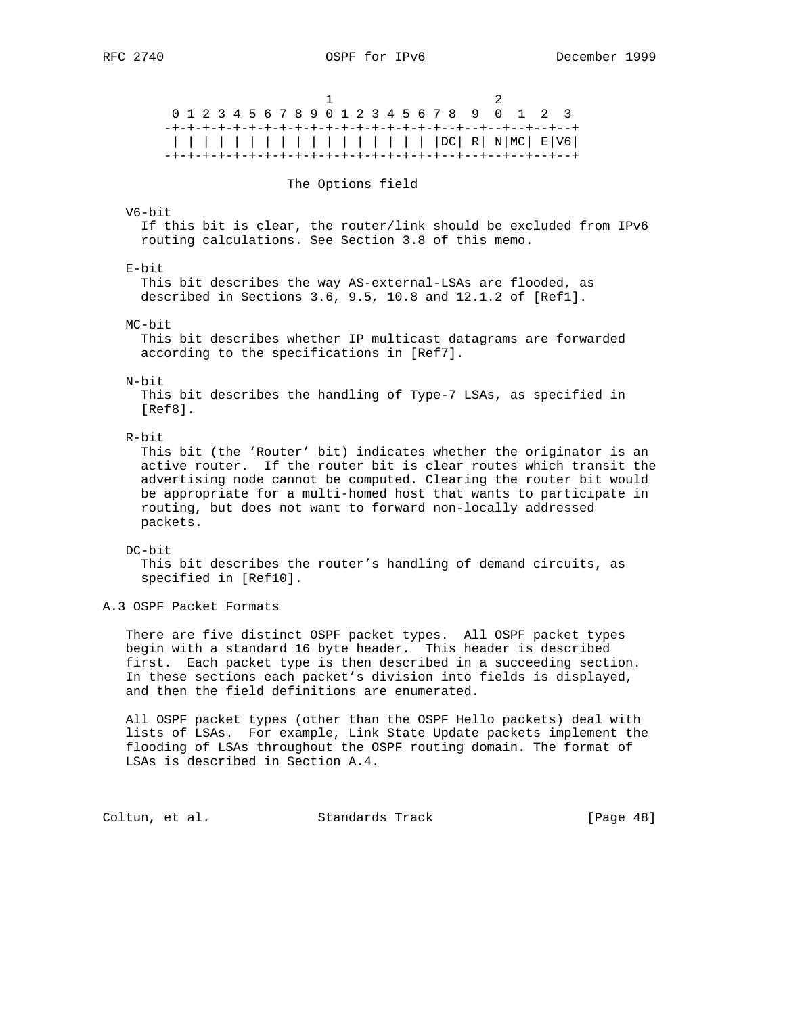1 2 0 1 2 3 4 5 6 7 8 9 0 1 2 3 4 5 6 7 8 9 0 1 2 3 -+-+-+-+-+-+-+-+-+-+-+-+-+-+-+-+-+-+--+--+--+--+--+--+ | | | | | | | | | | | | | | | | | |DC| R| N|MC| E|V6| -+-+-+-+-+-+-+-+-+-+-+-+-+-+-+-+-+-+--+--+--+--+--+--+ The Options field V6-bit If this bit is clear, the router/link should be excluded from IPv6 routing calculations. See Section 3.8 of this memo. E-bit This bit describes the way AS-external-LSAs are flooded, as described in Sections 3.6, 9.5, 10.8 and 12.1.2 of [Ref1]. MC-bit This bit describes whether IP multicast datagrams are forwarded according to the specifications in [Ref7]. N-bit This bit describes the handling of Type-7 LSAs, as specified in [Ref8]. R-bit This bit (the 'Router' bit) indicates whether the originator is an

 active router. If the router bit is clear routes which transit the advertising node cannot be computed. Clearing the router bit would be appropriate for a multi-homed host that wants to participate in routing, but does not want to forward non-locally addressed packets.

#### DC-bit

 This bit describes the router's handling of demand circuits, as specified in [Ref10].

A.3 OSPF Packet Formats

 There are five distinct OSPF packet types. All OSPF packet types begin with a standard 16 byte header. This header is described first. Each packet type is then described in a succeeding section. In these sections each packet's division into fields is displayed, and then the field definitions are enumerated.

 All OSPF packet types (other than the OSPF Hello packets) deal with lists of LSAs. For example, Link State Update packets implement the flooding of LSAs throughout the OSPF routing domain. The format of LSAs is described in Section A.4.

Coltun, et al. Standards Track [Page 48]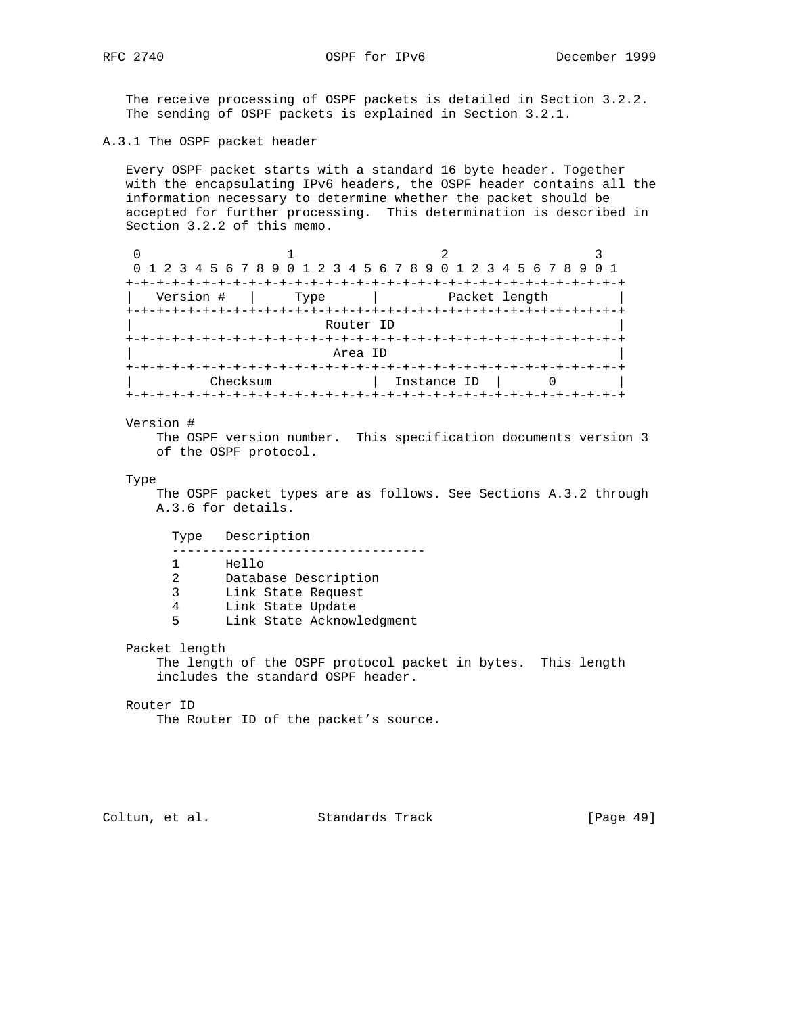The receive processing of OSPF packets is detailed in Section 3.2.2. The sending of OSPF packets is explained in Section 3.2.1.

A.3.1 The OSPF packet header

 Every OSPF packet starts with a standard 16 byte header. Together with the encapsulating IPv6 headers, the OSPF header contains all the information necessary to determine whether the packet should be accepted for further processing. This determination is described in Section 3.2.2 of this memo.

|           |              | 0 1 2 3 4 5 6 7 8 9 0 1 2 3 4 5 6 7 8 9 0 1 2 3 4 5 6 7 8 9 0 1 |  |  |  |  |  |  |  |  |  |  |
|-----------|--------------|-----------------------------------------------------------------|--|--|--|--|--|--|--|--|--|--|
|           |              |                                                                 |  |  |  |  |  |  |  |  |  |  |
| Version # | Type         | Packet length                                                   |  |  |  |  |  |  |  |  |  |  |
|           | +-+-+-+-+-+- | -+-+-+-+-+                                                      |  |  |  |  |  |  |  |  |  |  |
|           | Router ID    |                                                                 |  |  |  |  |  |  |  |  |  |  |
|           |              |                                                                 |  |  |  |  |  |  |  |  |  |  |
|           | Area ID      |                                                                 |  |  |  |  |  |  |  |  |  |  |
|           |              |                                                                 |  |  |  |  |  |  |  |  |  |  |
| Checksum  |              | Instance ID                                                     |  |  |  |  |  |  |  |  |  |  |
|           |              | +-+-+-+-+-+-+-+-+-                                              |  |  |  |  |  |  |  |  |  |  |

## Version #

 The OSPF version number. This specification documents version 3 of the OSPF protocol.

#### Type

 The OSPF packet types are as follows. See Sections A.3.2 through A.3.6 for details.

 Type Description --------------------------------- 1 Hello 2 Database Description 3 Link State Request 4 Link State Update 5 Link State Acknowledgment

Packet length

 The length of the OSPF protocol packet in bytes. This length includes the standard OSPF header.

### Router ID

The Router ID of the packet's source.

Coltun, et al. Standards Track [Page 49]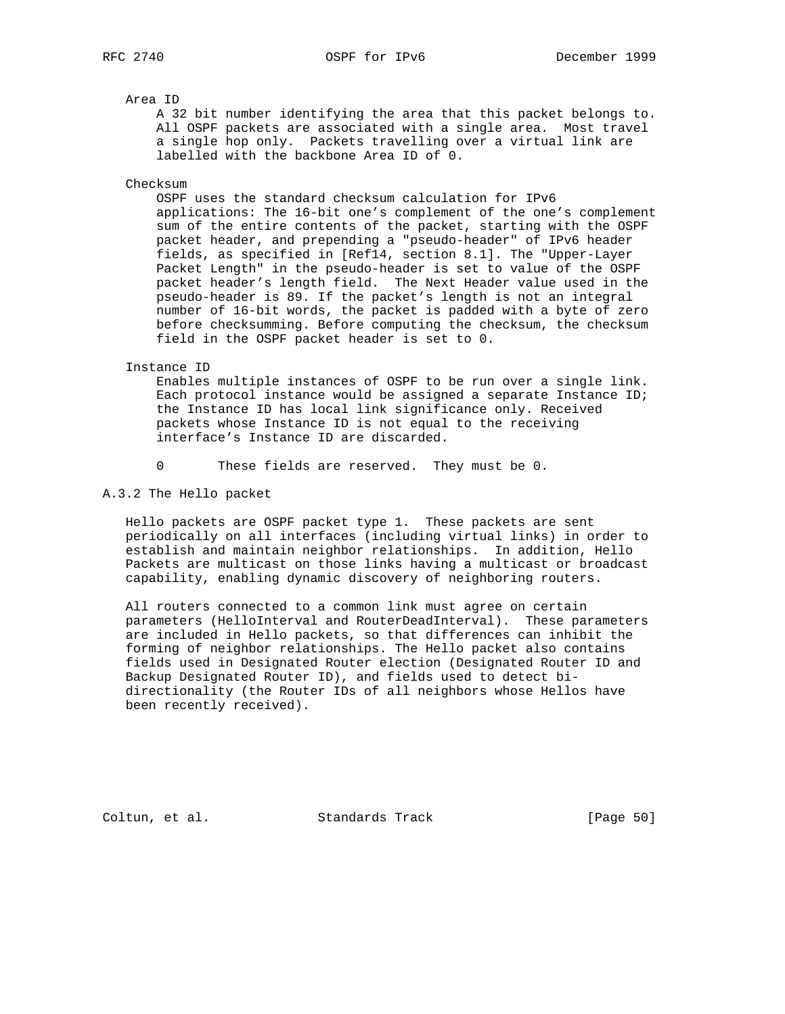Area ID

 A 32 bit number identifying the area that this packet belongs to. All OSPF packets are associated with a single area. Most travel a single hop only. Packets travelling over a virtual link are labelled with the backbone Area ID of 0.

Checksum

 OSPF uses the standard checksum calculation for IPv6 applications: The 16-bit one's complement of the one's complement sum of the entire contents of the packet, starting with the OSPF packet header, and prepending a "pseudo-header" of IPv6 header fields, as specified in [Ref14, section 8.1]. The "Upper-Layer Packet Length" in the pseudo-header is set to value of the OSPF packet header's length field. The Next Header value used in the pseudo-header is 89. If the packet's length is not an integral number of 16-bit words, the packet is padded with a byte of zero before checksumming. Before computing the checksum, the checksum field in the OSPF packet header is set to 0.

#### Instance ID

 Enables multiple instances of OSPF to be run over a single link. Each protocol instance would be assigned a separate Instance ID; the Instance ID has local link significance only. Received packets whose Instance ID is not equal to the receiving interface's Instance ID are discarded.

0 These fields are reserved. They must be 0.

A.3.2 The Hello packet

 Hello packets are OSPF packet type 1. These packets are sent periodically on all interfaces (including virtual links) in order to establish and maintain neighbor relationships. In addition, Hello Packets are multicast on those links having a multicast or broadcast capability, enabling dynamic discovery of neighboring routers.

 All routers connected to a common link must agree on certain parameters (HelloInterval and RouterDeadInterval). These parameters are included in Hello packets, so that differences can inhibit the forming of neighbor relationships. The Hello packet also contains fields used in Designated Router election (Designated Router ID and Backup Designated Router ID), and fields used to detect bi directionality (the Router IDs of all neighbors whose Hellos have been recently received).

Coltun, et al. Standards Track [Page 50]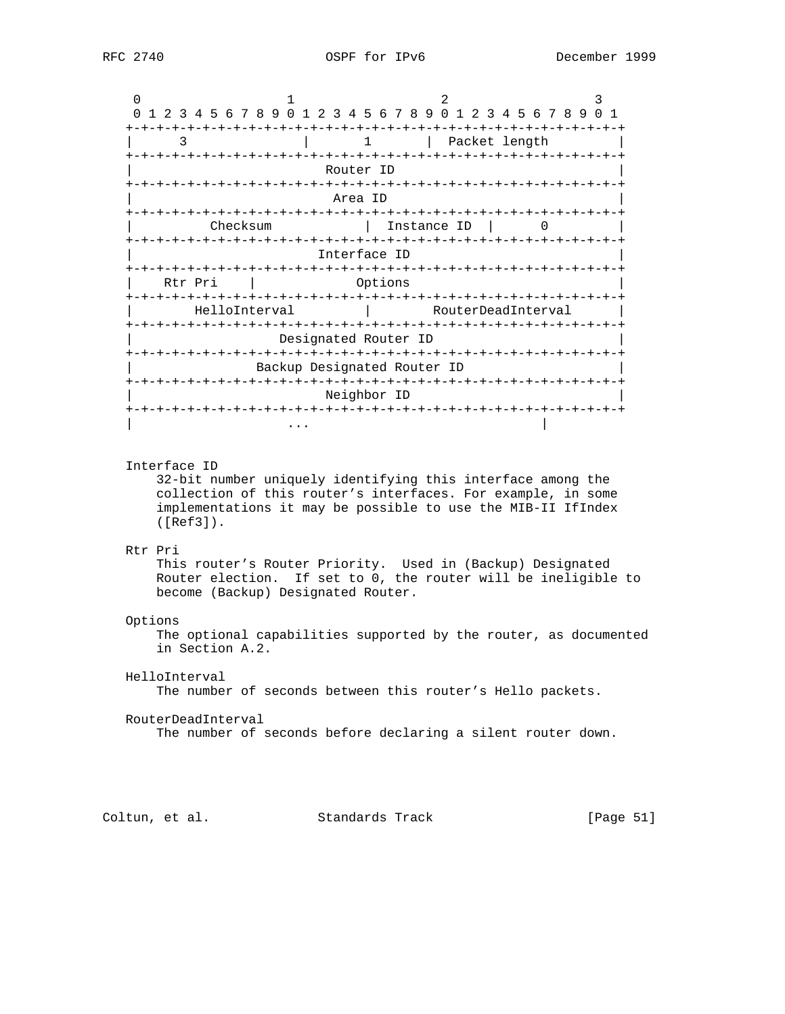| 1 2 3 4 5 6 7 8 9 0 1 2 3 4 5 6 7 8 9 0 1 2 3 4 5 6 7 8 9 |                             |                      |                    | 0 <sub>1</sub>   |
|-----------------------------------------------------------|-----------------------------|----------------------|--------------------|------------------|
|                                                           |                             | -+-+-+-+-+-+-+-+     |                    | -+-+-+-+-+-+-+-+ |
| 3                                                         |                             | ı                    | Packet length      |                  |
|                                                           |                             |                      |                    |                  |
|                                                           |                             | Router ID            |                    |                  |
|                                                           |                             |                      |                    |                  |
|                                                           |                             | Area ID              |                    |                  |
|                                                           |                             |                      |                    |                  |
| Checksum                                                  |                             |                      | Instance ID        |                  |
|                                                           |                             |                      |                    |                  |
|                                                           |                             | Interface ID         |                    |                  |
|                                                           |                             |                      |                    |                  |
| Rtr Pri                                                   |                             | Options              |                    |                  |
| -+-+-+-+-+-+-+                                            |                             |                      |                    |                  |
| HelloInterval                                             |                             |                      | RouterDeadInterval |                  |
|                                                           |                             |                      |                    |                  |
|                                                           |                             | Designated Router ID |                    |                  |
|                                                           |                             |                      |                    |                  |
|                                                           | Backup Designated Router ID |                      |                    |                  |
|                                                           |                             |                      |                    |                  |
|                                                           |                             | Neighbor ID          |                    |                  |
|                                                           |                             |                      |                    |                  |
|                                                           |                             |                      |                    |                  |

## Interface ID

 32-bit number uniquely identifying this interface among the collection of this router's interfaces. For example, in some implementations it may be possible to use the MIB-II IfIndex ([Ref3]).

## Rtr Pri

 This router's Router Priority. Used in (Backup) Designated Router election. If set to 0, the router will be ineligible to become (Backup) Designated Router.

#### Options

 The optional capabilities supported by the router, as documented in Section A.2.

## HelloInterval

The number of seconds between this router's Hello packets.

## RouterDeadInterval

The number of seconds before declaring a silent router down.

Coltun, et al. Standards Track [Page 51]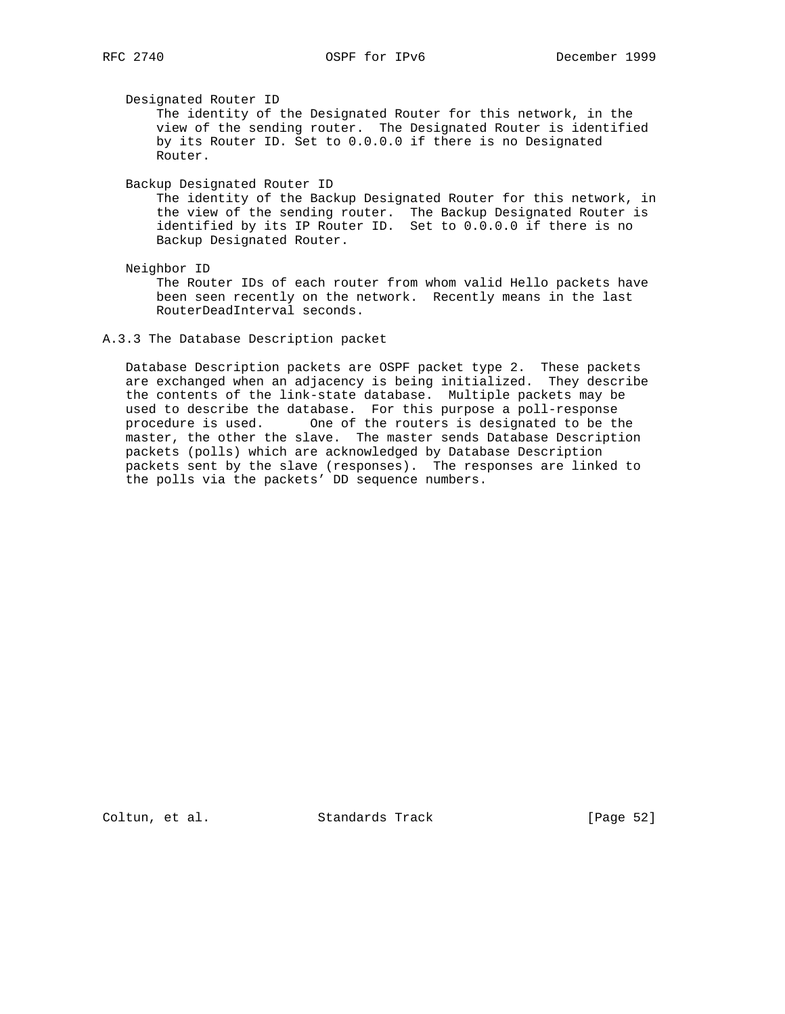Designated Router ID

 The identity of the Designated Router for this network, in the view of the sending router. The Designated Router is identified by its Router ID. Set to 0.0.0.0 if there is no Designated Router.

Backup Designated Router ID

 The identity of the Backup Designated Router for this network, in the view of the sending router. The Backup Designated Router is identified by its IP Router ID. Set to 0.0.0.0 if there is no Backup Designated Router.

Neighbor ID

 The Router IDs of each router from whom valid Hello packets have been seen recently on the network. Recently means in the last RouterDeadInterval seconds.

 Database Description packets are OSPF packet type 2. These packets are exchanged when an adjacency is being initialized. They describe the contents of the link-state database. Multiple packets may be used to describe the database. For this purpose a poll-response procedure is used. One of the routers is designated to be the master, the other the slave. The master sends Database Description packets (polls) which are acknowledged by Database Description packets sent by the slave (responses). The responses are linked to the polls via the packets' DD sequence numbers.

Coltun, et al. Standards Track [Page 52]

A.3.3 The Database Description packet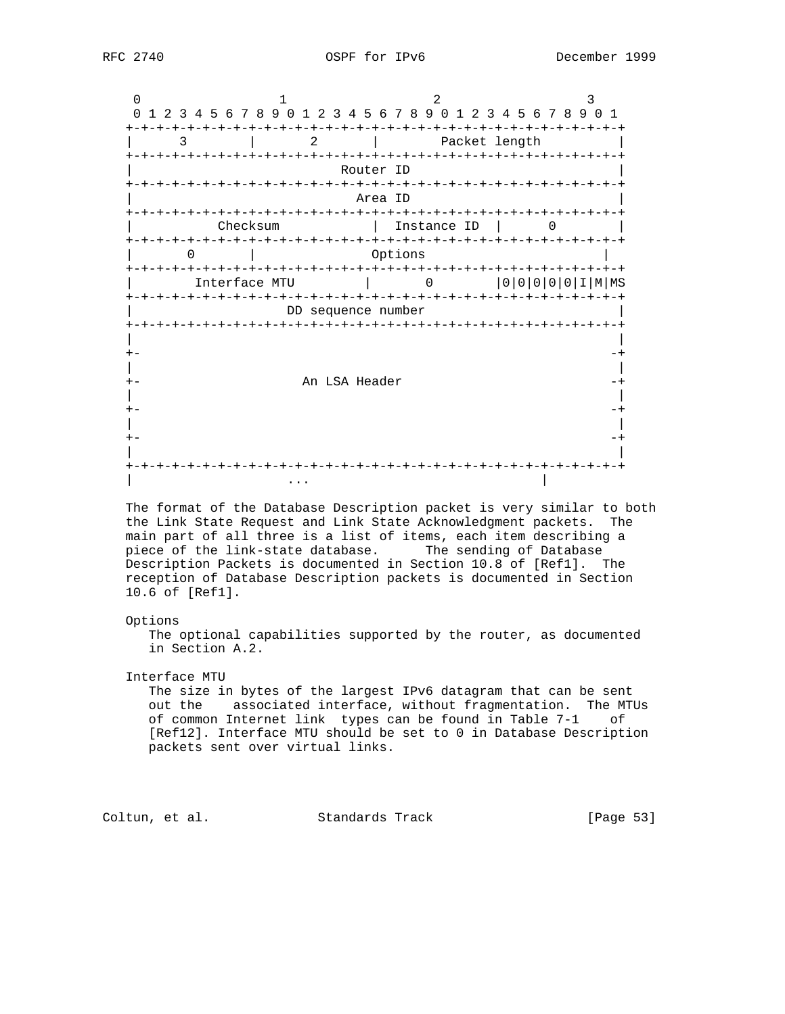| <sup>n</sup>                         | 3 4 5 6 7 8 9 0 1 2 3 4 5 6 7 8 9 0 1<br>1 2 3 4 5 6 7 8 9 0<br>$\overline{1}$<br>2 |  |               |             |  |  |  |  |  |               |  |  |    |
|--------------------------------------|-------------------------------------------------------------------------------------|--|---------------|-------------|--|--|--|--|--|---------------|--|--|----|
| 3                                    | 2.<br>Packet length                                                                 |  |               |             |  |  |  |  |  |               |  |  |    |
| -+-+-+-+-+-+                         | Router ID                                                                           |  |               |             |  |  |  |  |  |               |  |  |    |
|                                      | Area ID<br>-+-+-+-+-+-+-+                                                           |  |               |             |  |  |  |  |  |               |  |  |    |
| Checksum<br>-+-+-+-+-+-+-+-+-+-+-+-+ |                                                                                     |  |               | Instance ID |  |  |  |  |  |               |  |  |    |
| 0                                    |                                                                                     |  | Options       |             |  |  |  |  |  |               |  |  |    |
| Interface MTU                        |                                                                                     |  |               |             |  |  |  |  |  | $00000000101$ |  |  | ΜS |
| -+-+-+-+-+-+-+-+                     | DD sequence number                                                                  |  | $- + - + - +$ |             |  |  |  |  |  |               |  |  |    |
|                                      | +-+-+-+-+-+-+-+                                                                     |  |               | -+-+-+-+-   |  |  |  |  |  |               |  |  |    |
|                                      |                                                                                     |  |               |             |  |  |  |  |  |               |  |  |    |
|                                      |                                                                                     |  |               |             |  |  |  |  |  |               |  |  |    |
|                                      | An LSA Header                                                                       |  |               |             |  |  |  |  |  |               |  |  |    |
|                                      |                                                                                     |  |               |             |  |  |  |  |  |               |  |  |    |
|                                      |                                                                                     |  |               |             |  |  |  |  |  |               |  |  |    |
|                                      |                                                                                     |  |               |             |  |  |  |  |  |               |  |  |    |
|                                      |                                                                                     |  |               |             |  |  |  |  |  |               |  |  |    |
|                                      |                                                                                     |  |               |             |  |  |  |  |  |               |  |  |    |

 The format of the Database Description packet is very similar to both the Link State Request and Link State Acknowledgment packets. The main part of all three is a list of items, each item describing a piece of the link-state database. The sending of Database Description Packets is documented in Section 10.8 of [Ref1]. The reception of Database Description packets is documented in Section 10.6 of [Ref1].

#### Options

 The optional capabilities supported by the router, as documented in Section A.2.

Interface MTU

 The size in bytes of the largest IPv6 datagram that can be sent out the associated interface, without fragmentation. The MTUs of common Internet link types can be found in Table 7-1 of [Ref12]. Interface MTU should be set to 0 in Database Description packets sent over virtual links.

Coltun, et al. Standards Track [Page 53]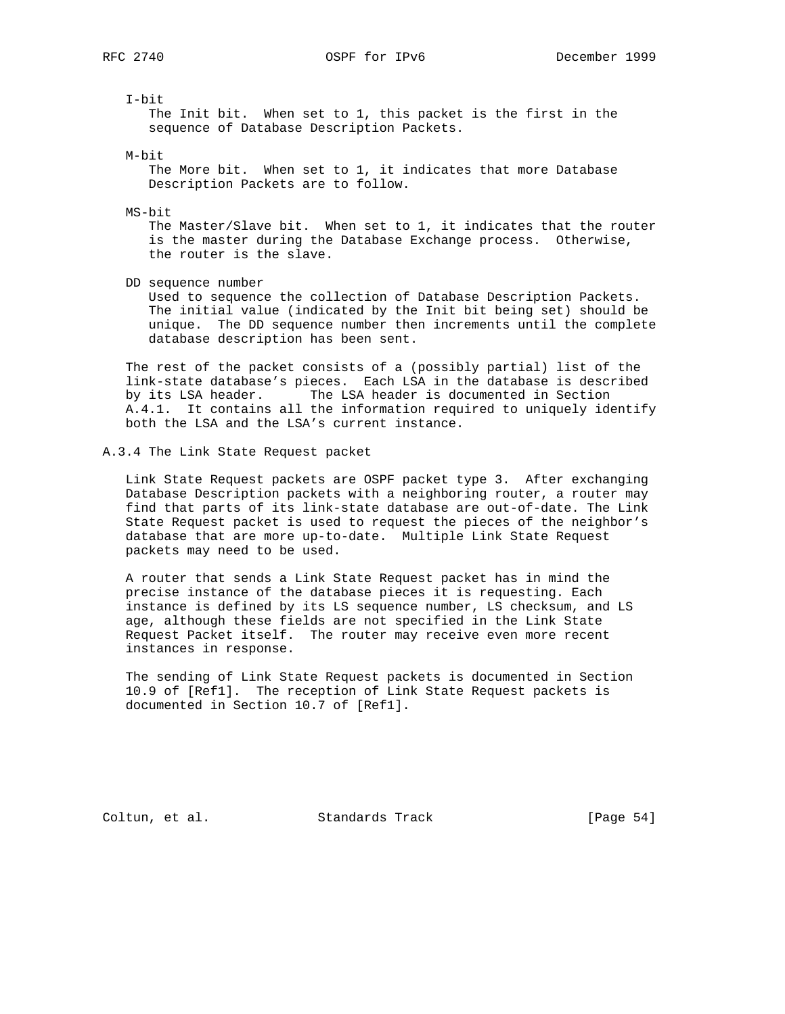I-bit

 The Init bit. When set to 1, this packet is the first in the sequence of Database Description Packets.

M-bit

 The More bit. When set to 1, it indicates that more Database Description Packets are to follow.

MS-bit

 The Master/Slave bit. When set to 1, it indicates that the router is the master during the Database Exchange process. Otherwise, the router is the slave.

DD sequence number

 Used to sequence the collection of Database Description Packets. The initial value (indicated by the Init bit being set) should be unique. The DD sequence number then increments until the complete database description has been sent.

 The rest of the packet consists of a (possibly partial) list of the link-state database's pieces. Each LSA in the database is described by its LSA header. The LSA header is documented in Section A.4.1. It contains all the information required to uniquely identify both the LSA and the LSA's current instance.

#### A.3.4 The Link State Request packet

 Link State Request packets are OSPF packet type 3. After exchanging Database Description packets with a neighboring router, a router may find that parts of its link-state database are out-of-date. The Link State Request packet is used to request the pieces of the neighbor's database that are more up-to-date. Multiple Link State Request packets may need to be used.

 A router that sends a Link State Request packet has in mind the precise instance of the database pieces it is requesting. Each instance is defined by its LS sequence number, LS checksum, and LS age, although these fields are not specified in the Link State Request Packet itself. The router may receive even more recent instances in response.

 The sending of Link State Request packets is documented in Section 10.9 of [Ref1]. The reception of Link State Request packets is documented in Section 10.7 of [Ref1].

Coltun, et al. Standards Track [Page 54]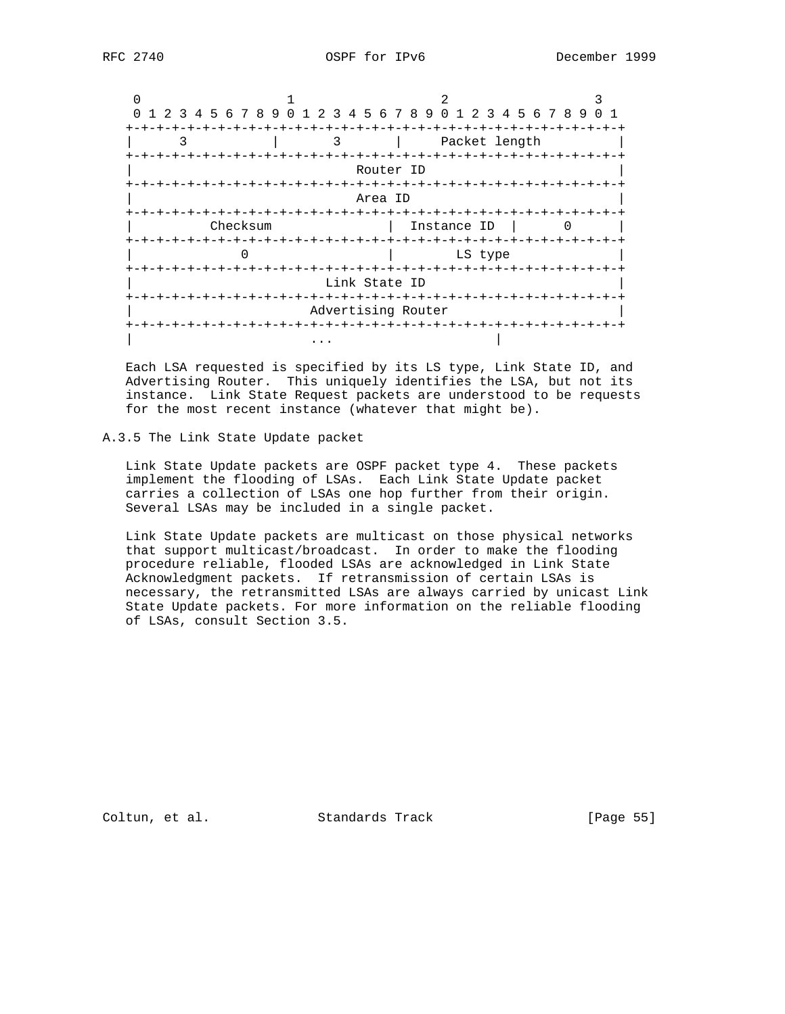| 0 1 2 3 4 5 6 7 8 9 0 1 2 3 4 5 6 7 8 9 0 1 2 3 4 5 6 7 8 9 0 1 |                    |               |  |  |  |  |  |  |  |  |
|-----------------------------------------------------------------|--------------------|---------------|--|--|--|--|--|--|--|--|
| 3                                                               |                    | Packet length |  |  |  |  |  |  |  |  |
|                                                                 | Router ID          |               |  |  |  |  |  |  |  |  |
|                                                                 | Area ID            |               |  |  |  |  |  |  |  |  |
| Checksum                                                        |                    | Instance ID   |  |  |  |  |  |  |  |  |
|                                                                 |                    | LS type       |  |  |  |  |  |  |  |  |
|                                                                 | Link State ID      |               |  |  |  |  |  |  |  |  |
| +-+-+-+-+-+-+-+-+-+-+-+-+-+-                                    | Advertising Router |               |  |  |  |  |  |  |  |  |
|                                                                 |                    |               |  |  |  |  |  |  |  |  |

 Each LSA requested is specified by its LS type, Link State ID, and Advertising Router. This uniquely identifies the LSA, but not its instance. Link State Request packets are understood to be requests for the most recent instance (whatever that might be).

## A.3.5 The Link State Update packet

 Link State Update packets are OSPF packet type 4. These packets implement the flooding of LSAs. Each Link State Update packet carries a collection of LSAs one hop further from their origin. Several LSAs may be included in a single packet.

 Link State Update packets are multicast on those physical networks that support multicast/broadcast. In order to make the flooding procedure reliable, flooded LSAs are acknowledged in Link State Acknowledgment packets. If retransmission of certain LSAs is necessary, the retransmitted LSAs are always carried by unicast Link State Update packets. For more information on the reliable flooding of LSAs, consult Section 3.5.

Coltun, et al. Standards Track [Page 55]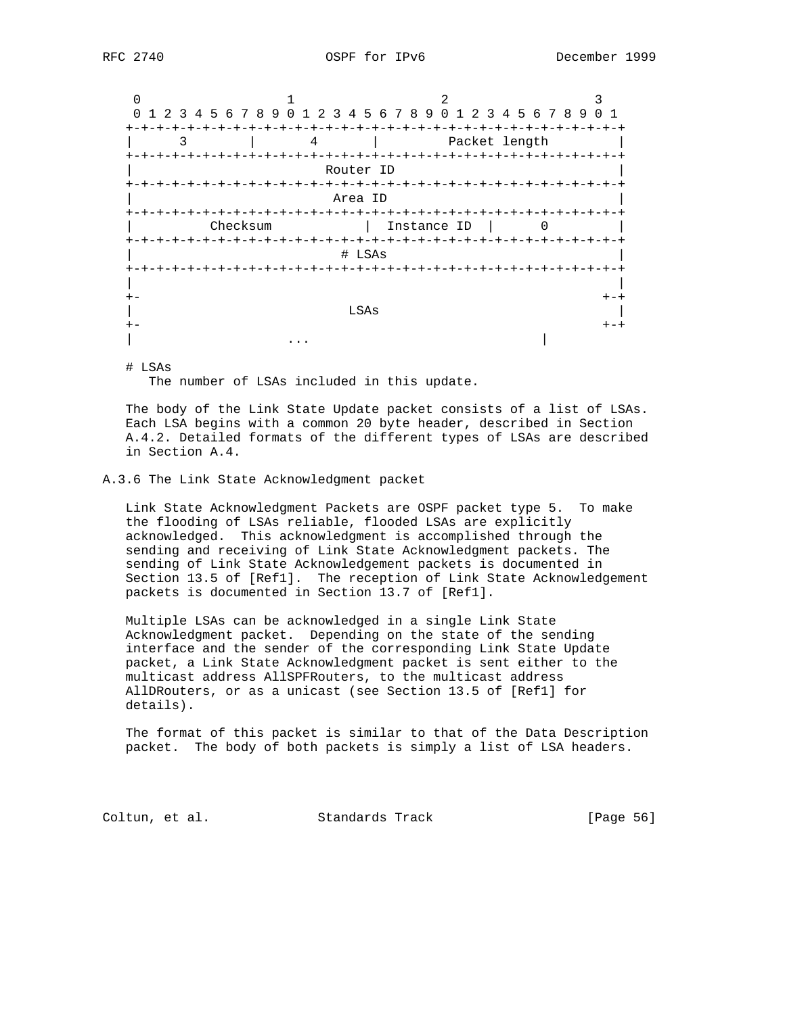0  $1$  2 3 0 1 2 3 4 5 6 7 8 9 0 1 2 3 4 5 6 7 8 9 0 1 2 3 4 5 6 7 8 9 0 1 +-+-+-+-+-+-+-+-+-+-+-+-+-+-+-+-+-+-+-+-+-+-+-+-+-+-+-+-+-+-+-+-+ | 3 | 4 | Packet length +-+-+-+-+-+-+-+-+-+-+-+-+-+-+-+-+-+-+-+-+-+-+-+-+-+-+-+-+-+-+-+-+ Router ID +-+-+-+-+-+-+-+-+-+-+-+-+-+-+-+-+-+-+-+-+-+-+-+-+-+-+-+-+-+-+-+-+ | Area ID | +-+-+-+-+-+-+-+-+-+-+-+-+-+-+-+-+-+-+-+-+-+-+-+-+-+-+-+-+-+-+-+-+ | Checksum | Instance ID | 0 +-+-+-+-+-+-+-+-+-+-+-+-+-+-+-+-+-+-+-+-+-+-+-+-+-+-+-+-+-+-+-+-+ | # LSAs | +-+-+-+-+-+-+-+-+-+-+-+-+-+-+-+-+-+-+-+-+-+-+-+-+-+-+-+-+-+-+-+-+ | | +- +-+ | LSAs | LSAs | LSAS | LSAS | LSAS | LSAS | LSAS | LSAS | LSAS | LSAS | LSAS | LSAS | LSAS | LSAS | LSAS | LSA +- +-+ | ... | ... | ... | ... | ... | ... | ... | ... | ... | ... | ... | ... | ... | ... | ... | ... | ... | ... | .

# LSAs

The number of LSAs included in this update.

 The body of the Link State Update packet consists of a list of LSAs. Each LSA begins with a common 20 byte header, described in Section A.4.2. Detailed formats of the different types of LSAs are described in Section A.4.

## A.3.6 The Link State Acknowledgment packet

 Link State Acknowledgment Packets are OSPF packet type 5. To make the flooding of LSAs reliable, flooded LSAs are explicitly acknowledged. This acknowledgment is accomplished through the sending and receiving of Link State Acknowledgment packets. The sending of Link State Acknowledgement packets is documented in Section 13.5 of [Ref1]. The reception of Link State Acknowledgement packets is documented in Section 13.7 of [Ref1].

 Multiple LSAs can be acknowledged in a single Link State Acknowledgment packet. Depending on the state of the sending interface and the sender of the corresponding Link State Update packet, a Link State Acknowledgment packet is sent either to the multicast address AllSPFRouters, to the multicast address AllDRouters, or as a unicast (see Section 13.5 of [Ref1] for details).

 The format of this packet is similar to that of the Data Description packet. The body of both packets is simply a list of LSA headers.

Coltun, et al. Standards Track [Page 56]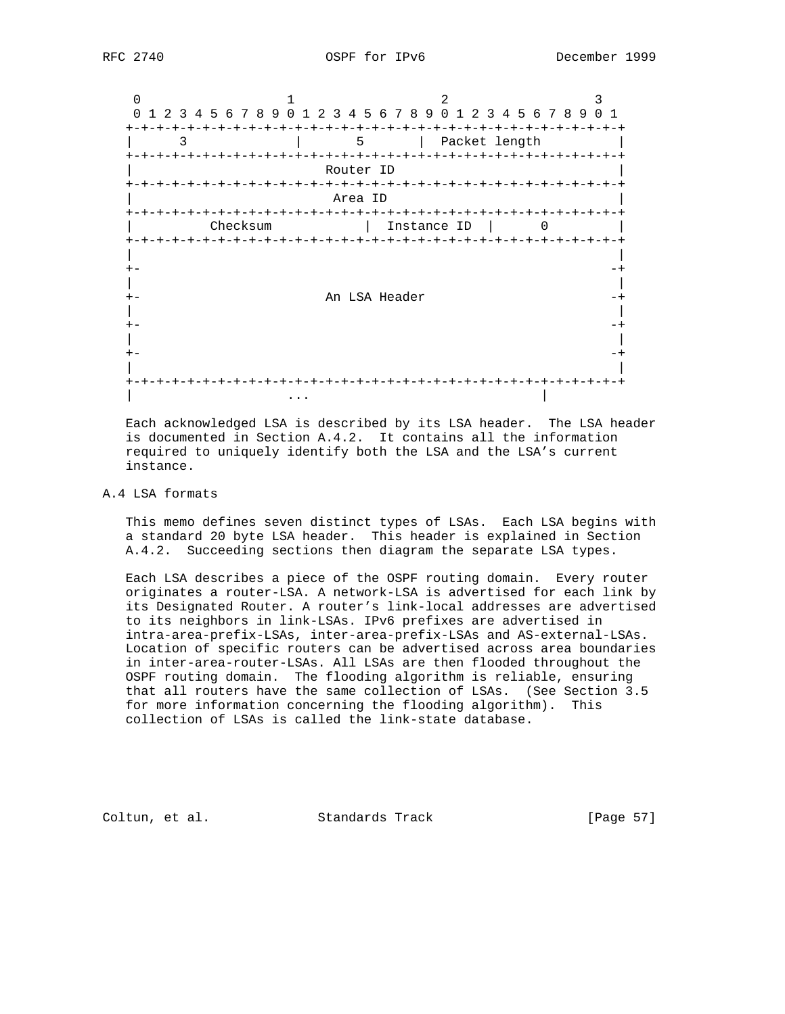0  $1$  2 3 0 1 2 3 4 5 6 7 8 9 0 1 2 3 4 5 6 7 8 9 0 1 2 3 4 5 6 7 8 9 0 1 +-+-+-+-+-+-+-+-+-+-+-+-+-+-+-+-+-+-+-+-+-+-+-+-+-+-+-+-+-+-+-+-+ | 3 | 5 | Packet length | +-+-+-+-+-+-+-+-+-+-+-+-+-+-+-+-+-+-+-+-+-+-+-+-+-+-+-+-+-+-+-+-+ Router ID +-+-+-+-+-+-+-+-+-+-+-+-+-+-+-+-+-+-+-+-+-+-+-+-+-+-+-+-+-+-+-+-+ | Area ID | +-+-+-+-+-+-+-+-+-+-+-+-+-+-+-+-+-+-+-+-+-+-+-+-+-+-+-+-+-+-+-+-+ Checksum | Instance ID | 0 +-+-+-+-+-+-+-+-+-+-+-+-+-+-+-+-+-+-+-+-+-+-+-+-+-+-+-+-+-+-+-+-+ | | +- -+ | | An LSA Header  $-+$  | | +- -+ | | +- -+ | | +-+-+-+-+-+-+-+-+-+-+-+-+-+-+-+-+-+-+-+-+-+-+-+-+-+-+-+-+-+-+-+-+ | ... | ... | ... | ... | ... | ... | ... | ... | ... | ... | ... | ... | ... | ... | ... | ... | ... | ... | .

 Each acknowledged LSA is described by its LSA header. The LSA header is documented in Section A.4.2. It contains all the information required to uniquely identify both the LSA and the LSA's current instance.

## A.4 LSA formats

 This memo defines seven distinct types of LSAs. Each LSA begins with a standard 20 byte LSA header. This header is explained in Section A.4.2. Succeeding sections then diagram the separate LSA types.

 Each LSA describes a piece of the OSPF routing domain. Every router originates a router-LSA. A network-LSA is advertised for each link by its Designated Router. A router's link-local addresses are advertised to its neighbors in link-LSAs. IPv6 prefixes are advertised in intra-area-prefix-LSAs, inter-area-prefix-LSAs and AS-external-LSAs. Location of specific routers can be advertised across area boundaries in inter-area-router-LSAs. All LSAs are then flooded throughout the OSPF routing domain. The flooding algorithm is reliable, ensuring that all routers have the same collection of LSAs. (See Section 3.5 for more information concerning the flooding algorithm). This collection of LSAs is called the link-state database.

Coltun, et al. Standards Track [Page 57]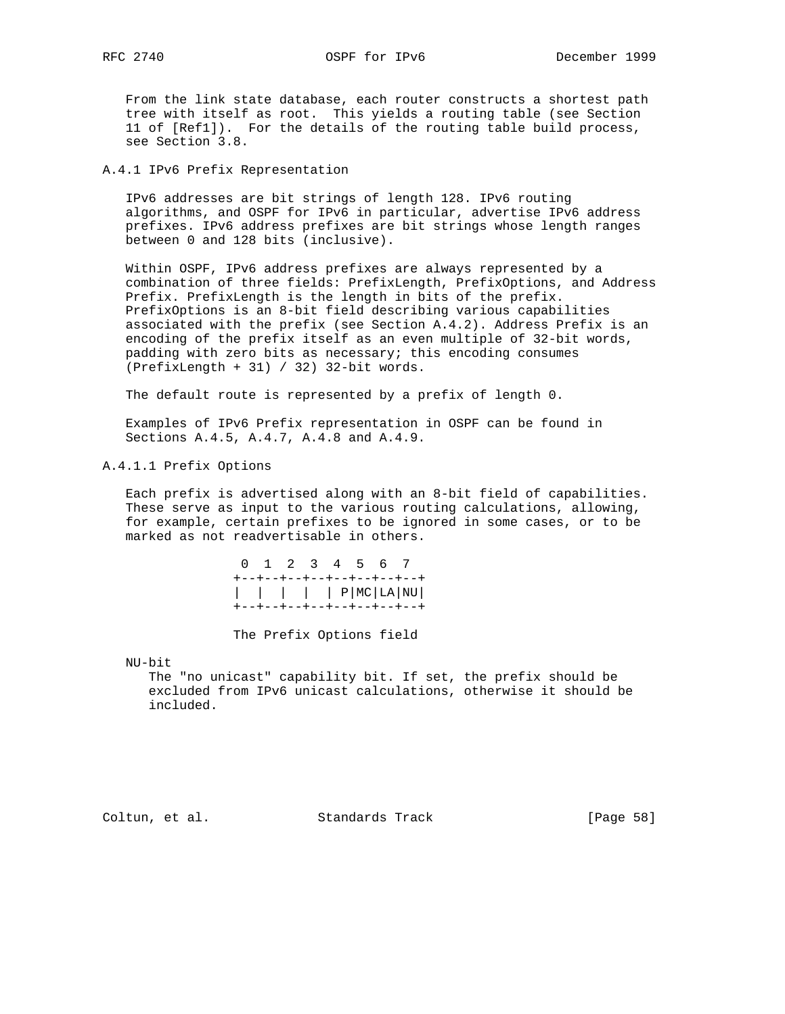From the link state database, each router constructs a shortest path tree with itself as root. This yields a routing table (see Section 11 of [Ref1]). For the details of the routing table build process, see Section 3.8.

A.4.1 IPv6 Prefix Representation

 IPv6 addresses are bit strings of length 128. IPv6 routing algorithms, and OSPF for IPv6 in particular, advertise IPv6 address prefixes. IPv6 address prefixes are bit strings whose length ranges between 0 and 128 bits (inclusive).

 Within OSPF, IPv6 address prefixes are always represented by a combination of three fields: PrefixLength, PrefixOptions, and Address Prefix. PrefixLength is the length in bits of the prefix. PrefixOptions is an 8-bit field describing various capabilities associated with the prefix (see Section A.4.2). Address Prefix is an encoding of the prefix itself as an even multiple of 32-bit words, padding with zero bits as necessary; this encoding consumes (PrefixLength + 31) / 32) 32-bit words.

The default route is represented by a prefix of length 0.

 Examples of IPv6 Prefix representation in OSPF can be found in Sections A.4.5, A.4.7, A.4.8 and A.4.9.

A.4.1.1 Prefix Options

 Each prefix is advertised along with an 8-bit field of capabilities. These serve as input to the various routing calculations, allowing, for example, certain prefixes to be ignored in some cases, or to be marked as not readvertisable in others.

|  | 0 1 2 3 4 5 6 7                                        |  |  |  |  |
|--|--------------------------------------------------------|--|--|--|--|
|  | +--+--+--+--+--+--+--+--+<br>+--+--+--+--+--+--+--+--+ |  |  |  |  |

The Prefix Options field

NU-bit

 The "no unicast" capability bit. If set, the prefix should be excluded from IPv6 unicast calculations, otherwise it should be included.

Coltun, et al. Standards Track [Page 58]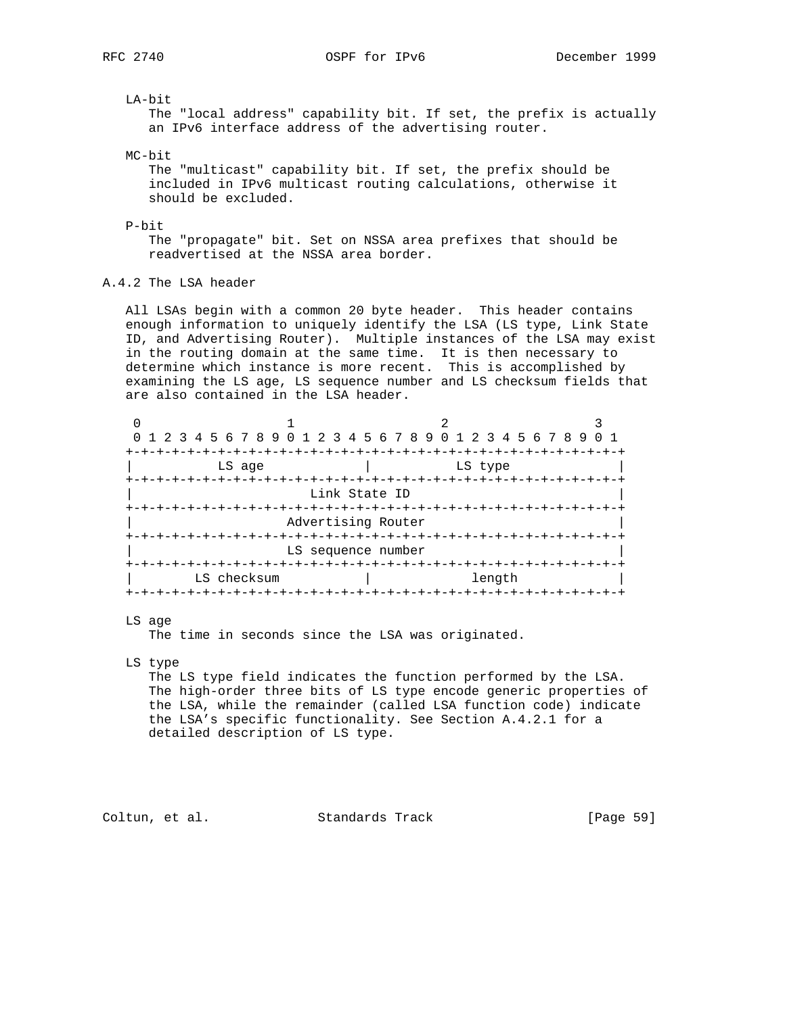LA-bit

 The "local address" capability bit. If set, the prefix is actually an IPv6 interface address of the advertising router.

MC-bit

 The "multicast" capability bit. If set, the prefix should be included in IPv6 multicast routing calculations, otherwise it should be excluded.

## P-bit

 The "propagate" bit. Set on NSSA area prefixes that should be readvertised at the NSSA area border.

# A.4.2 The LSA header

 All LSAs begin with a common 20 byte header. This header contains enough information to uniquely identify the LSA (LS type, Link State ID, and Advertising Router). Multiple instances of the LSA may exist in the routing domain at the same time. It is then necessary to determine which instance is more recent. This is accomplished by examining the LS age, LS sequence number and LS checksum fields that are also contained in the LSA header.

|               | 0 1 2 3 4 5 6 7 8 9 0 1 2 3 4 5 6 7 8 9 0 1 2 3 4 5 6 7 8 9 0 1 |                           |         |  |  |  |  |  |  |
|---------------|-----------------------------------------------------------------|---------------------------|---------|--|--|--|--|--|--|
|               |                                                                 | -+-+-+-+-+-+-+-+-+-+-+-+- |         |  |  |  |  |  |  |
| LS age        |                                                                 |                           | LS type |  |  |  |  |  |  |
|               |                                                                 |                           |         |  |  |  |  |  |  |
|               | Link State ID                                                   |                           |         |  |  |  |  |  |  |
| +-+-+-+-+-+-+ |                                                                 |                           |         |  |  |  |  |  |  |
|               | Advertising Router                                              |                           |         |  |  |  |  |  |  |
|               | --+-+-+-+-+-+-                                                  | -+-+-+-+-+-+-+-+-         |         |  |  |  |  |  |  |
|               | LS sequence number                                              |                           |         |  |  |  |  |  |  |
|               |                                                                 |                           |         |  |  |  |  |  |  |
| LS checksum   |                                                                 |                           | length  |  |  |  |  |  |  |
|               |                                                                 |                           |         |  |  |  |  |  |  |

#### LS age

The time in seconds since the LSA was originated.

LS type

 The LS type field indicates the function performed by the LSA. The high-order three bits of LS type encode generic properties of the LSA, while the remainder (called LSA function code) indicate the LSA's specific functionality. See Section A.4.2.1 for a detailed description of LS type.

# Coltun, et al. Standards Track [Page 59]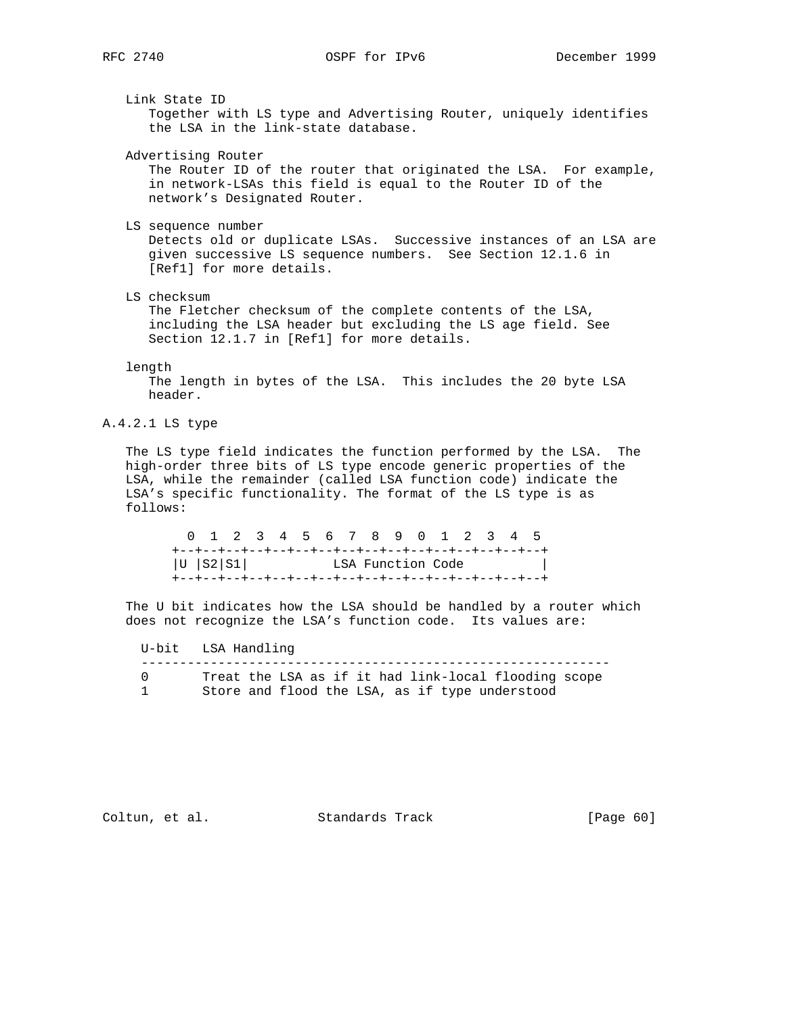Link State ID

 Together with LS type and Advertising Router, uniquely identifies the LSA in the link-state database.

Advertising Router

 The Router ID of the router that originated the LSA. For example, in network-LSAs this field is equal to the Router ID of the network's Designated Router.

LS sequence number

 Detects old or duplicate LSAs. Successive instances of an LSA are given successive LS sequence numbers. See Section 12.1.6 in [Ref1] for more details.

LS checksum

 The Fletcher checksum of the complete contents of the LSA, including the LSA header but excluding the LS age field. See Section 12.1.7 in [Ref1] for more details.

#### length

 The length in bytes of the LSA. This includes the 20 byte LSA header.

## A.4.2.1 LS type

 The LS type field indicates the function performed by the LSA. The high-order three bits of LS type encode generic properties of the LSA, while the remainder (called LSA function code) indicate the LSA's specific functionality. The format of the LS type is as follows:

|                 | 0 1 2 3 4 5 6 7 8 9 0 1 2 3 4 5 |  |  |                   |  |  |  |  |
|-----------------|---------------------------------|--|--|-------------------|--|--|--|--|
|                 |                                 |  |  |                   |  |  |  |  |
| $ U $ $ S2 S1 $ |                                 |  |  | LSA Function Code |  |  |  |  |
|                 |                                 |  |  |                   |  |  |  |  |

 The U bit indicates how the LSA should be handled by a router which does not recognize the LSA's function code. Its values are:

 U-bit LSA Handling ------------------------------------------------------------- 0 Treat the LSA as if it had link-local flooding scope 1 Store and flood the LSA, as if type understood

Coltun, et al. Standards Track [Page 60]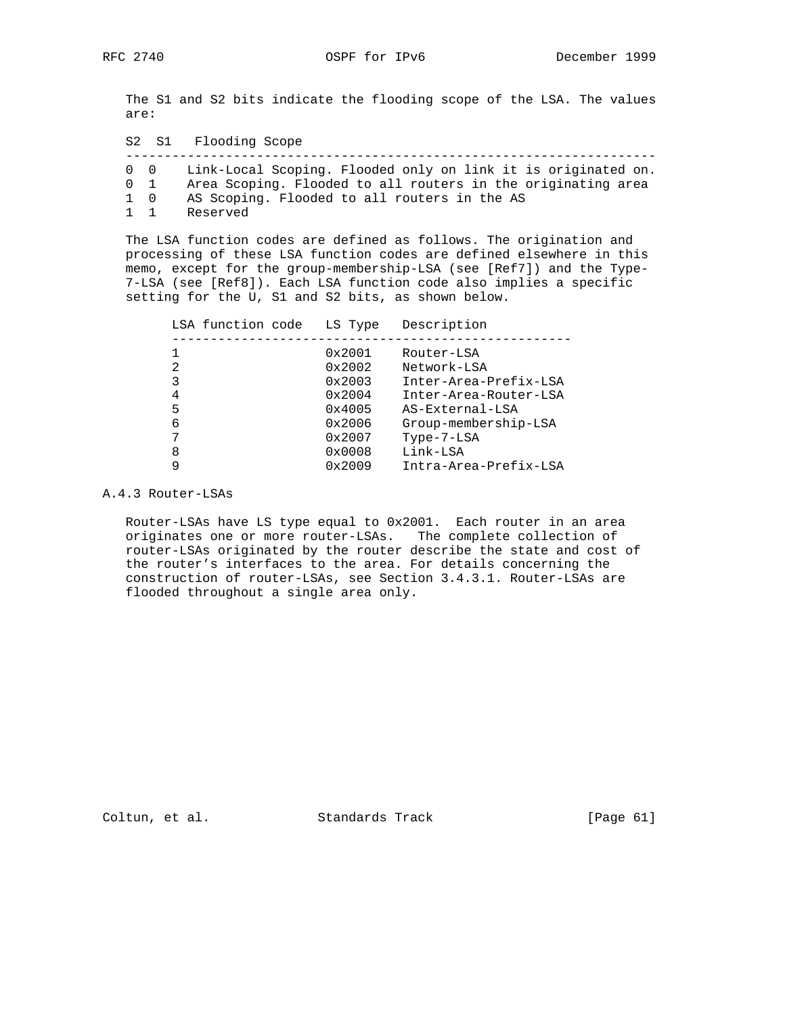The S1 and S2 bits indicate the flooding scope of the LSA. The values are:

 S2 S1 Flooding Scope --------------------------------------------------------------------- 0 0 Link-Local Scoping. Flooded only on link it is originated on. 0 1 Area Scoping. Flooded to all routers in the originating area 1 0 AS Scoping. Flooded to all routers in the AS 1 1 Reserved

 The LSA function codes are defined as follows. The origination and processing of these LSA function codes are defined elsewhere in this memo, except for the group-membership-LSA (see [Ref7]) and the Type- 7-LSA (see [Ref8]). Each LSA function code also implies a specific setting for the U, S1 and S2 bits, as shown below.

| LSA function code | LS Type | Description           |
|-------------------|---------|-----------------------|
|                   |         |                       |
|                   | 0x2001  | Router-LSA            |
| 2                 | 0x2002  | Network-LSA           |
| 3                 | 0x2003  | Inter-Area-Prefix-LSA |
| 4                 | 0x2004  | Inter-Area-Router-LSA |
| 5                 | 0x4005  | AS-External-LSA       |
| 6                 | 0x2006  | Group-membership-LSA  |
|                   | 0x2007  | $Type-7-LSA$          |
| 8                 | 0x0008  | Link-LSA              |
|                   | 0x2009  | Intra-Area-Prefix-LSA |

A.4.3 Router-LSAs

 Router-LSAs have LS type equal to 0x2001. Each router in an area originates one or more router-LSAs. The complete collection of router-LSAs originated by the router describe the state and cost of the router's interfaces to the area. For details concerning the construction of router-LSAs, see Section 3.4.3.1. Router-LSAs are flooded throughout a single area only.

Coltun, et al. Standards Track [Page 61]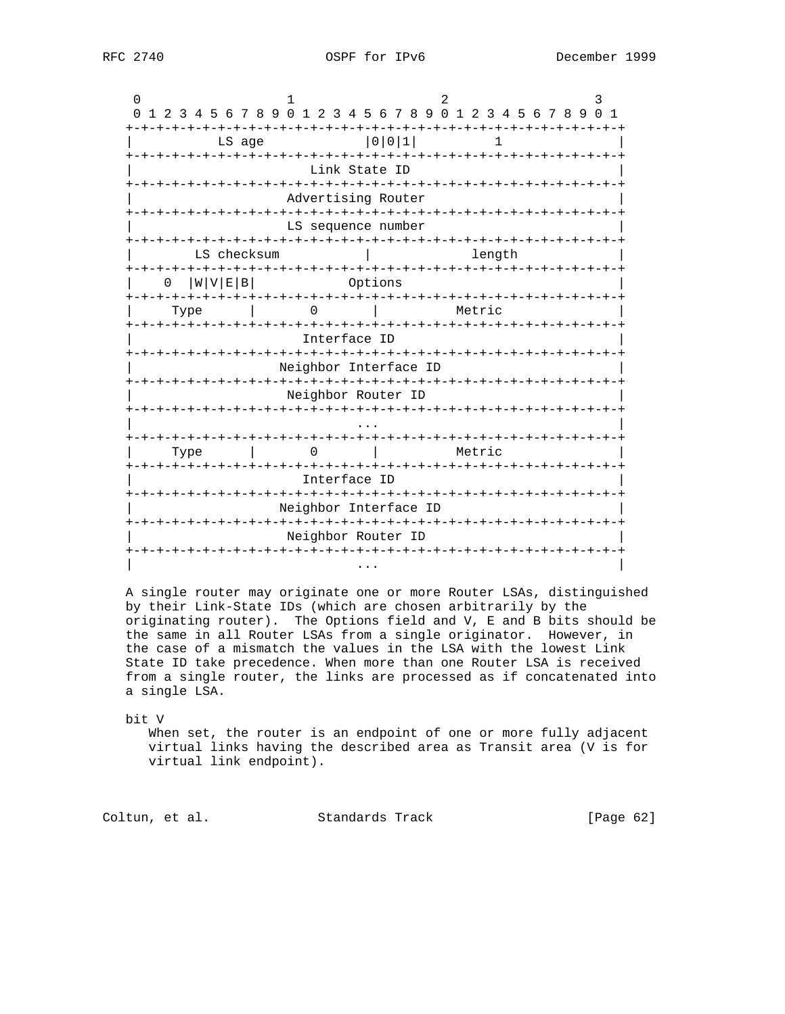| $\Omega$ | 1 2 3 4 5 6 7 8 9 0 1 2 3 4 5 6 7 8 9 0 1 2 3 4 5 6 7 8 9 0 1 |      |             |        |  |              |               |         |                                             |  |        |  |        |  |                |  |  |
|----------|---------------------------------------------------------------|------|-------------|--------|--|--------------|---------------|---------|---------------------------------------------|--|--------|--|--------|--|----------------|--|--|
|          |                                                               |      |             | LS age |  |              |               |         | 0 0 1                                       |  |        |  |        |  |                |  |  |
|          |                                                               |      |             |        |  |              | Link State ID |         |                                             |  |        |  |        |  |                |  |  |
|          |                                                               |      |             |        |  |              |               |         | Advertising Router                          |  |        |  |        |  |                |  |  |
|          | -+-+-+-+-+-+                                                  |      |             |        |  |              |               |         | LS sequence number                          |  |        |  |        |  |                |  |  |
|          |                                                               |      | LS checksum |        |  |              |               |         |                                             |  |        |  | length |  |                |  |  |
|          | 0                                                             |      | W V E B     |        |  |              |               | Options |                                             |  |        |  |        |  |                |  |  |
|          |                                                               | Type |             |        |  |              |               |         |                                             |  | Metric |  |        |  |                |  |  |
|          | · + - + - + - + - + - + - + - +                               |      |             |        |  | Interface ID |               |         | -+-+-+-+-+-+-+-+-+-+-+-+-+-+-+-+-+-         |  |        |  |        |  |                |  |  |
|          |                                                               |      |             |        |  |              |               |         | Neighbor Interface ID                       |  |        |  |        |  |                |  |  |
|          |                                                               |      |             |        |  |              |               |         | Neighbor Router ID                          |  |        |  |        |  |                |  |  |
|          |                                                               |      |             |        |  |              |               |         |                                             |  |        |  |        |  |                |  |  |
|          |                                                               | Type |             |        |  |              |               |         | -+-+-+-+-+-+-+-+-+-+-+                      |  | Metric |  |        |  | -+-+-+-+-+-+-+ |  |  |
|          |                                                               |      |             |        |  | Interface ID |               |         |                                             |  |        |  |        |  |                |  |  |
|          |                                                               |      |             |        |  | +-+-+-+      |               |         | -+-+-+-+-+-+-+-+-+<br>Neighbor Interface ID |  |        |  |        |  |                |  |  |
|          |                                                               |      |             |        |  |              |               |         | Neighbor Router ID                          |  |        |  |        |  |                |  |  |
|          |                                                               |      |             |        |  |              |               |         | -+-+-+-+-+-+-+-+-+-+-+-+-+-+                |  |        |  |        |  |                |  |  |

 A single router may originate one or more Router LSAs, distinguished by their Link-State IDs (which are chosen arbitrarily by the originating router). The Options field and V, E and B bits should be the same in all Router LSAs from a single originator. However, in the case of a mismatch the values in the LSA with the lowest Link State ID take precedence. When more than one Router LSA is received from a single router, the links are processed as if concatenated into a single LSA.

bit V

 When set, the router is an endpoint of one or more fully adjacent virtual links having the described area as Transit area (V is for virtual link endpoint).

Coltun, et al. Standards Track [Page 62]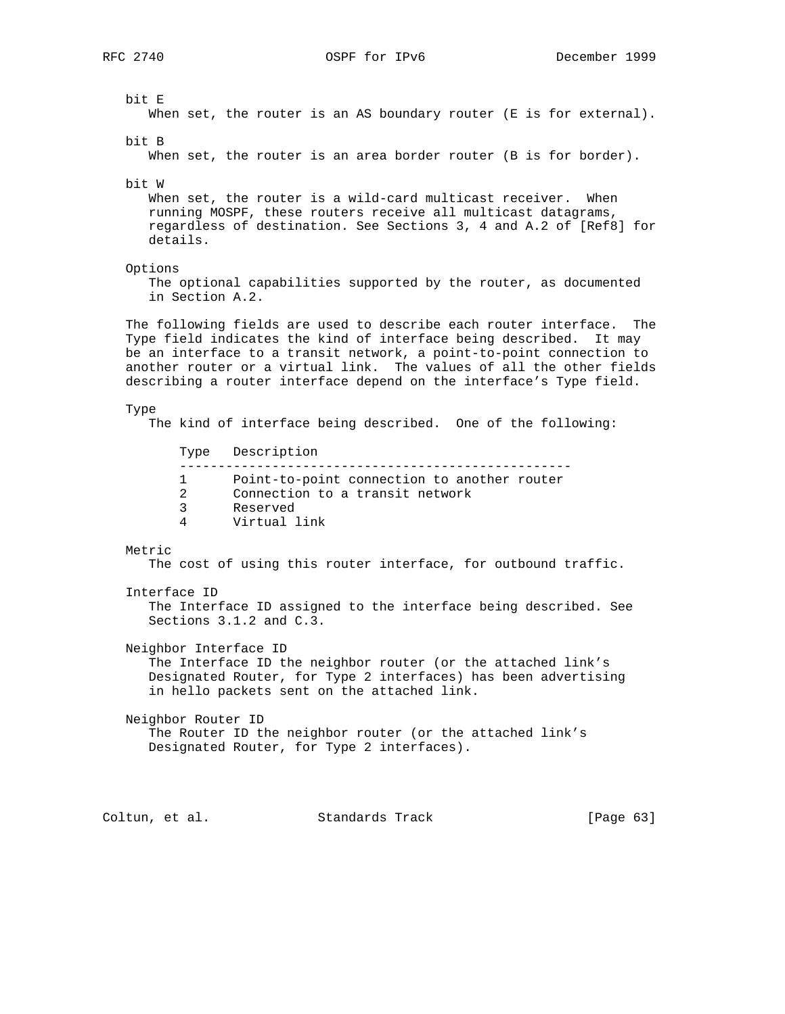bit E When set, the router is an AS boundary router (E is for external). bit B When set, the router is an area border router (B is for border). bit W When set, the router is a wild-card multicast receiver. When running MOSPF, these routers receive all multicast datagrams, regardless of destination. See Sections 3, 4 and A.2 of [Ref8] for details. Options The optional capabilities supported by the router, as documented in Section A.2. The following fields are used to describe each router interface. The Type field indicates the kind of interface being described. It may be an interface to a transit network, a point-to-point connection to another router or a virtual link. The values of all the other fields describing a router interface depend on the interface's Type field. Type The kind of interface being described. One of the following: Type Description --------------------------------------------------- 1 Point-to-point connection to another router<br>2 Connection to a transit network Connection to a transit network 3 Reserved 4 Virtual link Metric The cost of using this router interface, for outbound traffic. Interface ID The Interface ID assigned to the interface being described. See Sections 3.1.2 and C.3. Neighbor Interface ID The Interface ID the neighbor router (or the attached link's Designated Router, for Type 2 interfaces) has been advertising in hello packets sent on the attached link. Neighbor Router ID The Router ID the neighbor router (or the attached link's Designated Router, for Type 2 interfaces). Coltun, et al. Standards Track [Page 63]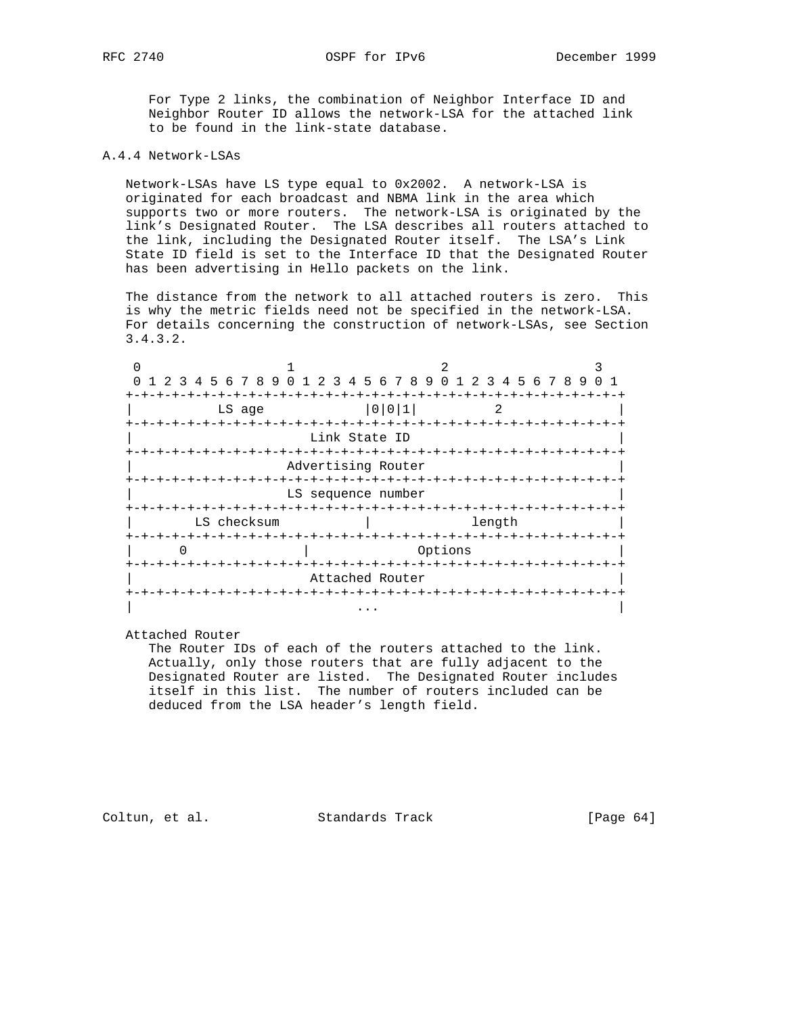For Type 2 links, the combination of Neighbor Interface ID and Neighbor Router ID allows the network-LSA for the attached link to be found in the link-state database.

## A.4.4 Network-LSAs

 Network-LSAs have LS type equal to 0x2002. A network-LSA is originated for each broadcast and NBMA link in the area which supports two or more routers. The network-LSA is originated by the link's Designated Router. The LSA describes all routers attached to the link, including the Designated Router itself. The LSA's Link State ID field is set to the Interface ID that the Designated Router has been advertising in Hello packets on the link.

 The distance from the network to all attached routers is zero. This is why the metric fields need not be specified in the network-LSA. For details concerning the construction of network-LSAs, see Section 3.4.3.2.

| 1 2 3 4 5 6 7 8 9 0 1 2 3 4 5 6 7 8 9 0 1 2 3 4 5 6 7 8 9 |                               |               |                    |         |                               |  |  |
|-----------------------------------------------------------|-------------------------------|---------------|--------------------|---------|-------------------------------|--|--|
|                                                           |                               |               |                    |         |                               |  |  |
| LS age                                                    |                               |               | 0 0 1              |         |                               |  |  |
| +-+-+-+-+-+-+-+-+-                                        | -+-+-+-+-+-+-+-+              |               |                    |         | -+-+-+-+-+-+-+-+-+-+-+-+-     |  |  |
|                                                           |                               | Link State ID |                    |         |                               |  |  |
| -+-+-+-+-+-+-+-+-+-+-+-+-+-+                              |                               |               |                    |         | -+-+-+-+-+-+-+-+-+-+-+-+-+-+- |  |  |
|                                                           | Advertising Router            |               |                    |         |                               |  |  |
|                                                           |                               |               |                    |         |                               |  |  |
|                                                           | LS sequence number            |               |                    |         |                               |  |  |
|                                                           |                               |               |                    |         |                               |  |  |
| LS checksum                                               |                               |               |                    |         | length                        |  |  |
|                                                           |                               |               |                    |         |                               |  |  |
|                                                           |                               |               |                    | Options |                               |  |  |
| -+-+-+-+-+-+-+-+-+-+                                      |                               |               | -+-+-+-+-+-+-+-+-+ |         |                               |  |  |
|                                                           |                               |               | Attached Router    |         |                               |  |  |
|                                                           | -+-+-+-+-+-+-+-+-+-+-+-+-+-+- |               |                    |         |                               |  |  |
|                                                           |                               |               |                    |         |                               |  |  |

Attached Router

 The Router IDs of each of the routers attached to the link. Actually, only those routers that are fully adjacent to the Designated Router are listed. The Designated Router includes itself in this list. The number of routers included can be deduced from the LSA header's length field.

Coltun, et al. Standards Track [Page 64]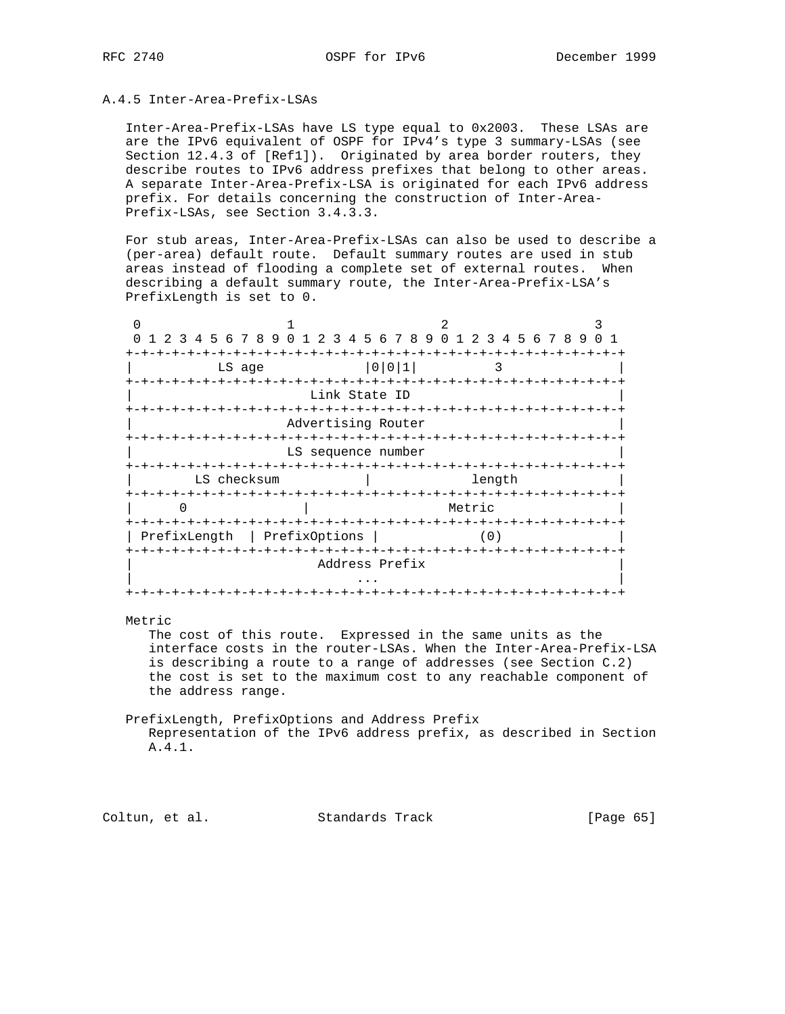## A.4.5 Inter-Area-Prefix-LSAs

 Inter-Area-Prefix-LSAs have LS type equal to 0x2003. These LSAs are are the IPv6 equivalent of OSPF for IPv4's type 3 summary-LSAs (see Section 12.4.3 of [Ref1]). Originated by area border routers, they describe routes to IPv6 address prefixes that belong to other areas. A separate Inter-Area-Prefix-LSA is originated for each IPv6 address prefix. For details concerning the construction of Inter-Area- Prefix-LSAs, see Section 3.4.3.3.

 For stub areas, Inter-Area-Prefix-LSAs can also be used to describe a (per-area) default route. Default summary routes are used in stub areas instead of flooding a complete set of external routes. When describing a default summary route, the Inter-Area-Prefix-LSA's PrefixLength is set to 0.

| 1 2 3 4 5 6 7 8 9 0 1 2 3 4 5 6 7 8 9 0 1 2 3 4 5 6 7 8 9 |                                                          |                           |        |        |  |  |  |
|-----------------------------------------------------------|----------------------------------------------------------|---------------------------|--------|--------|--|--|--|
| LS age                                                    |                                                          | 0 0 1                     |        | २      |  |  |  |
|                                                           | Link State ID<br>-+-+-+-+-+-+-+-+-+-+-+-+-+-+-+-+-+-+-+- |                           |        |        |  |  |  |
|                                                           | Advertising Router                                       |                           |        |        |  |  |  |
|                                                           | LS sequence number                                       |                           |        |        |  |  |  |
|                                                           | -+-+-+-+                                                 | -+-+-+-+-+-+-+-+-+<br>- + |        |        |  |  |  |
| LS checksum                                               |                                                          |                           |        | length |  |  |  |
| -+-+-+-+-+-+-+-+-+-+-+-+-+-+-+-+-                         |                                                          | -+-+-+-+-+-+-+-+-+        | Metric |        |  |  |  |
| PrefixLength                                              | PrefixOptions                                            |                           |        | (0)    |  |  |  |
|                                                           |                                                          | Address Prefix            |        |        |  |  |  |
|                                                           |                                                          |                           |        |        |  |  |  |

#### Metric

 The cost of this route. Expressed in the same units as the interface costs in the router-LSAs. When the Inter-Area-Prefix-LSA is describing a route to a range of addresses (see Section C.2) the cost is set to the maximum cost to any reachable component of the address range.

 PrefixLength, PrefixOptions and Address Prefix Representation of the IPv6 address prefix, as described in Section A.4.1.

Coltun, et al. Standards Track [Page 65]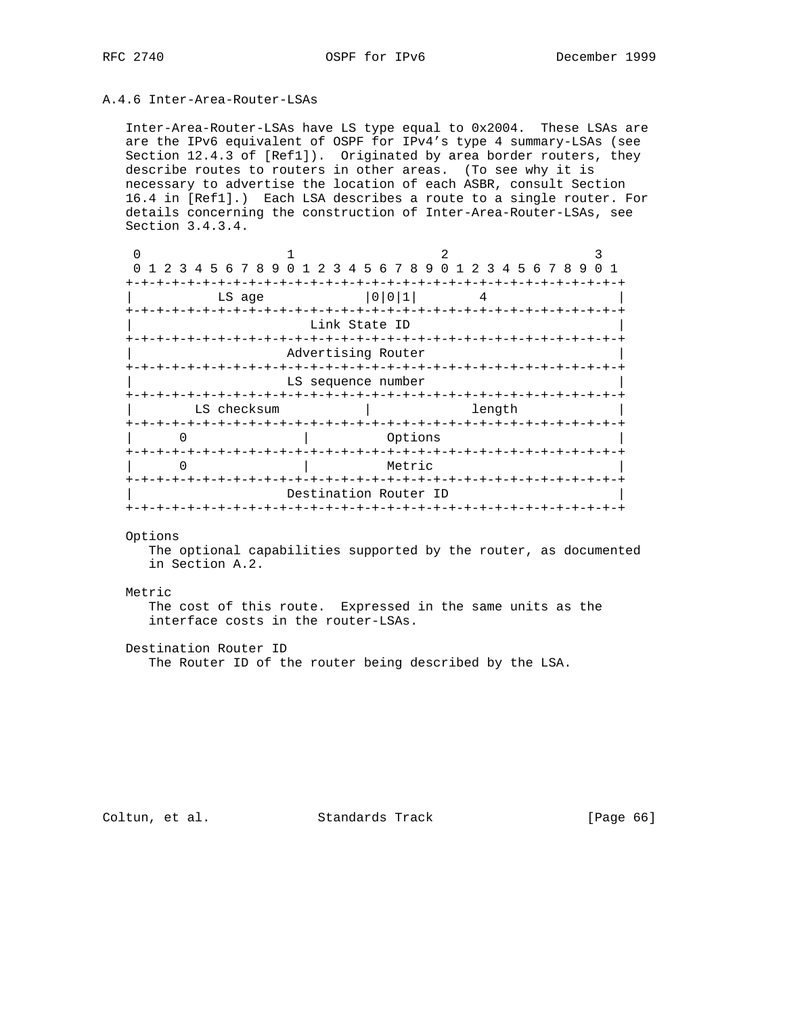## A.4.6 Inter-Area-Router-LSAs

 Inter-Area-Router-LSAs have LS type equal to 0x2004. These LSAs are are the IPv6 equivalent of OSPF for IPv4's type 4 summary-LSAs (see Section 12.4.3 of [Ref1]). Originated by area border routers, they describe routes to routers in other areas. (To see why it is necessary to advertise the location of each ASBR, consult Section 16.4 in [Ref1].) Each LSA describes a route to a single router. For details concerning the construction of Inter-Area-Router-LSAs, see Section 3.4.3.4.

| 0 1 2 3 4 5 6 7 8 9 0 1 2 3 4 5 6 7 8 9 0 1 2 3 4 5 6 7 8 9 0 1 |                       |                                 |  |        |  |  |  |  |  |  |  |  |  |  |
|-----------------------------------------------------------------|-----------------------|---------------------------------|--|--------|--|--|--|--|--|--|--|--|--|--|
|                                                                 |                       | -+-+-+-+-+-+                    |  |        |  |  |  |  |  |  |  |  |  |  |
| LS age                                                          |                       | 0 0 1                           |  |        |  |  |  |  |  |  |  |  |  |  |
|                                                                 |                       |                                 |  |        |  |  |  |  |  |  |  |  |  |  |
|                                                                 | Link State ID         |                                 |  |        |  |  |  |  |  |  |  |  |  |  |
|                                                                 |                       |                                 |  |        |  |  |  |  |  |  |  |  |  |  |
|                                                                 | Advertising Router    |                                 |  |        |  |  |  |  |  |  |  |  |  |  |
|                                                                 |                       |                                 |  |        |  |  |  |  |  |  |  |  |  |  |
|                                                                 | LS sequence number    |                                 |  |        |  |  |  |  |  |  |  |  |  |  |
|                                                                 |                       | -+-+-+-+-+-+-+-+-+-+-+-+-+-+-+- |  |        |  |  |  |  |  |  |  |  |  |  |
| LS checksum                                                     |                       |                                 |  | length |  |  |  |  |  |  |  |  |  |  |
| O                                                               |                       | Options                         |  |        |  |  |  |  |  |  |  |  |  |  |
|                                                                 |                       |                                 |  |        |  |  |  |  |  |  |  |  |  |  |
|                                                                 |                       | Metric                          |  |        |  |  |  |  |  |  |  |  |  |  |
|                                                                 |                       | -+-+-+-+-+                      |  |        |  |  |  |  |  |  |  |  |  |  |
|                                                                 | Destination Router ID |                                 |  |        |  |  |  |  |  |  |  |  |  |  |
|                                                                 |                       |                                 |  |        |  |  |  |  |  |  |  |  |  |  |

#### Options

 The optional capabilities supported by the router, as documented in Section A.2.

#### Metric

 The cost of this route. Expressed in the same units as the interface costs in the router-LSAs.

Destination Router ID

The Router ID of the router being described by the LSA.

Coltun, et al. Standards Track [Page 66]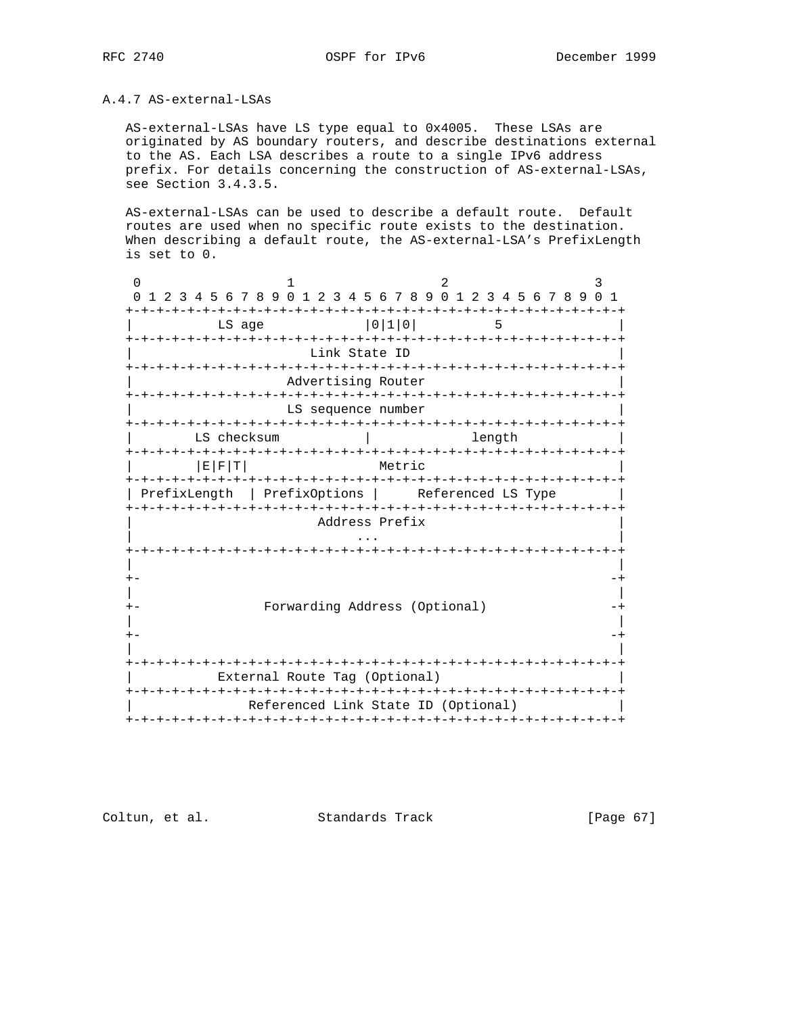# A.4.7 AS-external-LSAs

 AS-external-LSAs have LS type equal to 0x4005. These LSAs are originated by AS boundary routers, and describe destinations external to the AS. Each LSA describes a route to a single IPv6 address prefix. For details concerning the construction of AS-external-LSAs, see Section 3.4.3.5.

 AS-external-LSAs can be used to describe a default route. Default routes are used when no specific route exists to the destination. When describing a default route, the AS-external-LSA's PrefixLength is set to 0.

|      | 1 2 3 4 5 6 7 8 9 0 1 2 3 4 5 6 7 8 9 0 1 2 3 4 5 6 7 8 9 0 |                                     |                    |                                          |  |        |  | 1 |  |
|------|-------------------------------------------------------------|-------------------------------------|--------------------|------------------------------------------|--|--------|--|---|--|
|      | -+-+-+-+-+<br>LS age                                        |                                     |                    | -+-+-+-+-+-+-+-+-+-+-+-+-+-+-+<br> 0 1 0 |  | 5      |  |   |  |
|      |                                                             |                                     | Link State ID      | +-+-+-+-+-+-+-+-+-+-+-+-+-+-+-+          |  |        |  |   |  |
|      |                                                             |                                     | Advertising Router |                                          |  |        |  |   |  |
|      |                                                             |                                     | LS sequence number |                                          |  |        |  |   |  |
|      | LS checksum                                                 |                                     |                    |                                          |  | length |  |   |  |
|      | $E$ $F$ $T$                                                 |                                     |                    | Metric                                   |  |        |  |   |  |
|      | PrefixLength   PrefixOptions   Referenced LS Type           |                                     |                    |                                          |  |        |  |   |  |
|      |                                                             |                                     | Address Prefix     |                                          |  |        |  |   |  |
|      |                                                             |                                     |                    |                                          |  |        |  |   |  |
|      |                                                             |                                     |                    |                                          |  |        |  |   |  |
|      |                                                             | Forwarding Address (Optional)       |                    |                                          |  |        |  |   |  |
| $+-$ |                                                             |                                     |                    |                                          |  |        |  |   |  |
|      |                                                             |                                     |                    |                                          |  |        |  |   |  |
|      |                                                             | External Route Tag (Optional)       |                    |                                          |  |        |  |   |  |
|      |                                                             | Referenced Link State ID (Optional) |                    |                                          |  |        |  |   |  |
|      |                                                             |                                     |                    |                                          |  |        |  |   |  |

Coltun, et al. Standards Track [Page 67]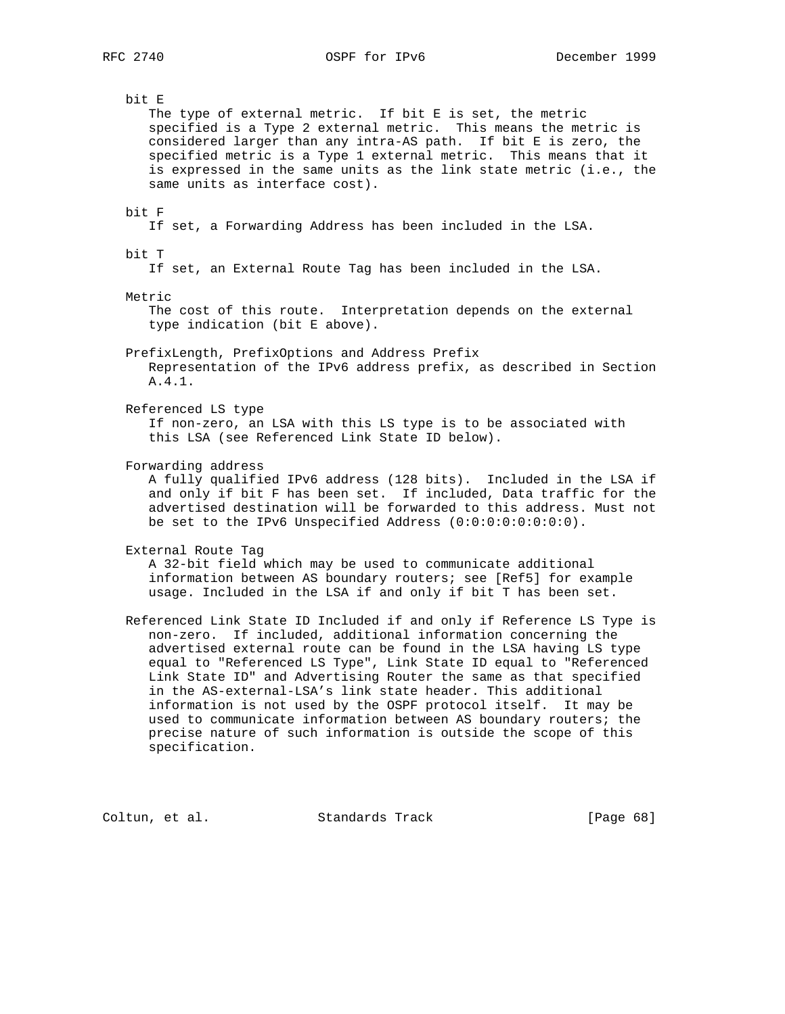bit E The type of external metric. If bit E is set, the metric specified is a Type 2 external metric. This means the metric is considered larger than any intra-AS path. If bit E is zero, the specified metric is a Type 1 external metric. This means that it is expressed in the same units as the link state metric (i.e., the same units as interface cost). bit F If set, a Forwarding Address has been included in the LSA. bit T If set, an External Route Tag has been included in the LSA. Metric The cost of this route. Interpretation depends on the external type indication (bit E above). PrefixLength, PrefixOptions and Address Prefix Representation of the IPv6 address prefix, as described in Section A.4.1. Referenced LS type If non-zero, an LSA with this LS type is to be associated with this LSA (see Referenced Link State ID below). Forwarding address A fully qualified IPv6 address (128 bits). Included in the LSA if and only if bit F has been set. If included, Data traffic for the advertised destination will be forwarded to this address. Must not be set to the IPv6 Unspecified Address (0:0:0:0:0:0:0:0). External Route Tag A 32-bit field which may be used to communicate additional information between AS boundary routers; see [Ref5] for example usage. Included in the LSA if and only if bit T has been set. Referenced Link State ID Included if and only if Reference LS Type is non-zero. If included, additional information concerning the advertised external route can be found in the LSA having LS type equal to "Referenced LS Type", Link State ID equal to "Referenced Link State ID" and Advertising Router the same as that specified in the AS-external-LSA's link state header. This additional information is not used by the OSPF protocol itself. It may be used to communicate information between AS boundary routers; the precise nature of such information is outside the scope of this

Coltun, et al. Standards Track [Page 68]

specification.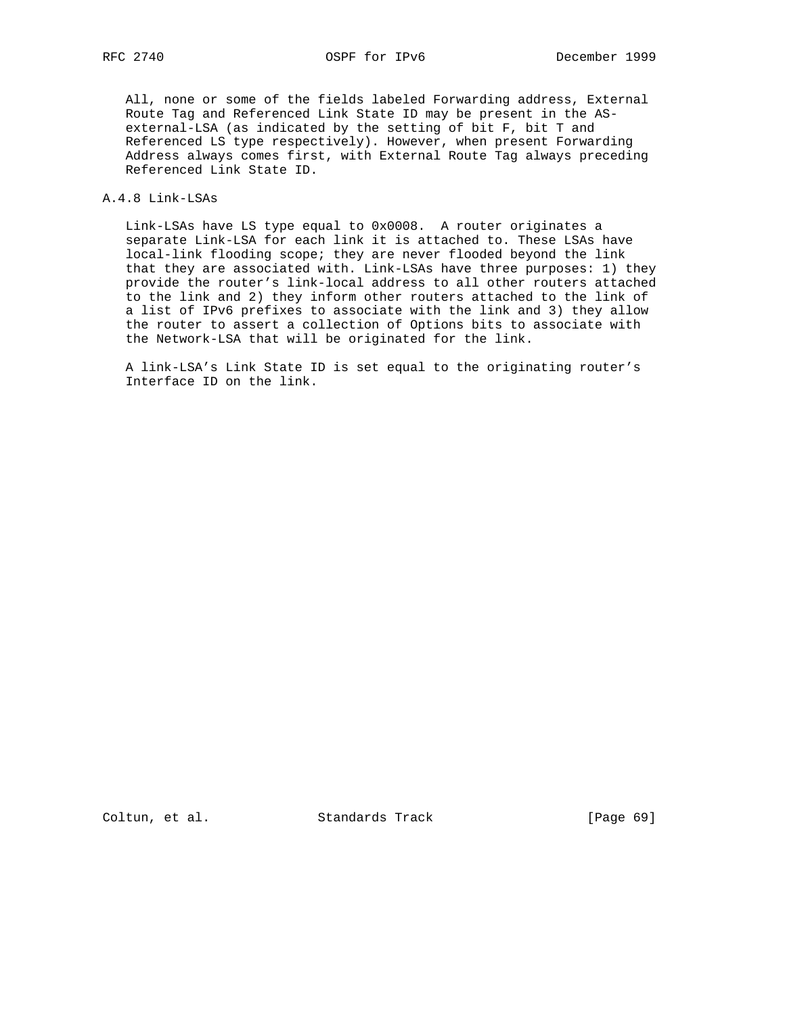All, none or some of the fields labeled Forwarding address, External Route Tag and Referenced Link State ID may be present in the AS external-LSA (as indicated by the setting of bit F, bit T and Referenced LS type respectively). However, when present Forwarding Address always comes first, with External Route Tag always preceding Referenced Link State ID.

## A.4.8 Link-LSAs

 Link-LSAs have LS type equal to 0x0008. A router originates a separate Link-LSA for each link it is attached to. These LSAs have local-link flooding scope; they are never flooded beyond the link that they are associated with. Link-LSAs have three purposes: 1) they provide the router's link-local address to all other routers attached to the link and 2) they inform other routers attached to the link of a list of IPv6 prefixes to associate with the link and 3) they allow the router to assert a collection of Options bits to associate with the Network-LSA that will be originated for the link.

 A link-LSA's Link State ID is set equal to the originating router's Interface ID on the link.

Coltun, et al. Standards Track [Page 69]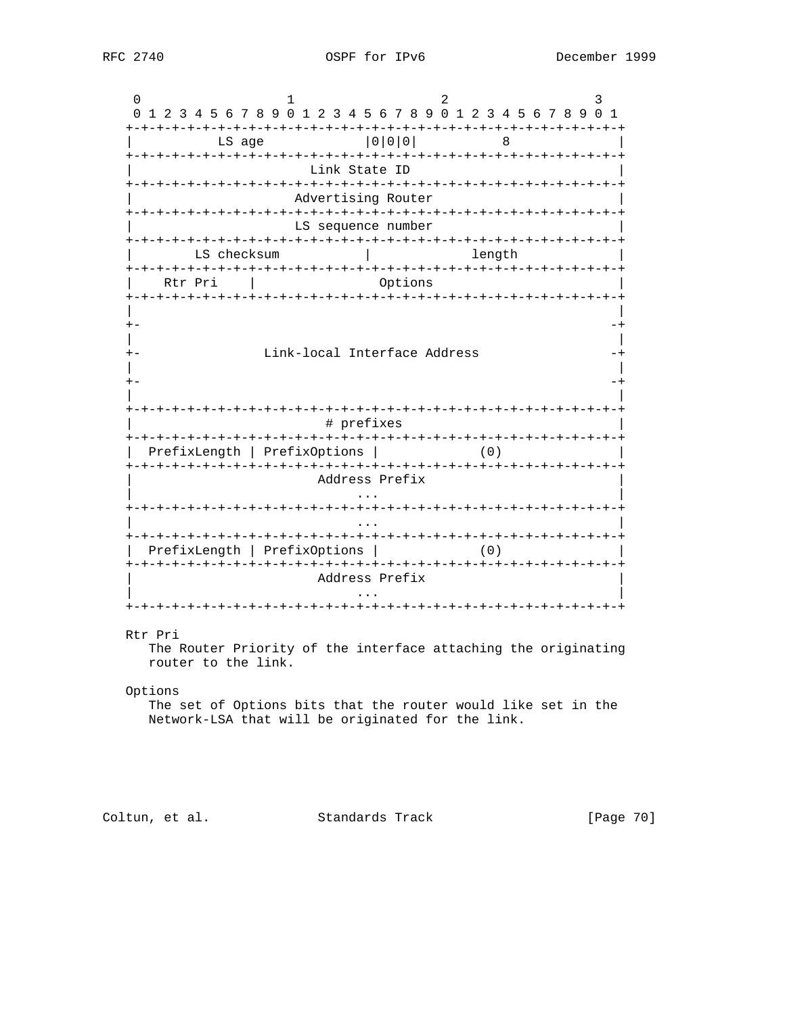0  $1$  2 3 0 1 2 3 4 5 6 7 8 9 0 1 2 3 4 5 6 7 8 9 0 1 2 3 4 5 6 7 8 9 0 1 +-+-+-+-+-+-+-+-+-+-+-+-+-+-+-+-+-+-+-+-+-+-+-+-+-+-+-+-+-+-+-+-+ LS age  $|0|0|0|$  8 +-+-+-+-+-+-+-+-+-+-+-+-+-+-+-+-+-+-+-+-+-+-+-+-+-+-+-+-+-+-+-+-+ Link State ID +-+-+-+-+-+-+-+-+-+-+-+-+-+-+-+-+-+-+-+-+-+-+-+-+-+-+-+-+-+-+-+-+ Advertising Router +-+-+-+-+-+-+-+-+-+-+-+-+-+-+-+-+-+-+-+-+-+-+-+-+-+-+-+-+-+-+-+-+ LS sequence number +-+-+-+-+-+-+-+-+-+-+-+-+-+-+-+-+-+-+-+-+-+-+-+-+-+-+-+-+-+-+-+-+ LS checksum  $\vert$  length +-+-+-+-+-+-+-+-+-+-+-+-+-+-+-+-+-+-+-+-+-+-+-+-+-+-+-+-+-+-+-+-+ Rtr Pri | Options +-+-+-+-+-+-+-+-+-+-+-+-+-+-+-+-+-+-+-+-+-+-+-+-+-+-+-+-+-+-+-+-+ | | +- -+ | | +- Link-local Interface Address -+ | | +- -+ | | +-+-+-+-+-+-+-+-+-+-+-+-+-+-+-+-+-+-+-+-+-+-+-+-+-+-+-+-+-+-+-+-+ # prefixes +-+-+-+-+-+-+-+-+-+-+-+-+-+-+-+-+-+-+-+-+-+-+-+-+-+-+-+-+-+-+-+-+ | PrefixLength | PrefixOptions | (0) | +-+-+-+-+-+-+-+-+-+-+-+-+-+-+-+-+-+-+-+-+-+-+-+-+-+-+-+-+-+-+-+-+ | Address Prefix | | ... | ... | ... | ... | ... | ... | ... | ... | ... | ... | ... | ... | ... | ... | ... | ... | ... | ... | . +-+-+-+-+-+-+-+-+-+-+-+-+-+-+-+-+-+-+-+-+-+-+-+-+-+-+-+-+-+-+-+-+ | ... | ... | ... | ... | ... | ... | ... | ... | ... | ... | ... | ... | ... | ... | ... | ... | ... | ... | . +-+-+-+-+-+-+-+-+-+-+-+-+-+-+-+-+-+-+-+-+-+-+-+-+-+-+-+-+-+-+-+-+ | PrefixLength | PrefixOptions | (0) | +-+-+-+-+-+-+-+-+-+-+-+-+-+-+-+-+-+-+-+-+-+-+-+-+-+-+-+-+-+-+-+-+ Address Prefix | ... | ... | ... | ... | ... | ... | ... | ... | ... | ... | ... | ... | ... | ... | ... | ... | ... | ... | . +-+-+-+-+-+-+-+-+-+-+-+-+-+-+-+-+-+-+-+-+-+-+-+-+-+-+-+-+-+-+-+-+ Rtr Pri

 The Router Priority of the interface attaching the originating router to the link.

# Options

 The set of Options bits that the router would like set in the Network-LSA that will be originated for the link.

Coltun, et al. Standards Track [Page 70]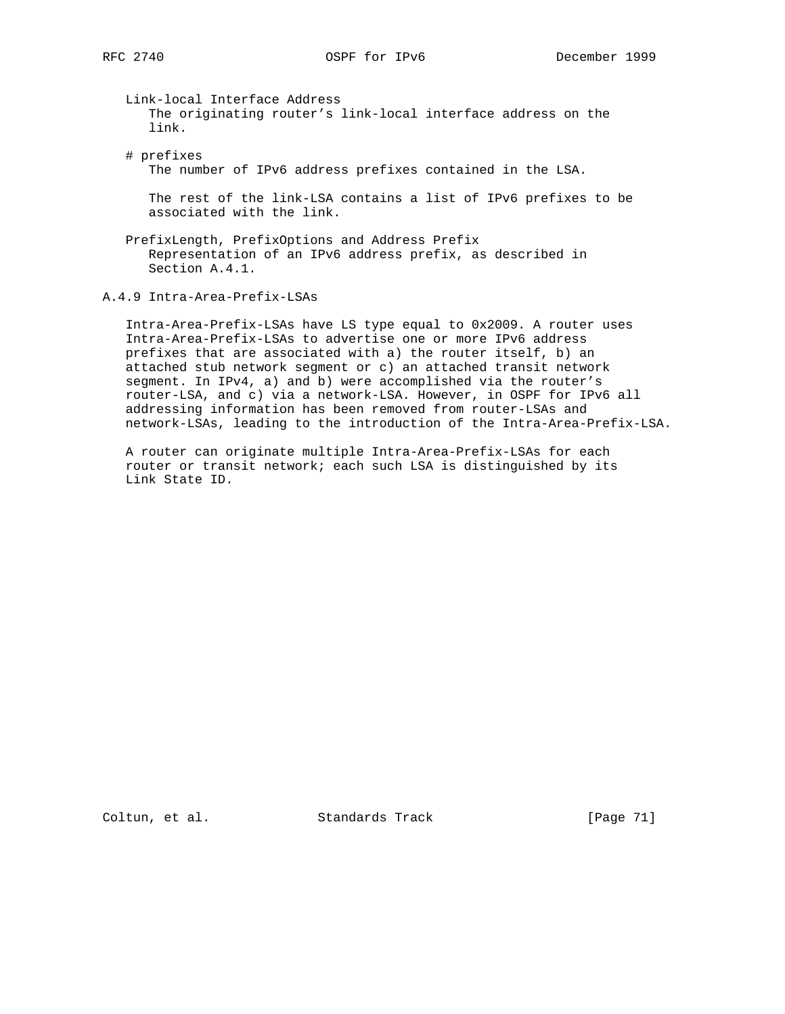Link-local Interface Address The originating router's link-local interface address on the link.

 # prefixes The number of IPv6 address prefixes contained in the LSA.

 The rest of the link-LSA contains a list of IPv6 prefixes to be associated with the link.

 PrefixLength, PrefixOptions and Address Prefix Representation of an IPv6 address prefix, as described in Section A.4.1.

A.4.9 Intra-Area-Prefix-LSAs

 Intra-Area-Prefix-LSAs have LS type equal to 0x2009. A router uses Intra-Area-Prefix-LSAs to advertise one or more IPv6 address prefixes that are associated with a) the router itself, b) an attached stub network segment or c) an attached transit network segment. In IPv4, a) and b) were accomplished via the router's router-LSA, and c) via a network-LSA. However, in OSPF for IPv6 all addressing information has been removed from router-LSAs and network-LSAs, leading to the introduction of the Intra-Area-Prefix-LSA.

 A router can originate multiple Intra-Area-Prefix-LSAs for each router or transit network; each such LSA is distinguished by its Link State ID.

Coltun, et al. Standards Track [Page 71]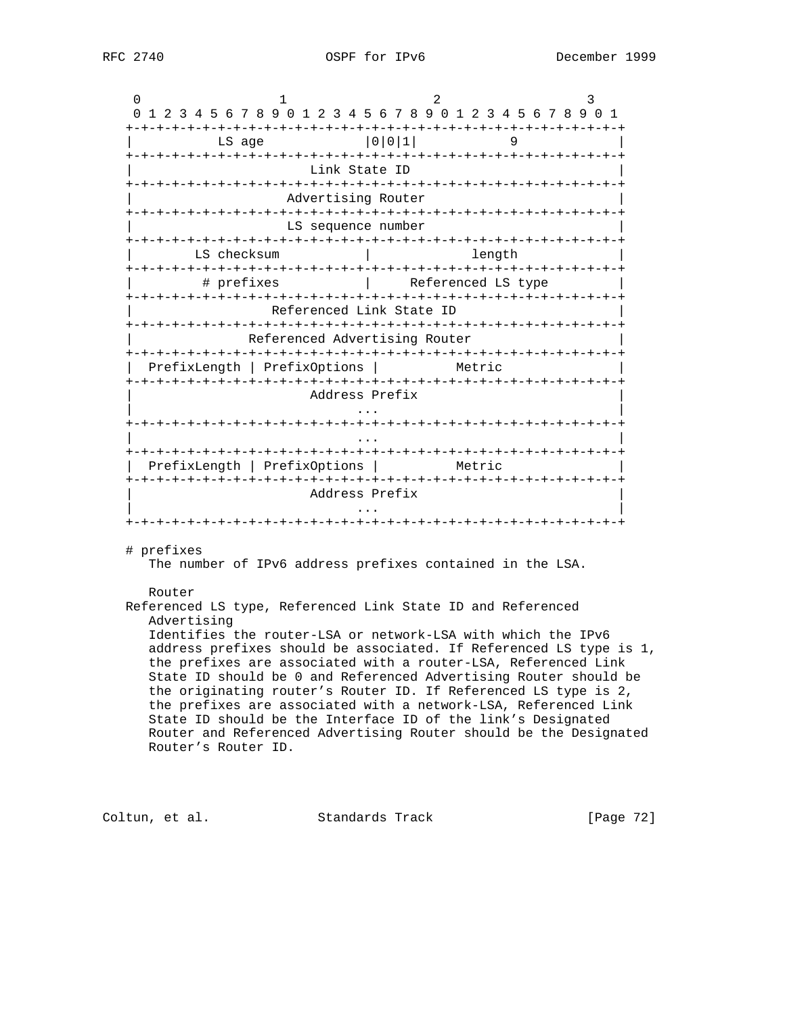| Link State ID<br>Advertising Router<br>LS sequence number<br>Referenced Link State ID<br>PrefixLength   PrefixOptions  <br>Address Prefix | length<br>Referenced LS type<br>Referenced Advertising Router<br>Metric                                                            |
|-------------------------------------------------------------------------------------------------------------------------------------------|------------------------------------------------------------------------------------------------------------------------------------|
|                                                                                                                                           |                                                                                                                                    |
|                                                                                                                                           |                                                                                                                                    |
|                                                                                                                                           |                                                                                                                                    |
|                                                                                                                                           |                                                                                                                                    |
|                                                                                                                                           |                                                                                                                                    |
|                                                                                                                                           |                                                                                                                                    |
|                                                                                                                                           |                                                                                                                                    |
|                                                                                                                                           |                                                                                                                                    |
|                                                                                                                                           |                                                                                                                                    |
|                                                                                                                                           |                                                                                                                                    |
|                                                                                                                                           |                                                                                                                                    |
|                                                                                                                                           |                                                                                                                                    |
|                                                                                                                                           |                                                                                                                                    |
| PrefixLength   PrefixOptions                                                                                                              | Metric                                                                                                                             |
|                                                                                                                                           |                                                                                                                                    |
| Address Prefix                                                                                                                            |                                                                                                                                    |
|                                                                                                                                           |                                                                                                                                    |
|                                                                                                                                           |                                                                                                                                    |
|                                                                                                                                           |                                                                                                                                    |
|                                                                                                                                           | The number of IPv6 address prefixes contained in the LSA.                                                                          |
|                                                                                                                                           |                                                                                                                                    |
|                                                                                                                                           | Referenced LS type, Referenced Link State ID and Referenced                                                                        |
|                                                                                                                                           |                                                                                                                                    |
|                                                                                                                                           | Identifies the router-LSA or network-LSA with which the IPv6                                                                       |
|                                                                                                                                           | address prefixes should be associated. If Referenced LS type is 1,                                                                 |
|                                                                                                                                           | the prefixes are associated with a router-LSA, Referenced Link<br>State ID should be 0 and Referenced Advertising Router should be |
|                                                                                                                                           | the originating router's Router ID. If Referenced LS type is 2,                                                                    |
|                                                                                                                                           | the prefixes are associated with a network-LSA, Referenced Link                                                                    |
|                                                                                                                                           | State ID should be the Interface ID of the link's Designated                                                                       |
|                                                                                                                                           | Router and Referenced Advertising Router should be the Designated                                                                  |
|                                                                                                                                           |                                                                                                                                    |
|                                                                                                                                           |                                                                                                                                    |

Coltun, et al. Standards Track [Page 72]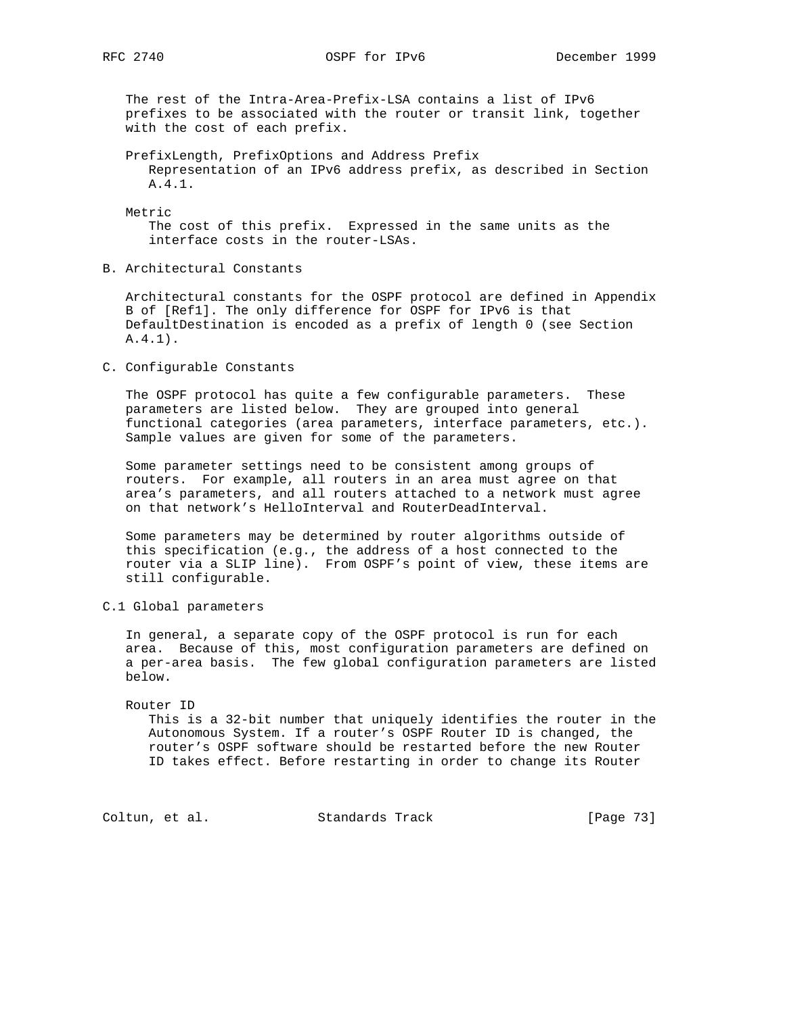The rest of the Intra-Area-Prefix-LSA contains a list of IPv6 prefixes to be associated with the router or transit link, together with the cost of each prefix.

 PrefixLength, PrefixOptions and Address Prefix Representation of an IPv6 address prefix, as described in Section A.4.1.

Metric

 The cost of this prefix. Expressed in the same units as the interface costs in the router-LSAs.

B. Architectural Constants

 Architectural constants for the OSPF protocol are defined in Appendix B of [Ref1]. The only difference for OSPF for IPv6 is that DefaultDestination is encoded as a prefix of length 0 (see Section A.4.1).

C. Configurable Constants

 The OSPF protocol has quite a few configurable parameters. These parameters are listed below. They are grouped into general functional categories (area parameters, interface parameters, etc.). Sample values are given for some of the parameters.

 Some parameter settings need to be consistent among groups of routers. For example, all routers in an area must agree on that area's parameters, and all routers attached to a network must agree on that network's HelloInterval and RouterDeadInterval.

 Some parameters may be determined by router algorithms outside of this specification (e.g., the address of a host connected to the router via a SLIP line). From OSPF's point of view, these items are still configurable.

C.1 Global parameters

 In general, a separate copy of the OSPF protocol is run for each area. Because of this, most configuration parameters are defined on a per-area basis. The few global configuration parameters are listed below.

#### Router ID

 This is a 32-bit number that uniquely identifies the router in the Autonomous System. If a router's OSPF Router ID is changed, the router's OSPF software should be restarted before the new Router ID takes effect. Before restarting in order to change its Router

Coltun, et al. Standards Track [Page 73]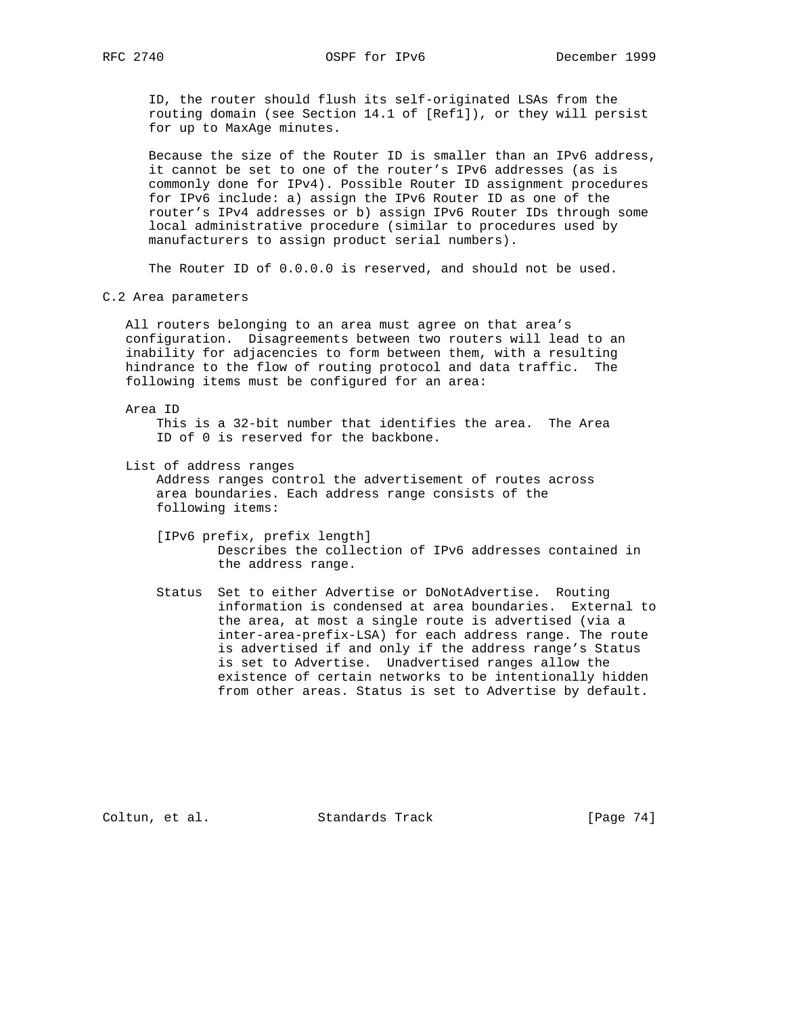ID, the router should flush its self-originated LSAs from the routing domain (see Section 14.1 of [Ref1]), or they will persist for up to MaxAge minutes.

 Because the size of the Router ID is smaller than an IPv6 address, it cannot be set to one of the router's IPv6 addresses (as is commonly done for IPv4). Possible Router ID assignment procedures for IPv6 include: a) assign the IPv6 Router ID as one of the router's IPv4 addresses or b) assign IPv6 Router IDs through some local administrative procedure (similar to procedures used by manufacturers to assign product serial numbers).

The Router ID of 0.0.0.0 is reserved, and should not be used.

C.2 Area parameters

 All routers belonging to an area must agree on that area's configuration. Disagreements between two routers will lead to an inability for adjacencies to form between them, with a resulting hindrance to the flow of routing protocol and data traffic. The following items must be configured for an area:

#### Area ID

 This is a 32-bit number that identifies the area. The Area ID of 0 is reserved for the backbone.

List of address ranges

 Address ranges control the advertisement of routes across area boundaries. Each address range consists of the following items:

- [IPv6 prefix, prefix length] Describes the collection of IPv6 addresses contained in the address range.
- Status Set to either Advertise or DoNotAdvertise. Routing information is condensed at area boundaries. External to the area, at most a single route is advertised (via a inter-area-prefix-LSA) for each address range. The route is advertised if and only if the address range's Status is set to Advertise. Unadvertised ranges allow the existence of certain networks to be intentionally hidden from other areas. Status is set to Advertise by default.

Coltun, et al. Standards Track [Page 74]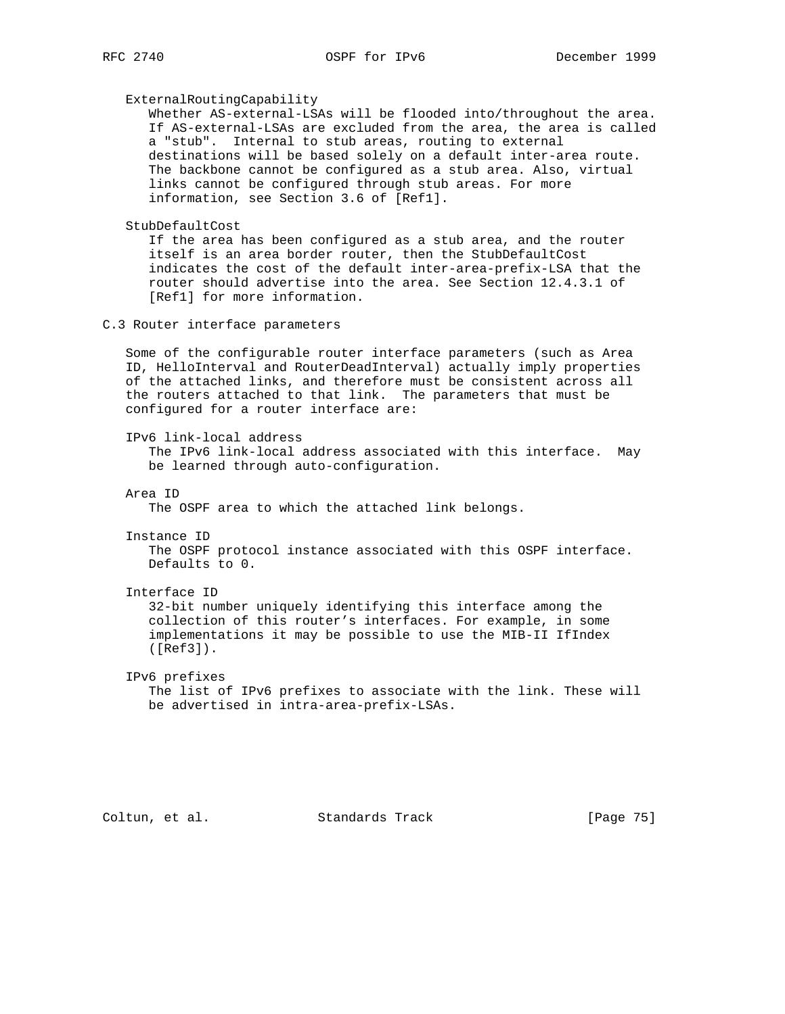#### ExternalRoutingCapability

 Whether AS-external-LSAs will be flooded into/throughout the area. If AS-external-LSAs are excluded from the area, the area is called a "stub". Internal to stub areas, routing to external destinations will be based solely on a default inter-area route. The backbone cannot be configured as a stub area. Also, virtual links cannot be configured through stub areas. For more information, see Section 3.6 of [Ref1].

### StubDefaultCost

 If the area has been configured as a stub area, and the router itself is an area border router, then the StubDefaultCost indicates the cost of the default inter-area-prefix-LSA that the router should advertise into the area. See Section 12.4.3.1 of [Ref1] for more information.

# C.3 Router interface parameters

 Some of the configurable router interface parameters (such as Area ID, HelloInterval and RouterDeadInterval) actually imply properties of the attached links, and therefore must be consistent across all the routers attached to that link. The parameters that must be configured for a router interface are:

IPv6 link-local address

 The IPv6 link-local address associated with this interface. May be learned through auto-configuration.

Area ID

The OSPF area to which the attached link belongs.

Instance ID

 The OSPF protocol instance associated with this OSPF interface. Defaults to 0.

#### Interface ID

 32-bit number uniquely identifying this interface among the collection of this router's interfaces. For example, in some implementations it may be possible to use the MIB-II IfIndex ([Ref3]).

# IPv6 prefixes The list of IPv6 prefixes to associate with the link. These will be advertised in intra-area-prefix-LSAs.

Coltun, et al. Standards Track [Page 75]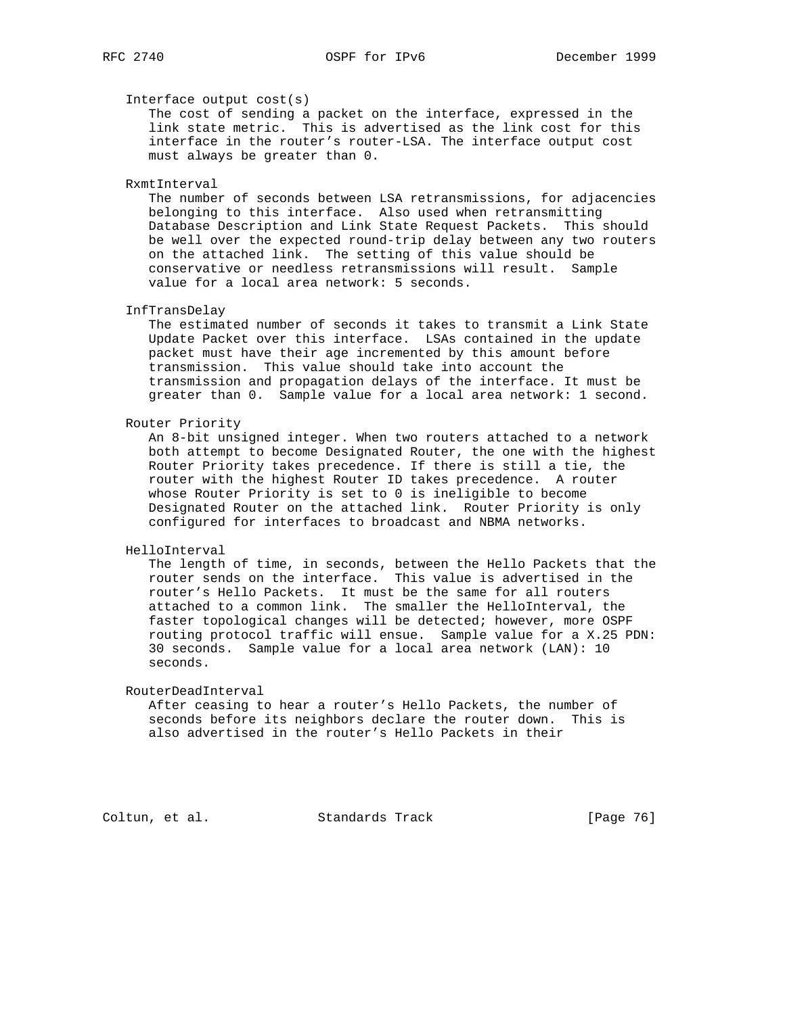### Interface output cost(s)

 The cost of sending a packet on the interface, expressed in the link state metric. This is advertised as the link cost for this interface in the router's router-LSA. The interface output cost must always be greater than 0.

# RxmtInterval

 The number of seconds between LSA retransmissions, for adjacencies belonging to this interface. Also used when retransmitting Database Description and Link State Request Packets. This should be well over the expected round-trip delay between any two routers on the attached link. The setting of this value should be conservative or needless retransmissions will result. Sample value for a local area network: 5 seconds.

### InfTransDelay

 The estimated number of seconds it takes to transmit a Link State Update Packet over this interface. LSAs contained in the update packet must have their age incremented by this amount before transmission. This value should take into account the transmission and propagation delays of the interface. It must be greater than 0. Sample value for a local area network: 1 second.

### Router Priority

 An 8-bit unsigned integer. When two routers attached to a network both attempt to become Designated Router, the one with the highest Router Priority takes precedence. If there is still a tie, the router with the highest Router ID takes precedence. A router whose Router Priority is set to 0 is ineligible to become Designated Router on the attached link. Router Priority is only configured for interfaces to broadcast and NBMA networks.

#### HelloInterval

 The length of time, in seconds, between the Hello Packets that the router sends on the interface. This value is advertised in the router's Hello Packets. It must be the same for all routers attached to a common link. The smaller the HelloInterval, the faster topological changes will be detected; however, more OSPF routing protocol traffic will ensue. Sample value for a X.25 PDN: 30 seconds. Sample value for a local area network (LAN): 10 seconds.

#### RouterDeadInterval

 After ceasing to hear a router's Hello Packets, the number of seconds before its neighbors declare the router down. This is also advertised in the router's Hello Packets in their

Coltun, et al. Standards Track [Page 76]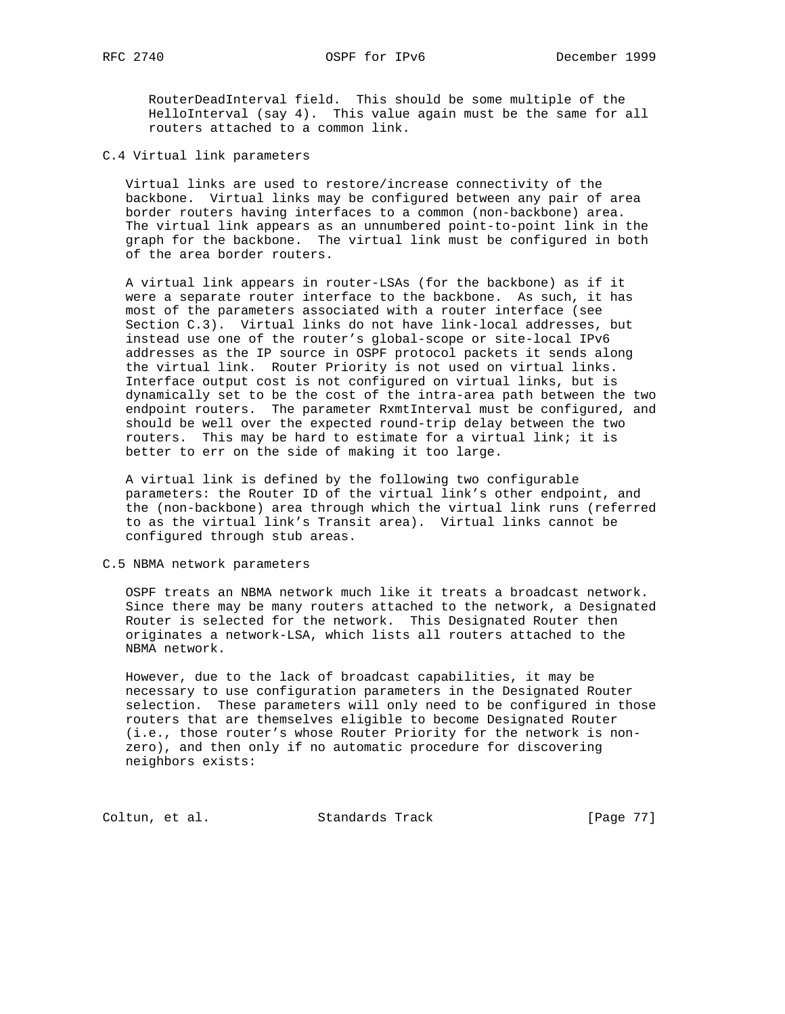RouterDeadInterval field. This should be some multiple of the HelloInterval (say 4). This value again must be the same for all routers attached to a common link.

C.4 Virtual link parameters

 Virtual links are used to restore/increase connectivity of the backbone. Virtual links may be configured between any pair of area border routers having interfaces to a common (non-backbone) area. The virtual link appears as an unnumbered point-to-point link in the graph for the backbone. The virtual link must be configured in both of the area border routers.

 A virtual link appears in router-LSAs (for the backbone) as if it were a separate router interface to the backbone. As such, it has most of the parameters associated with a router interface (see Section C.3). Virtual links do not have link-local addresses, but instead use one of the router's global-scope or site-local IPv6 addresses as the IP source in OSPF protocol packets it sends along the virtual link. Router Priority is not used on virtual links. Interface output cost is not configured on virtual links, but is dynamically set to be the cost of the intra-area path between the two endpoint routers. The parameter RxmtInterval must be configured, and should be well over the expected round-trip delay between the two routers. This may be hard to estimate for a virtual link; it is better to err on the side of making it too large.

 A virtual link is defined by the following two configurable parameters: the Router ID of the virtual link's other endpoint, and the (non-backbone) area through which the virtual link runs (referred to as the virtual link's Transit area). Virtual links cannot be configured through stub areas.

C.5 NBMA network parameters

 OSPF treats an NBMA network much like it treats a broadcast network. Since there may be many routers attached to the network, a Designated Router is selected for the network. This Designated Router then originates a network-LSA, which lists all routers attached to the NBMA network.

 However, due to the lack of broadcast capabilities, it may be necessary to use configuration parameters in the Designated Router selection. These parameters will only need to be configured in those routers that are themselves eligible to become Designated Router (i.e., those router's whose Router Priority for the network is non zero), and then only if no automatic procedure for discovering neighbors exists:

Coltun, et al. Standards Track [Page 77]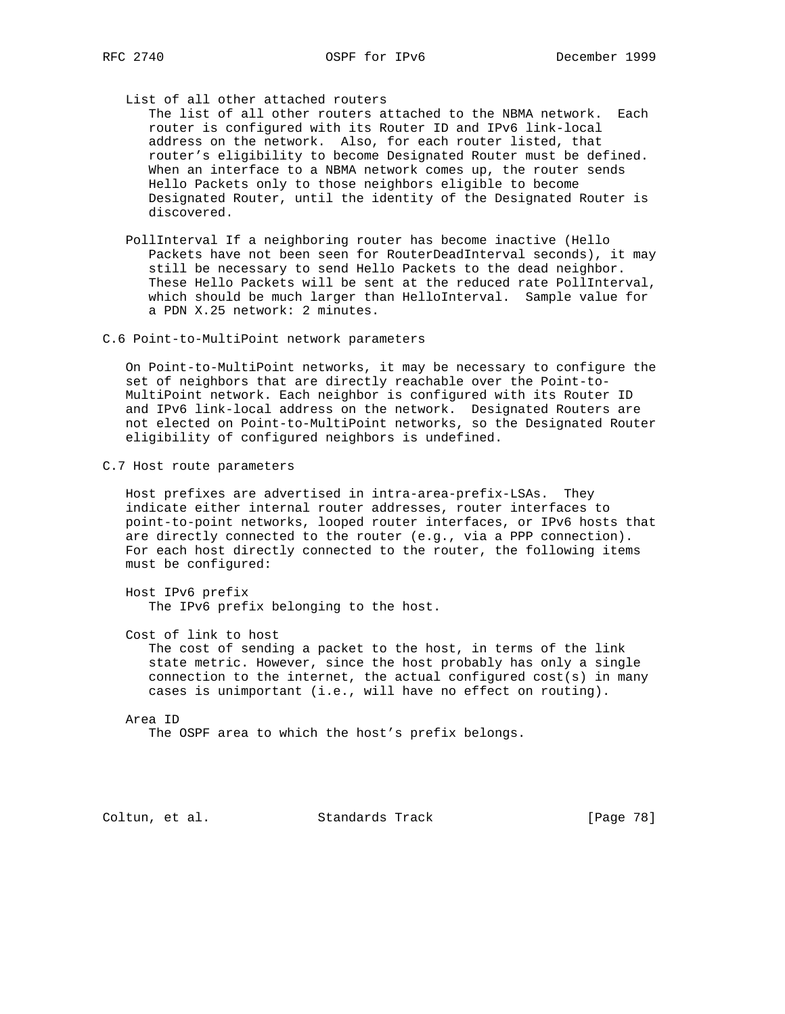List of all other attached routers

 The list of all other routers attached to the NBMA network. Each router is configured with its Router ID and IPv6 link-local address on the network. Also, for each router listed, that router's eligibility to become Designated Router must be defined. When an interface to a NBMA network comes up, the router sends Hello Packets only to those neighbors eligible to become Designated Router, until the identity of the Designated Router is discovered.

 PollInterval If a neighboring router has become inactive (Hello Packets have not been seen for RouterDeadInterval seconds), it may still be necessary to send Hello Packets to the dead neighbor. These Hello Packets will be sent at the reduced rate PollInterval, which should be much larger than HelloInterval. Sample value for a PDN X.25 network: 2 minutes.

C.6 Point-to-MultiPoint network parameters

 On Point-to-MultiPoint networks, it may be necessary to configure the set of neighbors that are directly reachable over the Point-to- MultiPoint network. Each neighbor is configured with its Router ID and IPv6 link-local address on the network. Designated Routers are not elected on Point-to-MultiPoint networks, so the Designated Router eligibility of configured neighbors is undefined.

C.7 Host route parameters

 Host prefixes are advertised in intra-area-prefix-LSAs. They indicate either internal router addresses, router interfaces to point-to-point networks, looped router interfaces, or IPv6 hosts that are directly connected to the router (e.g., via a PPP connection). For each host directly connected to the router, the following items must be configured:

 Host IPv6 prefix The IPv6 prefix belonging to the host.

Cost of link to host

 The cost of sending a packet to the host, in terms of the link state metric. However, since the host probably has only a single connection to the internet, the actual configured cost(s) in many cases is unimportant (i.e., will have no effect on routing).

 Area ID The OSPF area to which the host's prefix belongs.

Coltun, et al. Standards Track [Page 78]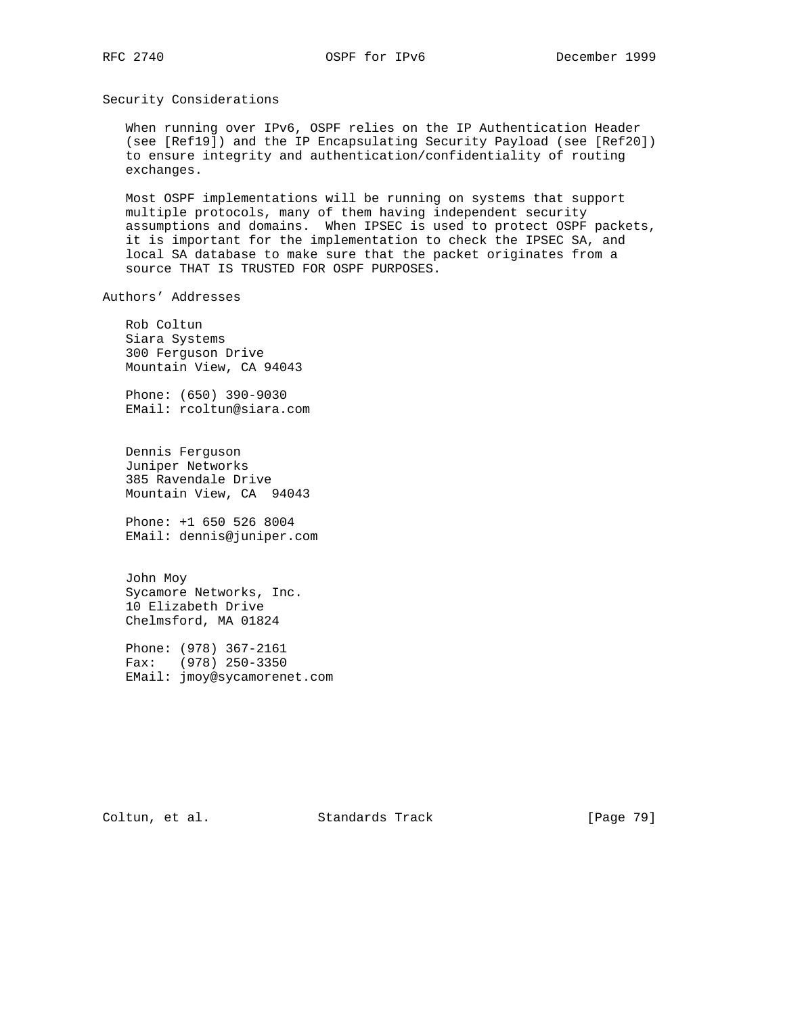Security Considerations

 When running over IPv6, OSPF relies on the IP Authentication Header (see [Ref19]) and the IP Encapsulating Security Payload (see [Ref20]) to ensure integrity and authentication/confidentiality of routing exchanges.

 Most OSPF implementations will be running on systems that support multiple protocols, many of them having independent security assumptions and domains. When IPSEC is used to protect OSPF packets, it is important for the implementation to check the IPSEC SA, and local SA database to make sure that the packet originates from a source THAT IS TRUSTED FOR OSPF PURPOSES.

Authors' Addresses

 Rob Coltun Siara Systems 300 Ferguson Drive Mountain View, CA 94043

 Phone: (650) 390-9030 EMail: rcoltun@siara.com

 Dennis Ferguson Juniper Networks 385 Ravendale Drive Mountain View, CA 94043

 Phone: +1 650 526 8004 EMail: dennis@juniper.com

 John Moy Sycamore Networks, Inc. 10 Elizabeth Drive Chelmsford, MA 01824

 Phone: (978) 367-2161 Fax: (978) 250-3350 EMail: jmoy@sycamorenet.com

Coltun, et al. Standards Track [Page 79]